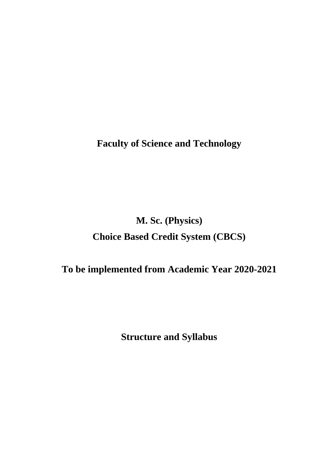**Faculty of Science and Technology** 

# **M. Sc. (Physics) Choice Based Credit System (CBCS)**

# **To be implemented from Academic Year 2020-2021**

**Structure and Syllabus**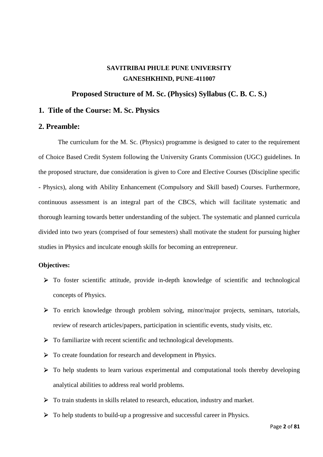# **SAVITRIBAI PHULE PUNE UNIVERSITY GANESHKHIND, PUNE-411007**

#### **Proposed Structure of M. Sc. (Physics) Syllabus (C. B. C. S.)**

### **1. Title of the Course: M. Sc. Physics**

#### **2. Preamble:**

The curriculum for the M. Sc. (Physics) programme is designed to cater to the requirement of Choice Based Credit System following the University Grants Commission (UGC) guidelines. In the proposed structure, due consideration is given to Core and Elective Courses (Discipline specific - Physics), along with Ability Enhancement (Compulsory and Skill based) Courses. Furthermore, continuous assessment is an integral part of the CBCS, which will facilitate systematic and thorough learning towards better understanding of the subject. The systematic and planned curricula divided into two years (comprised of four semesters) shall motivate the student for pursuing higher studies in Physics and inculcate enough skills for becoming an entrepreneur.

#### **Objectives:**

- To foster scientific attitude, provide in-depth knowledge of scientific and technological concepts of Physics.
- $\triangleright$  To enrich knowledge through problem solving, minor/major projects, seminars, tutorials, review of research articles/papers, participation in scientific events, study visits, etc.
- $\triangleright$  To familiarize with recent scientific and technological developments.
- $\triangleright$  To create foundation for research and development in Physics.
- $\triangleright$  To help students to learn various experimental and computational tools thereby developing analytical abilities to address real world problems.
- To train students in skills related to research, education, industry and market.
- To help students to build-up a progressive and successful career in Physics.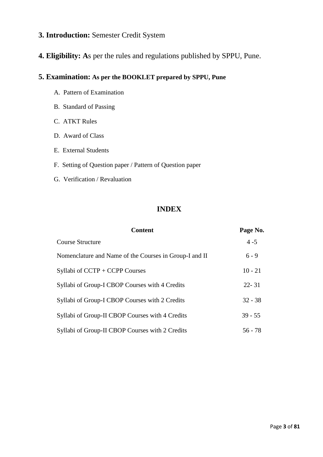# **3. Introduction:** Semester Credit System

# **4. Eligibility: A**s per the rules and regulations published by SPPU, Pune.

# **5. Examination: As per the BOOKLET prepared by SPPU, Pune**

- A. Pattern of Examination
- B. Standard of Passing
- C. ATKT Rules
- D. Award of Class
- E. External Students
- F. Setting of Question paper / Pattern of Question paper
- G. Verification / Revaluation

# **INDEX**

| <b>Content</b>                                         | Page No.  |
|--------------------------------------------------------|-----------|
| Course Structure                                       | $4 - 5$   |
| Nomenclature and Name of the Courses in Group-I and II | $6 - 9$   |
| Syllabi of $CCTP + CCPP$ Courses                       | $10 - 21$ |
| Syllabi of Group-I CBOP Courses with 4 Credits         | $22 - 31$ |
| Syllabi of Group-I CBOP Courses with 2 Credits         | $32 - 38$ |
| Syllabi of Group-II CBOP Courses with 4 Credits        | $39 - 55$ |
| Syllabi of Group-II CBOP Courses with 2 Credits        | $56 - 78$ |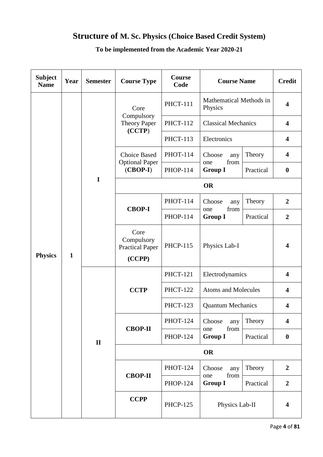# **Structure of M. Sc. Physics (Choice Based Credit System)**

| <b>Subject</b><br><b>Name</b>  | Year | <b>Semester</b> | <b>Course Type</b>                                     | Course<br>Code  | <b>Course Name</b>                             |                | <b>Credit</b>           |
|--------------------------------|------|-----------------|--------------------------------------------------------|-----------------|------------------------------------------------|----------------|-------------------------|
|                                |      |                 | Core<br>Compulsory<br><b>Theory Paper</b><br>(CCTP)    | <b>PHCT-111</b> | Mathematical Methods in<br>Physics             |                | $\overline{\mathbf{4}}$ |
|                                |      |                 |                                                        | <b>PHCT-112</b> | <b>Classical Mechanics</b>                     |                | $\overline{\mathbf{4}}$ |
|                                |      |                 |                                                        | <b>PHCT-113</b> | Electronics                                    |                | $\overline{\mathbf{4}}$ |
|                                |      |                 | <b>Choice Based</b>                                    | <b>PHOT-114</b> | Choose<br>any<br>from<br>one<br><b>Group I</b> | Theory         | $\overline{\mathbf{4}}$ |
|                                |      |                 | <b>Optional Paper</b><br>$(CBOP-I)$                    | <b>PHOP-114</b> |                                                | Practical      | $\boldsymbol{0}$        |
|                                |      | I               |                                                        |                 | <b>OR</b>                                      |                |                         |
| <b>Physics</b><br>$\mathbf{1}$ |      |                 |                                                        | <b>PHOT-114</b> | Choose<br>any<br>from<br>one<br><b>Group I</b> | Theory         | $\boldsymbol{2}$        |
|                                |      |                 | <b>CBOP-I</b>                                          | <b>PHOP-114</b> |                                                | Practical      | $\boldsymbol{2}$        |
|                                |      |                 | Core<br>Compulsory<br><b>Practical Paper</b><br>(CCPP) | <b>PHCP-115</b> | Physics Lab-I                                  |                | $\overline{\mathbf{4}}$ |
|                                |      |                 | <b>CCTP</b>                                            | <b>PHCT-121</b> | Electrodynamics                                |                | $\overline{\mathbf{4}}$ |
|                                |      |                 |                                                        | <b>PHCT-122</b> | <b>Atoms and Molecules</b>                     |                | $\overline{\mathbf{4}}$ |
|                                |      |                 |                                                        | <b>PHCT-123</b> | <b>Quantum Mechanics</b>                       |                | $\overline{\mathbf{4}}$ |
|                                |      |                 | <b>CBOP-II</b>                                         | <b>PHOT-124</b> | Choose<br>any<br>from<br>one                   | Theory         | $\overline{\mathbf{4}}$ |
|                                |      | $\mathbf{I}$    |                                                        | <b>PHOP-124</b> | <b>Group I</b>                                 | Practical      | $\boldsymbol{0}$        |
|                                |      |                 | <b>OR</b>                                              |                 |                                                |                |                         |
|                                |      |                 | <b>CBOP-II</b>                                         | <b>PHOT-124</b> | Choose<br>any<br>from<br>one                   | Theory         | $\overline{2}$          |
|                                |      |                 |                                                        | <b>PHOP-124</b> | <b>Group I</b>                                 | Practical      | $\boldsymbol{2}$        |
|                                |      |                 |                                                        | <b>CCPP</b>     | <b>PHCP-125</b>                                | Physics Lab-II |                         |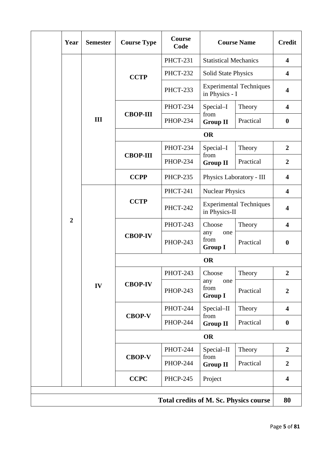|  | Year           | <b>Semester</b> | <b>Course Type</b> | <b>Course</b><br>Code                         | <b>Course Name</b>                               |           | <b>Credit</b>           |  |
|--|----------------|-----------------|--------------------|-----------------------------------------------|--------------------------------------------------|-----------|-------------------------|--|
|  |                |                 | <b>CCTP</b>        | <b>PHCT-231</b>                               | <b>Statistical Mechanics</b>                     |           | $\overline{\mathbf{4}}$ |  |
|  |                |                 |                    | <b>PHCT-232</b>                               | <b>Solid State Physics</b>                       |           | $\overline{\mathbf{4}}$ |  |
|  |                |                 |                    | <b>PHCT-233</b>                               | <b>Experimental Techniques</b><br>in Physics - I |           | $\overline{\mathbf{4}}$ |  |
|  |                |                 |                    | <b>PHOT-234</b>                               | Special-I<br>from<br><b>Group II</b>             | Theory    | $\overline{\mathbf{4}}$ |  |
|  |                | III             | <b>CBOP-III</b>    | <b>PHOP-234</b>                               |                                                  | Practical | $\boldsymbol{0}$        |  |
|  |                |                 |                    |                                               | <b>OR</b>                                        |           |                         |  |
|  |                |                 |                    | <b>PHOT-234</b>                               | Special-I                                        | Theory    | $\overline{2}$          |  |
|  |                |                 | <b>CBOP-III</b>    | <b>PHOP-234</b>                               | from<br><b>Group II</b>                          | Practical | $\overline{2}$          |  |
|  |                |                 | <b>CCPP</b>        | <b>PHCP-235</b>                               | Physics Laboratory - III                         |           | $\overline{\mathbf{4}}$ |  |
|  |                |                 | <b>CCTP</b>        | <b>PHCT-241</b>                               | <b>Nuclear Physics</b>                           |           | $\overline{\mathbf{4}}$ |  |
|  |                |                 |                    | <b>PHCT-242</b>                               | <b>Experimental Techniques</b><br>in Physics-II  |           | $\overline{\mathbf{4}}$ |  |
|  | $\overline{2}$ | IV              | <b>CBOP-IV</b>     | <b>PHOT-243</b>                               | Choose                                           | Theory    | $\overline{\mathbf{4}}$ |  |
|  |                |                 |                    | <b>PHOP-243</b>                               | any<br>one<br>from<br><b>Group I</b>             | Practical | $\boldsymbol{0}$        |  |
|  |                |                 | <b>OR</b>          |                                               |                                                  |           |                         |  |
|  |                |                 | <b>CBOP-IV</b>     | <b>PHOT-243</b>                               | Choose                                           | Theory    | $\boldsymbol{2}$        |  |
|  |                |                 |                    | <b>PHOP-243</b>                               | any<br>one<br>from<br><b>Group I</b>             | Practical | $\overline{2}$          |  |
|  |                |                 |                    | <b>PHOT-244</b>                               | Special-II                                       | Theory    | $\overline{\mathbf{4}}$ |  |
|  |                |                 | <b>CBOP-V</b>      | <b>PHOP-244</b>                               | from<br><b>Group II</b>                          | Practical | $\boldsymbol{0}$        |  |
|  |                |                 | <b>OR</b>          |                                               |                                                  |           |                         |  |
|  |                |                 | <b>CBOP-V</b>      | PHOT-244                                      | Special-II                                       | Theory    | $\overline{2}$          |  |
|  |                |                 |                    | <b>PHOP-244</b>                               | from<br><b>Group II</b>                          | Practical | $\overline{2}$          |  |
|  |                |                 | <b>CCPC</b>        | <b>PHCP-245</b><br>Project                    |                                                  |           | $\overline{\mathbf{4}}$ |  |
|  |                |                 |                    | <b>Total credits of M. Sc. Physics course</b> |                                                  |           | 80                      |  |
|  |                |                 |                    |                                               |                                                  |           |                         |  |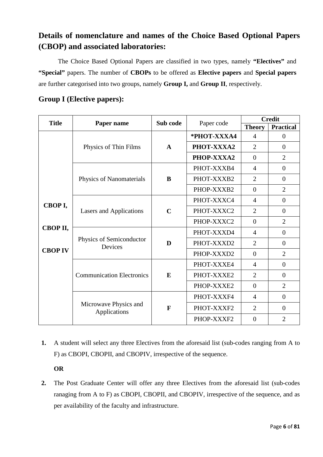# **Details of nomenclature and names of the Choice Based Optional Papers (CBOP) and associated laboratories:**

 The Choice Based Optional Papers are classified in two types, namely **"Electives"** and **"Special"** papers. The number of **CBOPs** to be offered as **Elective papers** and **Special papers**  are further categorised into two groups, namely **Group I,** and **Group II**, respectively.

| <b>Title</b>   |                                                                                                           | Sub code              |             | <b>Credit</b>  |                  |
|----------------|-----------------------------------------------------------------------------------------------------------|-----------------------|-------------|----------------|------------------|
|                | Paper name                                                                                                |                       | Paper code  | <b>Theory</b>  | <b>Practical</b> |
|                |                                                                                                           |                       | *PHOT-XXXA4 | 4              | $\boldsymbol{0}$ |
|                | Physics of Thin Films                                                                                     | $\mathbf{A}$          | PHOT-XXXA2  | $\overline{2}$ | $\overline{0}$   |
|                |                                                                                                           |                       | PHOP-XXXA2  | $\overline{0}$ | $\overline{2}$   |
|                |                                                                                                           | B                     | PHOT-XXXB4  | $\overline{4}$ | $\theta$         |
|                | Physics of Nanomaterials                                                                                  |                       | PHOT-XXXB2  | $\overline{2}$ | $\overline{0}$   |
|                |                                                                                                           |                       | PHOP-XXXB2  | $\overline{0}$ | $\overline{2}$   |
|                |                                                                                                           | $\mathbf C$<br>D<br>E | PHOT-XXXC4  | $\overline{4}$ | $\overline{0}$   |
| CBOP I,        | <b>Lasers and Applications</b><br>Physics of Semiconductor<br>Devices<br><b>Communication Electronics</b> |                       | PHOT-XXXC2  | $\overline{2}$ | $\theta$         |
|                |                                                                                                           |                       | PHOP-XXXC2  | $\Omega$       | $\overline{2}$   |
| СВОР II,       |                                                                                                           |                       | PHOT-XXXD4  | $\overline{4}$ | $\overline{0}$   |
|                |                                                                                                           |                       | PHOT-XXXD2  | $\overline{2}$ | $\overline{0}$   |
| <b>CBOP IV</b> |                                                                                                           |                       | PHOP-XXXD2  | $\overline{0}$ | $\overline{2}$   |
|                |                                                                                                           |                       | PHOT-XXXE4  | $\overline{4}$ | $\theta$         |
|                |                                                                                                           |                       | PHOT-XXXE2  | $\overline{2}$ | $\theta$         |
|                |                                                                                                           |                       | PHOP-XXXE2  | $\overline{0}$ | $\overline{2}$   |
|                |                                                                                                           |                       | PHOT-XXXF4  | $\overline{4}$ | $\overline{0}$   |
|                | Microwave Physics and<br>Applications                                                                     | F                     | PHOT-XXXF2  | $\overline{2}$ | $\Omega$         |
|                |                                                                                                           |                       | PHOP-XXXF2  | $\overline{0}$ | $\overline{2}$   |

# **Group I (Elective papers):**

**1.** A student will select any three Electives from the aforesaid list (sub-codes ranging from A to F) as CBOPI, CBOPII, and CBOPIV, irrespective of the sequence.

### **OR**

**2.** The Post Graduate Center will offer any three Electives from the aforesaid list (sub-codes ranaging from A to F) as CBOPI, CBOPII, and CBOPIV, irrespective of the sequence, and as per availability of the faculty and infrastructure.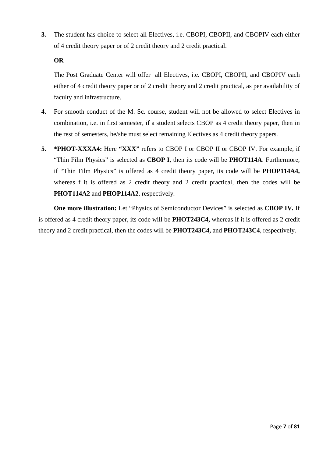**3.** The student has choice to select all Electives, i.e. CBOPI, CBOPII, and CBOPIV each either of 4 credit theory paper or of 2 credit theory and 2 credit practical.

#### **OR**

The Post Graduate Center will offer all Electives, i.e. CBOPI, CBOPII, and CBOPIV each either of 4 credit theory paper or of 2 credit theory and 2 credit practical, as per availability of faculty and infrastructure.

- **4.** For smooth conduct of the M. Sc. course, student will not be allowed to select Electives in combination, i.e. in first semester, if a student selects CBOP as 4 credit theory paper, then in the rest of semesters, he/she must select remaining Electives as 4 credit theory papers.
- **5. \*PHOT-XXXA4:** Here **"XXX"** refers to CBOP I or CBOP II or CBOP IV. For example, if "Thin Film Physics" is selected as **CBOP I**, then its code will be **PHOT114A**. Furthermore, if "Thin Film Physics" is offered as 4 credit theory paper, its code will be **PHOP114A4,**  whereas f it is offered as 2 credit theory and 2 credit practical, then the codes will be **PHOT114A2** and **PHOP114A2**, respectively.

**One more illustration:** Let "Physics of Semiconductor Devices" is selected as **CBOP IV.** If is offered as 4 credit theory paper, its code will be **PHOT243C4,** whereas if it is offered as 2 credit theory and 2 credit practical, then the codes will be **PHOT243C4,** and **PHOT243C4**, respectively.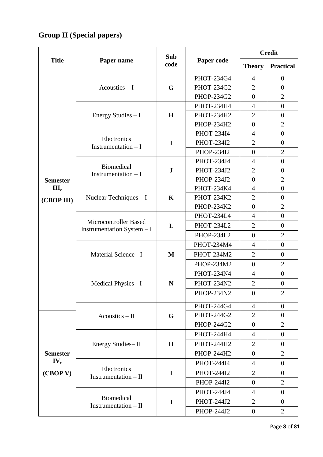# **Group II (Special papers)**

|                                    | Paper name                                           | Sub<br>code | Paper code        | <b>Credit</b>    |                  |
|------------------------------------|------------------------------------------------------|-------------|-------------------|------------------|------------------|
| <b>Title</b>                       |                                                      |             |                   | <b>Theory</b>    | <b>Practical</b> |
|                                    |                                                      |             | PHOT-234G4        | $\overline{4}$   | $\boldsymbol{0}$ |
|                                    | Acoustics $-1$                                       | G           | PHOT-234G2        | $\overline{2}$   | $\overline{0}$   |
|                                    |                                                      |             | PHOP-234G2        | $\overline{0}$   | $\overline{2}$   |
|                                    |                                                      |             | PHOT-234H4        | 4                | $\boldsymbol{0}$ |
|                                    | Energy Studies $-1$                                  | $\mathbf H$ | PHOT-234H2        | $\overline{2}$   | $\overline{0}$   |
|                                    |                                                      |             | PHOP-234H2        | $\overline{0}$   | $\overline{2}$   |
|                                    | Electronics                                          |             | PHOT-234I4        | $\overline{4}$   | $\boldsymbol{0}$ |
|                                    | Instrumentation $- I$                                | $\mathbf I$ | PHOT-234I2        | $\overline{2}$   | $\boldsymbol{0}$ |
|                                    |                                                      |             | PHOP-234I2        | $\overline{0}$   | $\overline{2}$   |
|                                    | Biomedical                                           |             | PHOT-234J4        | $\overline{4}$   | $\boldsymbol{0}$ |
|                                    | Instrumentation $- I$                                | ${\bf J}$   | <b>PHOT-234J2</b> | $\overline{2}$   | $\overline{0}$   |
| <b>Semester</b>                    |                                                      |             | PHOP-234J2        | $\overline{0}$   | $\overline{2}$   |
| Ш,                                 | Nuclear Techniques - I                               |             | PHOT-234K4        | $\overline{4}$   | $\boldsymbol{0}$ |
| (CBOP III)                         |                                                      | $\mathbf K$ | <b>PHOT-234K2</b> | $\overline{2}$   | $\overline{0}$   |
|                                    |                                                      |             | PHOP-234K2        | $\overline{0}$   | $\overline{2}$   |
|                                    | Microcontroller Based<br>Instrumentation System $-1$ | L           | PHOT-234L4        | $\overline{4}$   | $\overline{0}$   |
|                                    |                                                      |             | PHOT-234L2        | $\overline{2}$   | $\overline{0}$   |
|                                    |                                                      |             | PHOP-234L2        | $\overline{0}$   | $\overline{2}$   |
|                                    | Material Science - I                                 | M           | PHOT-234M4        | $\overline{4}$   | $\boldsymbol{0}$ |
|                                    |                                                      |             | PHOT-234M2        | $\overline{2}$   | $\boldsymbol{0}$ |
|                                    |                                                      |             | PHOP-234M2        | $\overline{0}$   | $\overline{2}$   |
|                                    | Medical Physics - I                                  | N           | PHOT-234N4        | $\overline{4}$   | $\boldsymbol{0}$ |
|                                    |                                                      |             | <b>PHOT-234N2</b> | $\overline{2}$   | $\boldsymbol{0}$ |
|                                    |                                                      |             | PHOP-234N2        | $\theta$         | $\overline{2}$   |
|                                    |                                                      |             | PHOT-244G4        | $\overline{4}$   | $\overline{0}$   |
|                                    | Acoustics - II                                       | G           | PHOT-244G2        | $\overline{2}$   | $\overline{0}$   |
|                                    |                                                      |             | PHOP-244G2        | $\overline{0}$   | $\overline{2}$   |
|                                    |                                                      |             | PHOT-244H4        | $\overline{4}$   | $\boldsymbol{0}$ |
| <b>Semester</b><br>IV,<br>(CBOP V) | Energy Studies-II                                    | H           | PHOT-244H2        | 2                | $\overline{0}$   |
|                                    |                                                      |             | PHOP-244H2        | $\overline{0}$   | 2                |
|                                    |                                                      |             | PHOT-244I4        | 4                | $\boldsymbol{0}$ |
|                                    | Electronics<br>Instrumentation $-$ II                | $\mathbf I$ | PHOT-244I2        | $\overline{2}$   | $\overline{0}$   |
|                                    |                                                      |             | PHOP-244I2        | $\overline{0}$   | $\overline{2}$   |
|                                    |                                                      |             | PHOT-244J4        | $\overline{4}$   | $\boldsymbol{0}$ |
|                                    | <b>Biomedical</b><br>Instrumentation - II            | ${\bf J}$   | PHOT-244J2        | $\overline{2}$   | $\overline{0}$   |
|                                    |                                                      |             | PHOP-244J2        | $\boldsymbol{0}$ | $\overline{2}$   |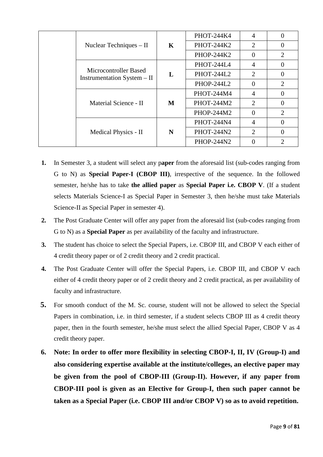|  |                                                      |         | PHOT-244K4        | $\overline{A}$ | $\theta$       |
|--|------------------------------------------------------|---------|-------------------|----------------|----------------|
|  | Nuclear Techniques – II                              | $\bf K$ | PHOT-244K2        | 2              | $\overline{0}$ |
|  |                                                      |         | PHOP-244K2        | $\theta$       | $\overline{2}$ |
|  |                                                      |         | PHOT-244L4        | $\overline{A}$ | $\Omega$       |
|  | Microcontroller Based<br>Instrumentation System – II | L       | <b>PHOT-244L2</b> | $\overline{2}$ | 0              |
|  |                                                      |         | PHOP-244L2        | $\Omega$       | $\overline{2}$ |
|  |                                                      |         | PHOT-244M4        | 4              | 0              |
|  | Material Science - II                                | M       | PHOT-244M2        | 2              | 0              |
|  |                                                      |         | PHOP-244M2        | $\Omega$       | 2              |
|  |                                                      |         | <b>PHOT-244N4</b> | $\overline{4}$ |                |
|  | Medical Physics - II                                 | N       | <b>PHOT-244N2</b> | $\overline{2}$ | 0              |
|  |                                                      |         | PHOP-244N2        |                | $\overline{2}$ |

- **1.** In Semester 3, a student will select any p**aper** from the aforesaid list (sub-codes ranging from G to N) as **Special Paper-I (CBOP III)**, irrespective of the sequence. In the followed semester, he/she has to take **the allied paper** as **Special Paper i.e. CBOP V**. (If a student selects Materials Science-I as Special Paper in Semester 3, then he/she must take Materials Science-II as Special Paper in semester 4).
- **2.** The Post Graduate Center will offer any paper from the aforesaid list (sub-codes ranging from G to N) as a **Special Paper** as per availability of the faculty and infrastructure.
- **3.** The student has choice to select the Special Papers, i.e. CBOP III, and CBOP V each either of 4 credit theory paper or of 2 credit theory and 2 credit practical.
- **4.** The Post Graduate Center will offer the Special Papers, i.e. CBOP III, and CBOP V each either of 4 credit theory paper or of 2 credit theory and 2 credit practical, as per availability of faculty and infrastructure.
- **5.** For smooth conduct of the M. Sc. course, student will not be allowed to select the Special Papers in combination, i.e. in third semester, if a student selects CBOP III as 4 credit theory paper, then in the fourth semester, he/she must select the allied Special Paper, CBOP V as 4 credit theory paper.
- **6. Note: In order to offer more flexibility in selecting CBOP-I, II, IV (Group-I) and also considering expertise available at the institute/colleges, an elective paper may be given from the pool of CBOP-III (Group-II). However, if any paper from CBOP-III pool is given as an Elective for Group-I, then such paper cannot be taken as a Special Paper (i.e. CBOP III and/or CBOP V) so as to avoid repetition.**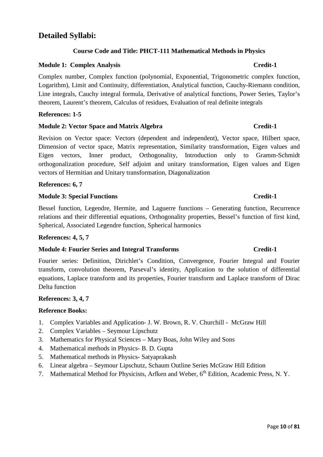# **Detailed Syllabi:**

### **Course Code and Title: PHCT-111 Mathematical Methods in Physics**

### **Module 1: Complex Analysis Credit-1**

Complex number, Complex function (polynomial, Exponential, Trigonometric complex function, Logarithm), Limit and Continuity, differentiation, Analytical function, Cauchy-Riemann condition, Line integrals, Cauchy integral formula, Derivative of analytical functions, Power Series, Taylor's theorem, Laurent's theorem, Calculus of residues, Evaluation of real definite integrals

#### **References: 1-5**

### **Module 2: Vector Space and Matrix Algebra Credit-1 Credit-1**

Revision on Vector space: Vectors (dependent and independent), Vector space, Hilbert space, Dimension of vector space, Matrix representation, Similarity transformation, Eigen values and Eigen vectors, Inner product, Orthogonality, Introduction only to Gramm-Schmidt orthogonalization procedure, Self adjoint and unitary transformation, Eigen values and Eigen vectors of Hermitian and Unitary transformation, Diagonalization

### **References: 6, 7**

### **Module 3: Special Functions Credit-1**

Bessel function, Legendre, Hermite, and Laguerre functions – Generating function, Recurrence relations and their differential equations, Orthogonality properties, Bessel's function of first kind, Spherical, Associated Legendre function, Spherical harmonics

#### **References: 4, 5, 7**

### **Module 4: Fourier Series and Integral Transforms Credit-1 Credit-1**

Fourier series: Definition, Dirichlet's Condition, Convergence, Fourier Integral and Fourier transform, convolution theorem, Parseval's identity, Application to the solution of differential equations, Laplace transform and its properties, Fourier transform and Laplace transform of Dirac Delta function

#### **References: 3, 4, 7**

#### **Reference Books:**

- 1. Complex Variables and Application- J. W. Brown, R. V. Churchill McGraw Hill
- 2. Complex Variables Seymour Lipschutz
- 3. Mathematics for Physical Sciences Mary Boas, John Wiley and Sons
- 4. Mathematical methods in Physics- B. D. Gupta
- 5. Mathematical methods in Physics- Satyaprakash
- 6. Linear algebra Seymour Lipschutz, Schaum Outline Series McGraw Hill Edition
- 7. Mathematical Method for Physicists, Arfken and Weber, 6<sup>th</sup> Edition, Academic Press, N.Y.

#### Page **10** of **81**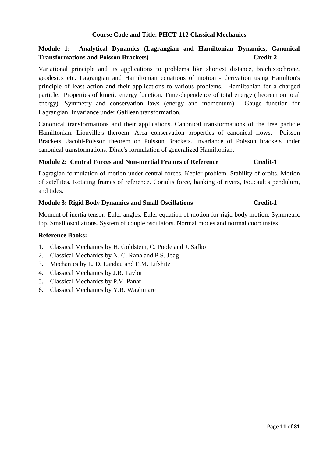### **Course Code and Title: PHCT-112 Classical Mechanics**

### **Module 1: Analytical Dynamics (Lagrangian and Hamiltonian Dynamics, Canonical Transformations and Poisson Brackets** (Section 2) **Credit-2**

Variational principle and its applications to problems like shortest distance, brachistochrone, geodesics etc. Lagrangian and Hamiltonian equations of motion - derivation using Hamilton's principle of least action and their applications to various problems. Hamiltonian for a charged particle. Properties of kinetic energy function. Time-dependence of total energy (theorem on total energy). Symmetry and conservation laws (energy and momentum). Gauge function for Lagrangian. Invariance under Galilean transformation.

Canonical transformations and their applications. Canonical transformations of the free particle Hamiltonian. Liouville's theroem. Area conservation properties of canonical flows. Poisson Brackets. Jacobi-Poisson theorem on Poisson Brackets. Invariance of Poisson brackets under canonical transformations. Dirac's formulation of generalized Hamiltonian.

#### **Module 2: Central Forces and Non-inertial Frames of Reference Credit-1**

Lagragian formulation of motion under central forces. Kepler problem. Stability of orbits. Motion of satellites. Rotating frames of reference. Coriolis force, banking of rivers, Foucault's pendulum, and tides.

#### **Module 3: Rigid Body Dynamics and Small Oscillations Credit-1**

Moment of inertia tensor. Euler angles. Euler equation of motion for rigid body motion. Symmetric top. Small oscillations. System of couple oscillators. Normal modes and normal coordinates.

- 1. Classical Mechanics by H. Goldstein, C. Poole and J. Safko
- 2. Classical Mechanics by N. C. Rana and P.S. Joag
- 3. Mechanics by L. D. Landau and E.M. Lifshitz
- 4. Classical Mechanics by J.R. Taylor
- 5. Classical Mechanics by P.V. Panat
- 6. Classical Mechanics by Y.R. Waghmare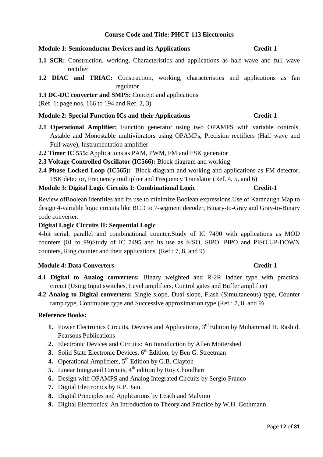### **Course Code and Title: PHCT-113 Electronics**

#### **Module 1: Semiconductor Devices and its Applications Credit-1 Credit-1**

- 1.1 SCR: Construction, working, Characteristics and applications as half wave and full wave rectifier
- **1.2 DIAC and TRIAC:** Construction, working, characteristics and applications as fan regulator

#### **1.3 DC-DC converter and SMPS:** Concept and applications

(Ref. 1: page nos. 166 to 194 and Ref. 2, 3)

#### **Module 2: Special Function ICs and their Applications Credit-1 Credit-1**

- 2.1 **Operational Amplifier:** Function generator using two OPAMPS with variable controls, Astable and Monostable multivibrators using OPAMPs, Precision rectifiers (Half wave and Full wave), Instrumentation amplifier
- **2.2 Timer IC 555:** Applications as PAM, PWM, FM and FSK generator
- **2.3 Voltage Controlled Oscillator (IC566):** Block diagram and working
- **2.4 Phase Locked Loop (IC565):** Block diagram and working and applications as FM detector, FSK detector, Frequency multiplier and Frequency Translator (Ref. 4, 5, and 6)

#### **Module 3: Digital Logic Circuits I: Combinational Logic Credit-1 Credit-1**

Review ofBoolean identities and its use to minimize Boolean expressions.Use of Karanaugh Map to design 4-variable logic circuits like BCD to 7-segment decoder, Binary-to-Gray and Gray-to-Binary code converter.

#### **Digital Logic Circuits II: Sequential Logic**

4-bit serial, parallel and combinational counter.Study of IC 7490 with applications as MOD counters (01 to 99)Study of IC 7495 and its use as SISO, SIPO, PIPO and PISO.UP-DOWN counters, Ring counter and their applications. (Ref.: 7, 8, and 9)

#### **Module 4: Data Converters Credit-1**

- **4.1 Digital to Analog converters:** Binary weighted and R-2R ladder type with practical circuit (Using Input switches, Level amplifiers, Control gates and Buffer amplifier)
- **4.2 Analog to Digital converters:** Single slope, Dual slope, Flash (Simultaneous) type, Counter ramp type, Continuous type and Successive approximation type (Ref.: 7, 8, and 9)

- **1.** Power Electronics Circuits, Devices and Applications, 3<sup>rd</sup> Edition by Muhammad H. Rashid, Pearsons Publications
- **2.** Electronic Devices and Circuits: An Introduction by Allen Mottershed
- **3.** Solid State Electronic Devices,  $6<sup>th</sup>$  Edition, by Ben G. Streetman
- **4.** Operational Amplifiers,  $5^{th}$  Edition by G.B. Clayton
- **5.** Linear Integrated Circuits, 4<sup>th</sup> edition by Roy Choudhari
- **6.** Design with OPAMPS and Analog Integrated Circuits by Sergio Franco
- **7.** Digital Electronics by R.P. Jain
- **8.** Digital Principles and Applications by Leach and Malvino
- **9.** Digital Electronics: An Introduction to Theory and Practice by W.H. Gothmann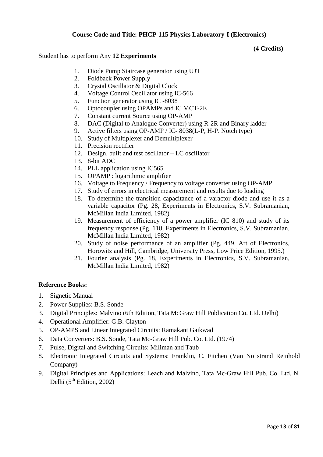### **Course Code and Title: PHCP-115 Physics Laboratory-I (Electronics)**

#### **(4 Credits)**

#### Student has to perform Any **12 Experiments**

- 1. Diode Pump Staircase generator using UJT
- 2. Foldback Power Supply
- 3. Crystal Oscillator & Digital Clock
- 4. Voltage Control Oscillator using IC-566
- 5. Function generator using IC -8038
- 6. Optocoupler using OPAMPs and IC MCT-2E
- 7. Constant current Source using OP-AMP
- 8. DAC (Digital to Analogue Converter) using R-2R and Binary ladder
- 9. Active filters using OP-AMP / IC- 8038(L-P, H-P. Notch type)
- 10. Study of Multiplexer and Demultiplexer
- 11. Precision rectifier
- 12. Design, built and test oscillator LC oscillator
- 13. 8-bit ADC
- 14. PLL application using IC565
- 15. OPAMP : logarithmic amplifier
- 16. Voltage to Frequency / Frequency to voltage converter using OP-AMP
- 17. Study of errors in electrical measurement and results due to loading
- 18. To determine the transition capacitance of a varactor diode and use it as a variable capacitor (Pg. 28, Experiments in Electronics, S.V. Subramanian, McMillan India Limited, 1982)
- 19. Measurement of efficiency of a power amplifier (IC 810) and study of its frequency response.(Pg. 118, Experiments in Electronics, S.V. Subramanian, McMillan India Limited, 1982)
- 20. Study of noise performance of an amplifier (Pg. 449, Art of Electronics, Horowitz and Hill, Cambridge, University Press, Low Price Edition, 1995.)
- 21. Fourier analysis (Pg. 18, Experiments in Electronics, S.V. Subramanian, McMillan India Limited, 1982)

- 1. Signetic Manual
- 2. Power Supplies: B.S. Sonde
- 3. Digital Principles: Malvino (6th Edition, Tata McGraw Hill Publication Co. Ltd. Delhi)
- 4. Operational Amplifier: G.B. Clayton
- 5. OP-AMPS and Linear Integrated Circuits: Ramakant Gaikwad
- 6. Data Converters: B.S. Sonde, Tata Mc-Graw Hill Pub. Co. Ltd. (1974)
- 7. Pulse, Digital and Switching Circuits: Miliman and Taub
- 8. Electronic Integrated Circuits and Systems: Franklin, C. Fitchen (Van No strand Reinhold Company)
- 9. Digital Principles and Applications: Leach and Malvino, Tata Mc-Graw Hill Pub. Co. Ltd. N. Delhi  $(5<sup>th</sup> Edition, 2002)$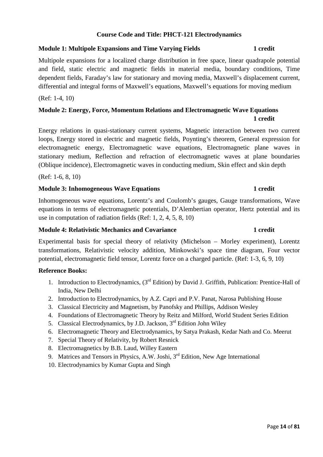### **Course Code and Title: PHCT-121 Electrodynamics**

### **Module 1: Multipole Expansions and Time Varying Fields 1 credit 1 credit**

# Multipole expansions for a localized charge distribution in free space, linear quadrapole potential and field, static electric and magnetic fields in material media, boundary conditions, Time dependent fields, Faraday's law for stationary and moving media, Maxwell's displacement current, differential and integral forms of Maxwell's equations, Maxwell's equations for moving medium

### (Ref: 1-4, 10)

# **Module 2: Energy, Force, Momentum Relations and Electromagnetic Wave Equations 1 credit**

Energy relations in quasi-stationary current systems, Magnetic interaction between two current loops, Energy stored in electric and magnetic fields, Poynting's theorem, General expression for electromagnetic energy, Electromagnetic wave equations, Electromagnetic plane waves in stationary medium, Reflection and refraction of electromagnetic waves at plane boundaries (Oblique incidence), Electromagnetic waves in conducting medium, Skin effect and skin depth

(Ref: 1-6, 8, 10)

### **Module 3: Inhomogeneous Wave Equations 1 credit 1 credit**

Inhomogeneous wave equations, Lorentz's and Coulomb's gauges, Gauge transformations, Wave equations in terms of electromagnetic potentials, D'Alembertian operator, Hertz potential and its use in computation of radiation fields (Ref: 1, 2, 4, 5, 8, 10)

### **Module 4: Relativistic Mechanics and Covariance 1 credit 1 credit**

Experimental basis for special theory of relativity (Michelson – Morley experiment), Lorentz transformations, Relativistic velocity addition, Minkowski's space time diagram, Four vector potential, electromagnetic field tensor, Lorentz force on a charged particle. (Ref: 1-3, 6, 9, 10)

- 1. Introduction to Electrodynamics, (3<sup>rd</sup> Edition) by David J. Griffith, Publication: Prentice-Hall of India, New Delhi
- 2. Introduction to Electrodynamics, by A.Z. Capri and P.V. Panat, Narosa Publishing House
- 3. Classical Electricity and Magnetism, by Panofsky and Phillips, Addison Wesley
- 4. Foundations of Electromagnetic Theory by Reitz and Milford, World Student Series Edition
- 5. Classical Electrodynamics, by J.D. Jackson, 3<sup>rd</sup> Edition John Wiley
- 6. Electromagnetic Theory and Electrodynamics, by Satya Prakash, Kedar Nath and Co. Meerut
- 7. Special Theory of Relativity, by Robert Resnick
- 8. Electromagnetics by B.B. Laud, Willey Eastern
- 9. Matrices and Tensors in Physics, A.W. Joshi, 3<sup>rd</sup> Edition, New Age International
- 10. Electrodynamics by Kumar Gupta and Singh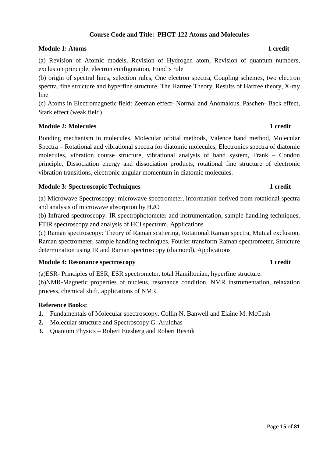## **Course Code and Title: PHCT-122 Atoms and Molecules**

### **Module 1:** Atoms 1 credit **1**

(a) Revision of Atomic models, Revision of Hydrogen atom, Revision of quantum numbers, exclusion principle, electron configuration, Hund's rule

(b) origin of spectral lines, selection rules, One electron spectra, Coupling schemes, two electron spectra, fine structure and hyperfine structure, The Hartree Theory, Results of Hartree theory, X-ray line

(c) Atoms in Electromagnetic field: Zeeman effect- Normal and Anomalous, Paschen- Back effect, Stark effect (weak field)

### **Module 2: Molecules 1 credit 1 credit 1 credit 1 credit 1 credit 1 credit 1 credit 1 credit 1 credit 1 credit 1 credit 1 credit 1 credit 1 credit 1 credit 1 credit 1 credit 1 credit 1 credit 1 credit 1 credit 1 credit 1 c**

Bonding mechanism in molecules, Molecular orbital methods, Valence band method, Molecular Spectra – Rotational and vibrational spectra for diatomic molecules, Electronics spectra of diatomic molecules, vibration course structure, vibrational analysis of band system, Frank – Condon principle, Dissociation energy and dissociation products, rotational fine structure of electronic vibration transitions, electronic angular momentum in diatomic molecules.

### **Module 3: Spectroscopic Techniques 1 credit 1 credit 1 credit 1 credit 1 credit 1 credit 1 credit 1 credit 1 credit 1 credit 1 credit 1 credit 1 credit 1 credit 1 credit 1 credit 1 credit 1 credit 1 credit 1 credit 1 cred**

(a) Microwave Spectroscopy: microwave spectrometer, information derived from rotational spectra and analysis of microwave absorption by H2O

(b) Infrared spectroscopy: IR spectrophotometer and instrumentation, sample handling techniques, FTIR spectroscopy and analysis of HCl spectrum, Applications

(c) Raman spectroscopy: Theory of Raman scattering, Rotational Raman spectra, Mutual exclusion, Raman spectrometer, sample handling techniques, Fourier transform Raman spectrometer, Structure determination using IR and Raman spectroscopy (diamond), Applications

#### **Module 4: Resonance spectroscopy 1 credit 1 credit 1 credit 1 credit 1 credit 1 credit 1 credit 1 credit 1 credit 1 credit 1 credit 1 credit 1 credit 1 credit 1 credit 1 credit 1 credit 1 credit 1 credit 1 credit 1 credit**

(a)ESR- Principles of ESR, ESR spectrometer, total Hamiltonian, hyperfine structure. (b)NMR-Magnetic properties of nucleus, resonance condition, NMR instrumentation, relaxation process, chemical shift, applications of NMR.

- **1.** Fundamentals of Molecular spectroscopy. Collin N. Banwell and Elaine M. McCash
- **2.** Molecular structure and Spectroscopy G. Aruldhas
- **3.** Quantum Physics Robert Eiesberg and Robert Resnik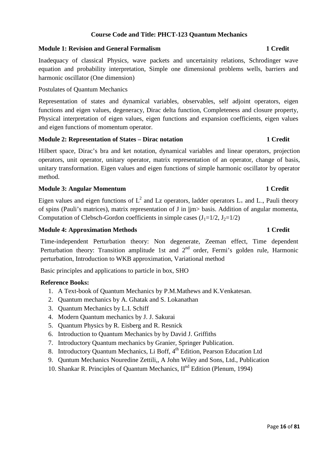### **Course Code and Title: PHCT-123 Quantum Mechanics**

#### **Module 1: Revision and General Formalism 1 Credit**

Inadequacy of classical Physics, wave packets and uncertainity relations, Schrodinger wave equation and probability interpretation, Simple one dimensional problems wells, barriers and harmonic oscillator (One dimension)

### Postulates of Quantum Mechanics

Representation of states and dynamical variables, observables, self adjoint operators, eigen functions and eigen values, degeneracy, Dirac delta function, Completeness and closure property, Physical interpretation of eigen values, eigen functions and expansion coefficients, eigen values and eigen functions of momentum operator.

#### **Module 2: Representation of States – Dirac notation 1 Credit**

Hilbert space, Dirac's bra and ket notation, dynamical variables and linear operators, projection operators, unit operator, unitary operator, matrix representation of an operator, change of basis, unitary transformation. Eigen values and eigen functions of simple harmonic oscillator by operator method.

### **Module 3: Angular Momentum 1 Credit**

Eigen values and eigen functions of  $L^2$  and Lz operators, ladder operators  $L_+$  and  $L_-$ , Pauli theory of spins (Pauli's matrices), matrix representation of J in |jm> basis. Addition of angular momenta, Computation of Clebsch-Gordon coefficients in simple cases  $(J_1=1/2, J_2=1/2)$ 

#### **Module 4: Approximation Methods 1 Credit**

Time-independent Perturbation theory: Non degenerate, Zeeman effect, Time dependent Perturbation theory: Transition amplitude 1st and  $2<sup>nd</sup>$  order, Fermi's golden rule, Harmonic perturbation, Introduction to WKB approximation, Variational method

Basic principles and applications to particle in box, SHO

- 1. A Text-book of Quantum Mechanics by P.M.Mathews and K.Venkatesan.
- 2. Quantum mechanics by A. Ghatak and S. Lokanathan
- 3. Quantum Mechanics by L.I. Schiff
- 4. Modern Quantum mechanics by J. J. Sakurai
- 5. Quantum Physics by R. Eisberg and R. Resnick
- 6. Introduction to Quantum Mechanics by by David J. Griffiths
- 7. Introductory Quantum mechanics by Granier, Springer Publication.
- 8. Introductory Quantum Mechanics, Li Boff, 4<sup>th</sup> Edition, Pearson Education Ltd
- 9. Quntum Mechanics Nouredine Zettili,, A John Wiley and Sons, Ltd., Publication
- 10. Shankar R. Principles of Quantum Mechanics, II<sup>nd</sup> Edition (Plenum, 1994)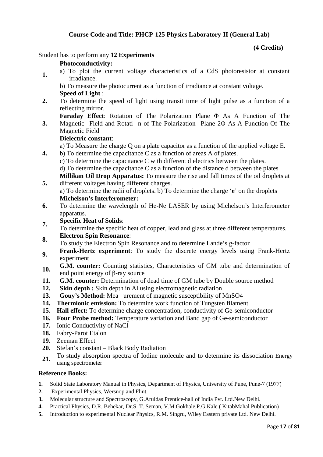### **Course Code and Title: PHCP-125 Physics Laboratory-II (General Lab)**

#### **(4 Credits)**

Student has to perform any **12 Experiments** 

#### **Photoconductivity:**

**1.** a) To plot the current voltage characteristics of a CdS photoresistor at constant irradiance.

b) To measure the photocurrent as a function of irradiance at constant voltage. **Speed of Light** :

- **2.** To determine the speed of light using transit time of light pulse as a function of a reflecting mirror.
	- **Faraday Effect**: Rotation of The Polarization Plane Φ As A Function of The Magnetic Field and Rotati n of The Polarization Plane 2Φ As A Function Of The
- **3.** Magnetic Field

### **Dielectric constant**:

a) To Measure the charge Q on a plate capacitor as a function of the applied voltage E.

- **4.** b) To determine the capacitance C as a function of areas A of plates.
	- c) To determine the capacitance C with different dielectrics between the plates.

d) To determine the capacitance C as a function of the distance d between the plates

**Millikan Oil Drop Apparatus:** To measure the rise and fall times of the oil droplets at different voltages having different charges.

a) To determine the radii of droplets. b) To determine the charge '**e**' on the droplets **Michelson's Interferometer:** 

- **6.** To determine the wavelength of He-Ne LASER by using Michelson's Interferometer apparatus.
- **7. Specific Heat of Solids**:

**5.**

- To determine the specific heat of copper, lead and glass at three different temperatures. **8. Electron Spin Resonance**:
- To study the Electron Spin Resonance and to determine Lande's g-factor
- **9. Frank-Hertz experiment**: To study the discrete energy levels using Frank-Hertz experiment
- **10. G.M. counter:** Counting statistics, Characteristics of GM tube and determination of end point energy of β-ray source
- **11. G.M. counter:** Determination of dead time of GM tube by Double source method
- **12. Skin depth :** Skin depth in Al using electromagnetic radiation
- **13. Gouy's Method:** Mea urement of magnetic susceptibility of MnSO4
- **14. Thermionic emission:** To determine work function of Tungsten filament
- **15. Hall effect:** To determine charge concentration, conductivity of Ge-semiconductor
- **16. Four Probe method:** Temperature variation and Band gap of Ge-semiconductor
- **17.** Ionic Conductivity of NaCl
- **18.** Fabry-Parot Etalon
- **19.** Zeeman Effect
- **20.** Stefan's constant Black Body Radiation
- **21.** To study absorption spectra of Iodine molecule and to determine its dissociation Energy using spectrometer

- **1.** Solid State Laboratory Manual in Physics, Department of Physics, University of Pune, Pune-7 (1977)
- **2.** Experimental Physics, Wersnop and Flint.
- **3.** Molecular structure and Spectroscopy, G.Aruldas Prentice-hall of India Pvt. Ltd.New Delhi.
- **4.** Practical Physics, D.R. Behekar, Dr.S. T. Seman, V.M.Gokhale,P.G.Kale ( KitabMahal Publication)
- **5.** Introduction to experimental Nuclear Physics, R.M. Singru, Wiley Eastern private Ltd. New Delhi.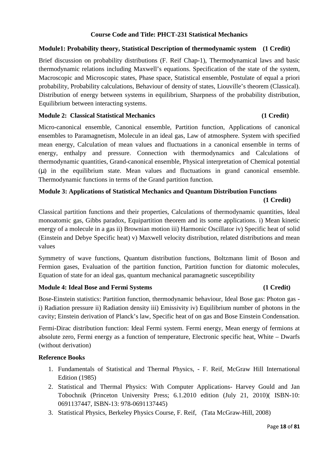### **Course Code and Title: PHCT-231 Statistical Mechanics**

### **Module1: Probability theory, Statistical Description of thermodynamic system (1 Credit)**

Brief discussion on probability distributions (F. Reif Chap-1), Thermodynamical laws and basic thermodynamic relations including Maxwell's equations. Specification of the state of the system, Macroscopic and Microscopic states, Phase space, Statistical ensemble, Postulate of equal a priori probability, Probability calculations, Behaviour of density of states, Liouville's theorem (Classical). Distribution of energy between systems in equilibrium, Sharpness of the probability distribution, Equilibrium between interacting systems.

### **Module 2: Classical Statistical Mechanics (1 Credit)**

# Micro-canonical ensemble, Canonical ensemble, Partition function, Applications of canonical ensembles to Paramagnetism, Molecule in an ideal gas, Law of atmosphere. System with specified mean energy, Calculation of mean values and fluctuations in a canonical ensemble in terms of energy, enthalpy and pressure. Connection with thermodynamics and Calculations of thermodynamic quantities, Grand-canonical ensemble, Physical interpretation of Chemical potential (µ) in the equilibrium state. Mean values and fluctuations in grand canonical ensemble. Thermodynamic functions in terms of the Grand partition function.

# **Module 3: Applications of Statistical Mechanics and Quantum Distribution Functions (1 Credit)**

Classical partition functions and their properties, Calculations of thermodynamic quantities, Ideal monoatomic gas, Gibbs paradox, Equipartition theorem and its some applications. i) Mean kinetic energy of a molecule in a gas ii) Brownian motion iii) Harmonic Oscillator iv) Specific heat of solid (Einstein and Debye Specific heat) v) Maxwell velocity distribution, related distributions and mean values

Symmetry of wave functions, Quantum distribution functions, Boltzmann limit of Boson and Fermion gases, Evaluation of the partition function, Partition function for diatomic molecules, Equation of state for an ideal gas, quantum mechanical paramagnetic susceptibility

### **Module 4: Ideal Bose and Fermi Systems (1 Credit)**

# Bose-Einstein statistics: Partition function, thermodynamic behaviour, Ideal Bose gas: Photon gas i) Radiation pressure ii) Radiation density iii) Emissivity iv) Equilibrium number of photons in the cavity; Einstein derivation of Planck's law, Specific heat of on gas and Bose Einstein Condensation.

Fermi-Dirac distribution function: Ideal Fermi system. Fermi energy, Mean energy of fermions at absolute zero, Fermi energy as a function of temperature, Electronic specific heat, White – Dwarfs (without derivation)

- 1. Fundamentals of Statistical and Thermal Physics, F. Reif, McGraw Hill International Edition (1985)
- 2. Statistical and Thermal Physics: With Computer Applications- Harvey Gould and Jan Tobochnik (Princeton University Press; 6.1.2010 edition (July 21, 2010)( ISBN-10: 0691137447, ISBN-13: 978-0691137445)
- 3. Statistical Physics, Berkeley Physics Course, F. Reif, (Tata McGraw-Hill, 2008)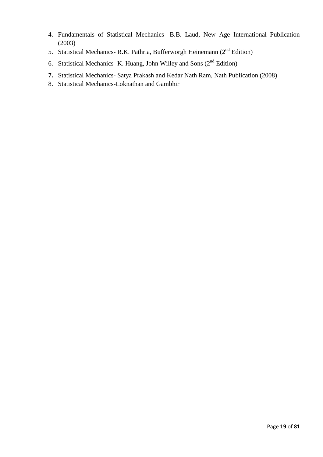- 4. Fundamentals of Statistical Mechanics- B.B. Laud, New Age International Publication (2003)
- 5. Statistical Mechanics- R.K. Pathria, Bufferworgh Heinemann ( $2<sup>nd</sup>$  Edition)
- 6. Statistical Mechanics- K. Huang, John Willey and Sons  $(2<sup>nd</sup> Edition)$
- **7.** Statistical Mechanics- Satya Prakash and Kedar Nath Ram, Nath Publication (2008)
- 8. Statistical Mechanics-Loknathan and Gambhir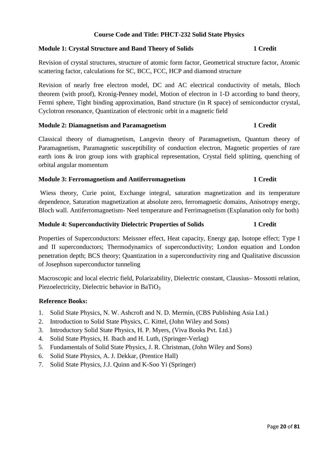### **Course Code and Title: PHCT-232 Solid State Physics**

### **Module 1: Crystal Structure and Band Theory of Solids 1 Credit 1 Credit**

Revision of crystal structures, structure of atomic form factor, Geometrical structure factor, Atomic scattering factor, calculations for SC, BCC, FCC, HCP and diamond structure

Revision of nearly free electron model, DC and AC electrical conductivity of metals, Bloch theorem (with proof), Kronig-Penney model, Motion of electron in 1-D according to band theory, Fermi sphere, Tight binding approximation, Band structure (in R space) of semiconductor crystal, Cyclotron resonance, Quantization of electronic orbit in a magnetic field

#### **Module 2: Diamagnetism and Paramagnetism 1 Credit 1 Credit**

Classical theory of diamagnetism, Langevin theory of Paramagnetism, Quantum theory of Paramagnetism, Paramagnetic susceptibility of conduction electron, Magnetic properties of rare earth ions & iron group ions with graphical representation, Crystal field splitting, quenching of orbital angular momentum

### **Module 3: Ferromagnetism and Antiferromagnetism 1 Credit**

 Wiess theory, Curie point, Exchange integral, saturation magnetization and its temperature dependence, Saturation magnetization at absolute zero, ferromagnetic domains, Anisotropy energy, Bloch wall. Antiferromagnetism- Neel temperature and Ferrimagnetism (Explanation only for both)

### **Module 4: Superconductivity Dielectric Properties of Solids 1 Credit**

Properties of Superconductors: Meissner effect, Heat capacity, Energy gap, Isotope effect; Type I and II superconductors; Thermodynamics of superconductivity; London equation and London penetration depth; BCS theory; Quantization in a superconductivity ring and Qualitative discussion of Josephson superconductor tunneling

Macroscopic and local electric field, Polarizability, Dielectric constant, Clausius– Mossotti relation, Piezoelectricity, Dielectric behavior in BaTiO<sub>3</sub>

- 1. Solid State Physics, N. W. Ashcroft and N. D. Mermin, (CBS Publishing Asia Ltd.)
- 2. Introduction to Solid State Physics, C. Kittel, (John Wiley and Sons)
- 3. Introductory Solid State Physics, H. P. Myers, (Viva Books Pvt. Ltd.)
- 4. Solid State Physics, H. Ibach and H. Luth, (Springer-Verlag)
- 5. Fundamentals of Solid State Physics, J. R. Christman, (John Wiley and Sons)
- 6. Solid State Physics, A. J. Dekkar, (Prentice Hall)
- 7. Solid State Physics, J.J. Quinn and K-Soo Yi (Springer)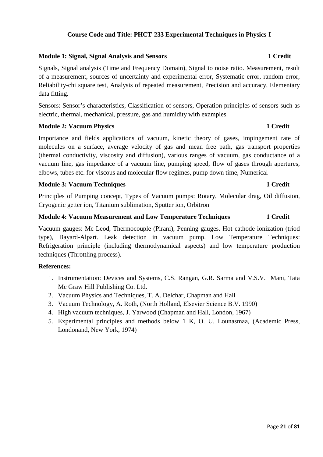### **Course Code and Title: PHCT-233 Experimental Techniques in Physics-I**

### **Module 1: Signal, Signal Analysis and Sensors 1 Credit 1 Credit 1 Credit**

Signals, Signal analysis (Time and Frequency Domain), Signal to noise ratio. Measurement, result of a measurement, sources of uncertainty and experimental error, Systematic error, random error, Reliability-chi square test, Analysis of repeated measurement, Precision and accuracy, Elementary data fitting.

Sensors: Sensor's characteristics, Classification of sensors, Operation principles of sensors such as electric, thermal, mechanical, pressure, gas and humidity with examples.

### **Module 2: Vacuum Physics 1 Credit 1 Credit 1 Credit 1 Credit 1 Credit 1 Credit 1 Credit 1 Credit 1 Credit 1 Credit 1 Credit 1 Credit 1 Credit 1 Credit 1 Credit 1 Credit 1 Credit 1 Credit 1 Credit 1 Credit 1 Credit 1 Credi**

Importance and fields applications of vacuum, kinetic theory of gases, impingement rate of molecules on a surface, average velocity of gas and mean free path, gas transport properties (thermal conductivity, viscosity and diffusion), various ranges of vacuum, gas conductance of a vacuum line, gas impedance of a vacuum line, pumping speed, flow of gases through apertures, elbows, tubes etc. for viscous and molecular flow regimes, pump down time, Numerical

### **Module 3: Vacuum Techniques 1 Credit 1 2 Credit 1 Credit 1 Credit 1 Credit 1 Credit 1 Credit 1 Credit 1 Credit 1 Credit 1 Credit 1 Credit 1 Credit 1 Credit 1 Credit 1 Credit 1 Credit 1 Credit 1 Credit 1 Credit 1 Credit 1**

Principles of Pumping concept, Types of Vacuum pumps: Rotary, Molecular drag, Oil diffusion, Cryogenic getter ion, Titanium sublimation, Sputter ion, Orbitron

#### **Module 4: Vacuum Measurement and Low Temperature Techniques 1 Credit 1 Credit**

Vacuum gauges: Mc Leod, Thermocouple (Pirani), Penning gauges. Hot cathode ionization (triod type), Bayard-Alpart. Leak detection in vacuum pump. Low Temperature Techniques: Refrigeration principle (including thermodynamical aspects) and low temperature production techniques (Throttling process).

#### **References:**

- 1. Instrumentation: Devices and Systems, C.S. Rangan, G.R. Sarma and V.S.V. Mani, Tata Mc Graw Hill Publishing Co. Ltd.
- 2. Vacuum Physics and Techniques, T. A. Delchar, Chapman and Hall
- 3. Vacuum Technology, A. Roth, (North Holland, Elsevier Science B.V. 1990)
- 4. High vacuum techniques, J. Yarwood (Chapman and Hall, London, 1967)
- 5. Experimental principles and methods below 1 K, O. U. Lounasmaa, (Academic Press, Londonand, New York, 1974)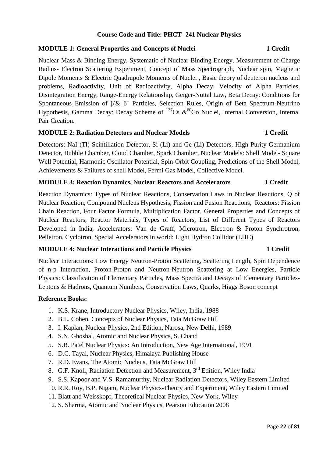### **Course Code and Title: PHCT -241 Nuclear Physics**

### **MODULE 1: General Properties and Concepts of Nuclei 1 Credit 1 Credit**

Nuclear Mass & Binding Energy, Systematic of Nuclear Binding Energy, Measurement of Charge Radius- Electron Scattering Experiment, Concept of Mass Spectrograph, Nuclear spin, Magnetic Dipole Moments & Electric Quadrupole Moments of Nuclei , Basic theory of deuteron nucleus and problems, Radioactivity, Unit of Radioactivity, Alpha Decay: Velocity of Alpha Particles, Disintegration Energy, Range-Energy Relationship, Geiger-Nuttal Law, Beta Decay: Conditions for Spontaneous Emission of  $\beta \& \beta^+$  Particles, Selection Rules, Origin of Beta Spectrum-Neutrino Hypothesis, Gamma Decay: Decay Scheme of  $^{137}Cs \& ^{60}Co$  Nuclei, Internal Conversion, Internal Pair Creation.

### **MODULE 2: Radiation Detectors and Nuclear Models 1 Credit**

Detectors: NaI (Tl) Scintillation Detector, Si (Li) and Ge (Li) Detectors, High Purity Germanium Detector, Bubble Chamber, Cloud Chamber, Spark Chamber, Nuclear Models: Shell Model- Square Well Potential, Harmonic Oscillator Potential, Spin-Orbit Coupling, Predictions of the Shell Model, Achievements & Failures of shell Model, Fermi Gas Model, Collective Model.

### **MODULE 3: Reaction Dynamics, Nuclear Reactors and Accelerators 1 Credit**

Reaction Dynamics: Types of Nuclear Reactions, Conservation Laws in Nuclear Reactions, Q of Nuclear Reaction, Compound Nucleus Hypothesis, Fission and Fusion Reactions, Reactors: Fission Chain Reaction, Four Factor Formula, Multiplication Factor, General Properties and Concepts of Nuclear Reactors, Reactor Materials, Types of Reactors, List of Different Types of Reactors Developed in India, Accelerators: Van de Graff, Microtron, Electron & Proton Synchrotron, Pelletron, Cyclotron, Special Accelerators in world: Light Hydron Collidor (LHC)

### **MODULE 4: Nuclear Interactions and Particle Physics 1 Credit 1 Credit**

Nuclear Interactions: Low Energy Neutron-Proton Scattering, Scattering Length, Spin Dependence of n-p Interaction, Proton-Proton and Neutron-Neutron Scattering at Low Energies, Particle Physics: Classification of Elementary Particles, Mass Spectra and Decays of Elementary Particles-Leptons & Hadrons, Quantum Numbers, Conservation Laws, Quarks, Higgs Boson concept

- 1. K.S. Krane, Introductory Nuclear Physics, Wiley, India, 1988
- 2. B.L. Cohen, Concepts of Nuclear Physics, Tata McGraw Hill
- 3. I. Kaplan, Nuclear Physics, 2nd Edition, Narosa, New Delhi, 1989
- 4. S.N. Ghoshal, Atomic and Nuclear Physics, S. Chand
- 5. S.B. Patel Nuclear Physics: An Introduction, New Age International, 1991
- 6. D.C. Tayal, Nuclear Physics, Himalaya Publishing House
- 7. R.D. Evans, The Atomic Nucleus, Tata McGraw Hill
- 8. G.F. Knoll, Radiation Detection and Measurement, 3<sup>rd</sup> Edition, Wiley India
- 9. S.S. Kapoor and V.S. Ramamurthy, Nuclear Radiation Detectors, Wiley Eastern Limited
- 10. R.R. Roy, B.P. Nigam, Nuclear Physics-Theory and Experiment, Wiley Eastern Limited
- 11. Blatt and Weisskopf, Theoretical Nuclear Physics, New York, Wiley
- 12. S. Sharma, Atomic and Nuclear Physics, Pearson Education 2008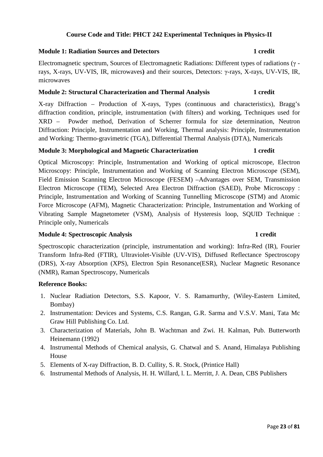### **Course Code and Title: PHCT 242 Experimental Techniques in Physics-II**

#### **Module 1: Radiation Sources and Detectors 1 credit**

Electromagnetic spectrum, Sources of Electromagnetic Radiations: Different types of radiations (γ rays, X-rays, UV-VIS, IR, microwaves**)** and their sources, Detectors: γ-rays, X-rays, UV-VIS, IR, microwaves

### **Module 2: Structural Characterization and Thermal Analysis 1 credit**

X-ray Diffraction – Production of X-rays, Types (continuous and characteristics), Bragg's diffraction condition, principle, instrumentation (with filters) and working, Techniques used for XRD – Powder method, Derivation of Scherrer formula for size determination, Neutron Diffraction: Principle, Instrumentation and Working, Thermal analysis: Principle, Instrumentation and Working: Thermo-gravimetric (TGA), Differential Thermal Analysis (DTA), Numericals

#### **Module 3: Morphological and Magnetic Characterization 1 credit**

Optical Microscopy: Principle, Instrumentation and Working of optical microscope, Electron Microscopy: Principle, Instrumentation and Working of Scanning Electron Microscope (SEM), Field Emission Scanning Electron Microscope (FESEM) –Advantages over SEM, Transmission Electron Microscope (TEM), Selected Area Electron Diffraction (SAED), Probe Microscopy : Principle, Instrumentation and Working of Scanning Tunnelling Microscope (STM) and Atomic Force Microscope (AFM), Magnetic Characterization: Principle, Instrumentation and Working of Vibrating Sample Magnetometer (VSM), Analysis of Hysteresis loop, SQUID Technique : Principle only, Numericals

#### **Module 4: Spectroscopic Analysis 1 credit 1 credit 1 credit 1 credit 1 credit 1 credit 1 credit 1 credit 1 credit 1 credit 1 credit 1 credit 1 credit 1 credit 1 credit 1 credit 1 credit 1 credit 1 credit 1 credit 1 credit**

# Spectroscopic characterization (principle, instrumentation and working): Infra-Red (IR), Fourier Transform Infra-Red (FTIR), Ultraviolet-Visible (UV-VIS), Diffused Reflectance Spectroscopy (DRS), X-ray Absorption (XPS), Electron Spin Resonance(ESR), Nuclear Magnetic Resonance (NMR), Raman Spectroscopy, Numericals

- 1. Nuclear Radiation Detectors, S.S. Kapoor, V. S. Ramamurthy, (Wiley-Eastern Limited, Bombay)
- 2. Instrumentation: Devices and Systems, C.S. Rangan, G.R. Sarma and V.S.V. Mani, Tata Mc Graw Hill Publishing Co. Ltd.
- 3. Characterization of Materials, John B. Wachtman and Zwi. H. Kalman, Pub. Butterworth Heinemann (1992)
- 4. Instrumental Methods of Chemical analysis, G. Chatwal and S. Anand, Himalaya Publishing House
- 5. Elements of X-ray Diffraction, B. D. Cullity, S. R. Stock, (Printice Hall)
- 6. Instrumental Methods of Analysis, H. H. Willard, l. L. Merritt, J. A. Dean, CBS Publishers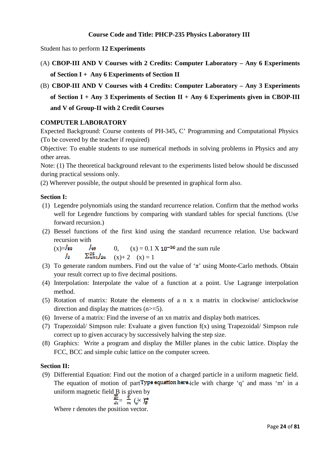### **Course Code and Title: PHCP-235 Physics Laboratory III**

Student has to perform **12 Experiments** 

- (A) **CBOP-III AND V Courses with 2 Credits: Computer Laboratory Any 6 Experiments of Section I + Any 6 Experiments of Section II**
- (B) **CBOP-III AND V Courses with 4 Credits: Computer Laboratory Any 3 Experiments of Section I + Any 3 Experiments of Section II + Any 6 Experiments given in CBOP-III and V of Group-II with 2 Credit Courses**

### **COMPUTER LABORATORY**

Expected Background: Course contents of PH-345, C' Programming and Computational Physics (To be covered by the teacher if required)

Objective: To enable students to use numerical methods in solving problems in Physics and any other areas.

Note: (1) The theoretical background relevant to the experiments listed below should be discussed during practical sessions only.

(2) Wherever possible, the output should be presented in graphical form also.

#### **Section I:**

- (1) Legendre polynomials using the standard recurrence relation. Confirm that the method works well for Legendre functions by comparing with standard tables for special functions. (Use forward recursion.)
- (2) Bessel functions of the first kind using the standard recurrence relation. Use backward recursion with

(x)=
$$
\int_{0}^{1}
$$
  $\int_{0}^{25} \frac{1}{2^n} \int_{2n}^{25} (x) + 2(x) = 0.1 \times 10^{-30}$  and the sum rule  
 $\int_{0}^{25} \frac{x^2}{2} dx = 1$ 

- (3) To generate random numbers. Find out the value of  $\pi$  using Monte-Carlo methods. Obtain your result correct up to five decimal positions.
- (4) Interpolation: Interpolate the value of a function at a point. Use Lagrange interpolation method.
- (5) Rotation of matrix: Rotate the elements of a n x n matrix in clockwise/ anticlockwise direction and display the matrices (n>=5).
- (6) Inverse of a matrix: Find the inverse of an xn matrix and display both matrices.
- (7) Trapezoidal/ Simpson rule: Evaluate a given function f(x) using Trapezoidal/ Simpson rule correct up to given accuracy by successively halving the step size.
- (8) Graphics: Write a program and display the Miller planes in the cubic lattice. Display the FCC, BCC and simple cubic lattice on the computer screen.

#### **Section II:**

(9) Differential Equation: Find out the motion of a charged particle in a uniform magnetic field. The equation of motion of part Type equation here jcle with charge 'q' and mass 'm' in a uniform magnetic field B is given by

$$
\frac{\frac{1}{\text{div}}}{\text{div}} = \frac{q}{m} \left( \frac{1}{v} \times \right) \frac{1}{B}
$$

Where r denotes the position vector.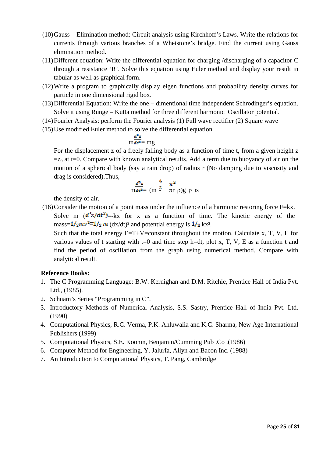- (10)Gauss Elimination method: Circuit analysis using Kirchhoff's Laws. Write the relations for currents through various branches of a Whetstone's bridge. Find the current using Gauss elimination method.
- (11)Different equation: Write the differential equation for charging /discharging of a capacitor C through a resistance 'R'. Solve this equation using Euler method and display your result in tabular as well as graphical form.
- (12)Write a program to graphically display eigen functions and probability density curves for particle in one dimensional rigid box.
- (13)Differential Equation: Write the one dimentional time independent Schrodinger's equation. Solve it using Runge – Kutta method for three different harmonic Oscillator potential.
- (14)Fourier Analysis: perform the Fourier analysis (1) Full wave rectifier (2) Square wave
- (15) Use modified Euler method to solve the differential equation

$$
m\frac{a-b}{\alpha c^2} = mg
$$

For the displacement z of a freely falling body as a function of time t, from a given height z  $=z_0$  at t=0. Compare with known analytical results. Add a term due to buoyancy of air on the motion of a spherical body (say a rain drop) of radius r (No damping due to viscosity and drag is considered).Thus,

$$
\frac{d^2z}{m dz^2} = (m^{\frac{3}{2}} \pi^3)g \rho \text{ is}
$$

the density of air.

(16)Consider the motion of a point mass under the influence of a harmonic restoring force F=kx. Solve m  $(d^{2}x/dt^{2}) = kx$  for x as a function of time. The kinetic energy of the mass= $\frac{1}{2}mv^2 = \frac{1}{2}m \frac{d}{dx}dt$ ? and potential energy is  $\frac{1}{2}kx^2$ .

Such that the total energy  $E=T+V=constant$  throughout the motion. Calculate x, T, V, E for various values of t starting with  $t=0$  and time step h=dt, plot x, T, V, E as a function t and find the period of oscillation from the graph using numerical method. Compare with analytical result.

- 1. The C Programming Language: B.W. Kernighan and D.M. Ritchie, Prentice Hall of India Pvt. Ltd., (1985).
- 2. Schuam's Series "Programming in C".
- 3. Introductory Methods of Numerical Analysis, S.S. Sastry, Prentice Hall of India Pvt. Ltd. (1990)
- 4. Computational Physics, R.C. Verma, P.K. Ahluwalia and K.C. Sharma, New Age International Publishers (1999)
- 5. Computational Physics, S.E. Koonin, Benjamin/Cumming Pub .Co .(1986)
- 6. Computer Method for Engineering, Y. JalurIa, Allyn and Bacon Inc. (1988)
- 7. An Introduction to Computational Physics, T. Pang, Cambridge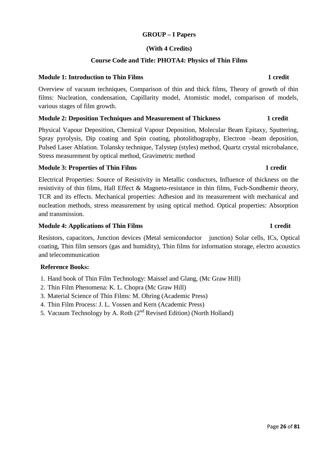#### **GROUP – I Papers**

#### **(With 4 Credits)**

#### **Course Code and Title: PHOTA4: Physics of Thin Films**

#### **Module 1: Introduction to Thin Films 1 credit 1 credit 1 credit 1 credit 1 credit 1 credit 1 credit 1 credit 1 credit 1 credit 1 credit 1 credit 1 credit 1 credit 1 credit 1 credit 1 credit 1 credit 1 credit 1 credit 1 cr**

Overview of vacuum techniques, Comparison of thin and thick films, Theory of growth of thin films: Nucleation, condensation, Capillarity model, Atomistic model, comparison of models, various stages of film growth.

#### **Module 2: Deposition Techniques and Measurement of Thickness 1 credit 1 credit**

Physical Vapour Deposition, Chemical Vapour Deposition, Molecular Beam Epitaxy, Sputtering, Spray pyrolysis, Dip coating and Spin coating, photolithography, Electron –beam deposition, Pulsed Laser Ablation. Tolansky technique, Talystep (styles) method, Quartz crystal microbalance, Stress measurement by optical method, Gravimetric method

#### **Module 3: Properties of Thin Films 1 credit 1 credit 1 credit 1 credit 1 credit 1 credit 1 credit 1 credit 1 credit 1 credit 1 credit 1 credit 1 credit 1 credit 1 credit 1 credit 1 credit 1 credit 1 credit 1 credit 1 cred**

Electrical Properties: Source of Resistivity in Metallic conductors, Influence of thickness on the resistivity of thin films, Hall Effect & Magneto-resistance in thin films, Fuch-Sondhemir theory, TCR and its effects. Mechanical properties: Adhesion and its measurement with mechanical and nucleation methods, stress measurement by using optical method. Optical properties: Absorption and transmission.

#### **Module 4: Applications of Thin Films 1 credit 1 credit 1 credit 1 credit 1 credit 1 credit 1 credit 1 credit 1 credit 1 credit 1 credit 1 credit 1 credit 1 credit 1 credit 1 credit 1 credit 1 credit 1 credit 1 credit 1 cr**

Resistors, capacitors, Junction devices (Metal semiconductor junction) Solar cells, ICs, Optical coating, Thin film sensors (gas and humidity), Thin films for information storage, electro acoustics and telecommunication

- 1. Hand book of Thin Film Technology: Maissel and Glang, (Mc Graw Hill)
- 2. Thin Film Phenomena: K. L. Chopra (Mc Graw Hill)
- 3. Material Science of Thin Films: M. Ohring (Academic Press)
- 4. Thin Film Process: J. L. Vossen and Kern (Academic Press)
- 5. Vacuum Technology by A. Roth  $(2^{nd}$  Revised Edition) (North Holland)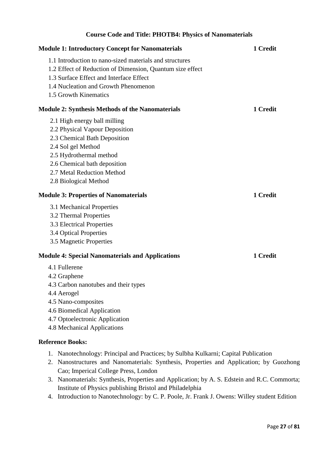# **Course Code and Title: PHOTB4: Physics of Nanomaterials Module 1: Introductory Concept for Nanomaterials 1 Credit 1 Credit** 1.1 Introduction to nano-sized materials and structures 1.2 Effect of Reduction of Dimension, Quantum size effect 1.3 Surface Effect and Interface Effect 1.4 Nucleation and Growth Phenomenon 1.5 Growth Kinematics **Module 2: Synthesis Methods of the Nanomaterials 1 Credit 1 Credit** 2.1 High energy ball milling 2.2 Physical Vapour Deposition 2.3 Chemical Bath Deposition 2.4 Sol gel Method 2.5 Hydrothermal method 2.6 Chemical bath deposition 2.7 Metal Reduction Method 2.8 Biological Method **Module 3: Properties of Nanomaterials** 1 Credit 3.1 Mechanical Properties 3.2 Thermal Properties 3.3 Electrical Properties 3.4 Optical Properties 3.5 Magnetic Properties **Module 4: Special Nanomaterials and Applications 1 Credit 1 Credit** 4.1 Fullerene 4.2 Graphene 4.3 Carbon nanotubes and their types 4.4 Aerogel 4.5 Nano-composites 4.6 Biomedical Application 4.7 Optoelectronic Application 4.8 Mechanical Applications

- 1. Nanotechnology: Principal and Practices; by Sulbha Kulkarni; Capital Publication
- 2. Nanostructures and Nanomaterials: Synthesis, Properties and Application; by Guozhong Cao; Imperical College Press, London
- 3. Nanomaterials: Synthesis, Properties and Application; by A. S. Edstein and R.C. Commorta; Institute of Physics publishing Bristol and Philadelphia
- 4. Introduction to Nanotechnology: by C. P. Poole, Jr. Frank J. Owens: Willey student Edition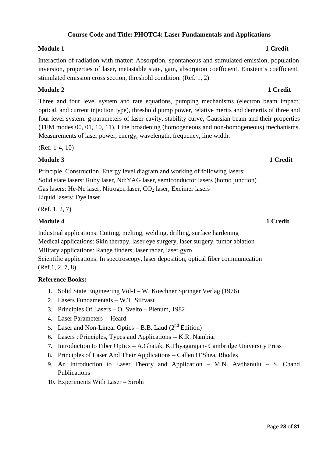#### Page **28** of **81**

### **Course Code and Title: PHOTC4: Laser Fundamentals and Applications**

#### **Module 1 1** Credit

Interaction of radiation with matter: Absorption, spontaneous and stimulated emission, population inversion, properties of laser, metastable state, gain, absorption coefficient, Einstein's coefficient, stimulated emission cross section, threshold condition. (Ref. 1, 2)

### **Module 2** 1 Credit

Three and four level system and rate equations, pumping mechanisms (electron beam impact, optical, and current injection type), threshold pump power, relative merits and demerits of three and four level system. g-parameters of laser cavity, stability curve, Gaussian beam and their properties (TEM modes 00, 01, 10, 11). Line broadening (homogeneous and non-homogeneous) mechanisms. Measurements of laser power, energy, wavelength, frequency, line width.

(Ref. 1-4, 10)

### **Module 3 1 Credit**

Principle, Construction, Energy level diagram and working of following lasers: Solid state lasers: Ruby laser, Nd:YAG laser, semiconductor lasers (homo junction) Gas lasers: He-Ne laser, Nitrogen laser,  $CO<sub>2</sub>$  laser, Excimer lasers Liquid lasers: Dye laser

(Ref. 1, 2, 7)

### **Module 4** 1 Credit

Industrial applications: Cutting, melting, welding, drilling, surface hardening Medical applications: Skin therapy, laser eye surgery, laser surgery, tumor ablation Military applications: Range finders, laser radar, laser gyro Scientific applications: In spectroscopy, laser deposition, optical fiber communication (Ref.1, 2, 7, 8)

- 1. Solid State Engineering Vol-I W. Koechner Springer Verlag (1976)
- 2. Lasers Fundamentals W.T. Silfvast
- 3. Principles Of Lasers O. Svelto Plenum, 1982
- 4. Laser Parameters -- Heard
- 5. Laser and Non-Linear Optics B.B. Laud  $(2^{nd}$  Edition)
- 6. Lasers : Principles, Types and Applications -- K.R. Nambiar
- 7. Introduction to Fiber Optics A.Ghatak, K.Thyagarajan- Cambridge University Press
- 8. Principles of Laser And Their Applications Callen O'Shea, Rhodes
- 9. An Introduction to Laser Theory and Application M.N. Avdhanulu S. Chand Publications
- 10. Experiments With Laser Sirohi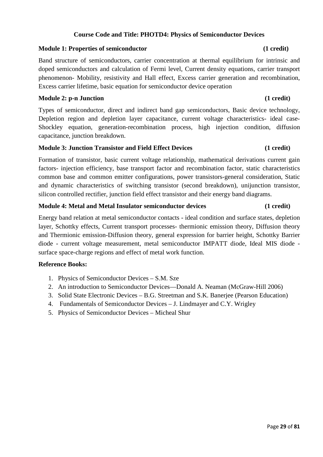### **Course Code and Title: PHOTD4: Physics of Semiconductor Devices**

#### **Module 1: Properties of semiconductor** (1 credit)

Band structure of semiconductors, carrier concentration at thermal equilibrium for intrinsic and doped semiconductors and calculation of Fermi level, Current density equations, carrier transport phenomenon- Mobility, resistivity and Hall effect, Excess carrier generation and recombination, Excess carrier lifetime, basic equation for semiconductor device operation

#### **Module 2: p-n Junction (1 credit)**

Types of semiconductor, direct and indirect band gap semiconductors, Basic device technology, Depletion region and depletion layer capacitance, current voltage characteristics- ideal case-Shockley equation, generation-recombination process, high injection condition, diffusion capacitance, junction breakdown.

#### **Module 3: Junction Transistor and Field Effect Devices** (1 credit)

Formation of transistor, basic current voltage relationship, mathematical derivations current gain factors- injection efficiency, base transport factor and recombination factor, static characteristics common base and common emitter configurations, power transistors-general consideration, Static and dynamic characteristics of switching transistor (second breakdown), unijunction transistor, silicon controlled rectifier, junction field effect transistor and their energy band diagrams.

#### **Module 4: Metal and Metal Insulator semiconductor devices (1 credit)**

Energy band relation at metal semiconductor contacts - ideal condition and surface states, depletion layer, Schottky effects, Current transport processes- thermionic emission theory, Diffusion theory and Thermionic emission-Diffusion theory, general expression for barrier height, Schottky Barrier diode - current voltage measurement, metal semiconductor IMPATT diode, Ideal MIS diode surface space-charge regions and effect of metal work function.

- 1. Physics of Semiconductor Devices S.M. Sze
- 2. An introduction to Semiconductor Devices—Donald A. Neaman (McGraw-Hill 2006)
- 3. Solid State Electronic Devices B.G. Streetman and S.K. Banerjee (Pearson Education)
- 4. Fundamentals of Semiconductor Devices J. Lindmayer and C.Y. Wrigley
- 5. Physics of Semiconductor Devices Micheal Shur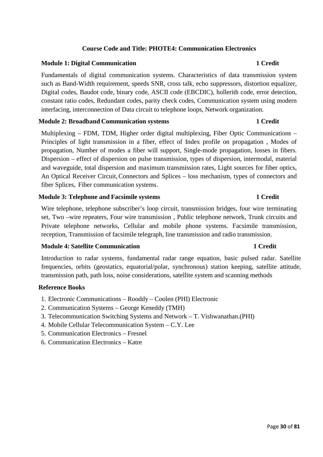# Page **30** of **81**

# **Course Code and Title: PHOTE4: Communication Electronics**

### **Module 1: Digital Communication 1 Credit 1 Credit 1 Credit**

Fundamentals of digital communication systems. Characteristics of data transmission system such as Band-Width requirement, speeds SNR, cross talk, echo suppressors, distortion equalizer, Digital codes, Baudot code, binary code, ASCII code (EBCDIC), hollerith code, error detection, constant ratio codes, Redundant codes, parity check codes, Communication system using modern interfacing, interconnection of Data circuit to telephone loops, Network organization.

### **Module 2: Broadband Communication systems 1 Credit 1 Credit**

Multiplexing – FDM, TDM, Higher order digital multiplexing, Fiber Optic Communications – Principles of light transmission in a fiber, effect of Index profile on propagation , Modes of propagation, Number of modes a fiber will support, Single-mode propagation, losses in fibers. Dispersion – effect of dispersion on pulse transmission, types of dispersion, intermodal, material and waveguide, total dispersion and maximum transmission rates, Light sources for fiber optics, An Optical Receiver Circuit, Connectors and Splices – loss mechanism, types of connectors and fiber Splices, Fiber communication systems.

### **Module 3: Telephone and Facsimile systems 1 Credit 1 Credit**

Wire telephone, telephone subscriber's loop circuit, transmission bridges, four wire terminating set, Two –wire repeaters, Four wire transmission , Public telephone network, Trunk circuits and Private telephone networks, Cellular and mobile phone systems. Facsimile transmission, reception, Transmission of facsimile telegraph, line transmission and radio transmission.

### **Module 4: Satellite Communication 1 Credit 1 Credit 1 Credit 1 Credit 1 Credit 1 Credit 1 Credit 1 Credit 1 Credit 1 Credit 1 Credit 1 Credit 1 Credit 1 Credit 1 Credit 1 Credit 1 Credit 1 Credit 1 Credit 1 Credit 1 Credi**

Introduction to radar systems, fundamental radar range equation, basic pulsed radar. Satellite frequencies, orbits (geostatics, equatorial/polar, synchronous) station keeping, satellite attitude, transmission path, path loss, noise considerations, satellite system and scanning methods

- 1. Electronic Communications Rooddy Coolen (PHI) Electronic
- 2. Communication Systems George Keneddy (TMH)
- 3. Telecommunication Switching Systems and Network T. Vishwanathan.(PHI)
- 4. Mobile Cellular Telecommunication System C.Y. Lee
- 5. Communication Electronics Fresnel
- 6. Communication Electronics Katre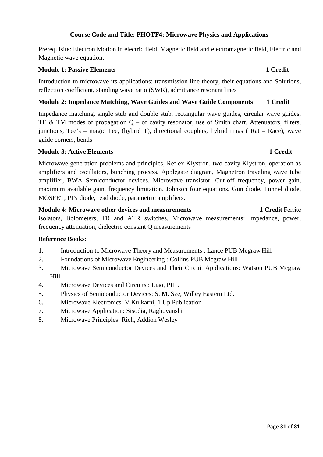### **Course Code and Title: PHOTF4: Microwave Physics and Applications**

Prerequisite: Electron Motion in electric field, Magnetic field and electromagnetic field, Electric and Magnetic wave equation.

#### **Module 1: Passive Elements 1 Credit**

Introduction to microwave its applications: transmission line theory, their equations and Solutions, reflection coefficient, standing wave ratio (SWR), admittance resonant lines

### **Module 2: Impedance Matching, Wave Guides and Wave Guide Components 1 Credit**

Impedance matching, single stub and double stub, rectangular wave guides, circular wave guides, TE & TM modes of propagation  $Q - of$  cavity resonator, use of Smith chart. Attenuators, filters, junctions, Tee's – magic Tee, (hybrid T), directional couplers, hybrid rings ( Rat – Race), wave guide corners, bends

### **Module 3: Active Elements** 1 Credit

Microwave generation problems and principles, Reflex Klystron, two cavity Klystron, operation as amplifiers and oscillators, bunching process, Applegate diagram, Magnetron traveling wave tube amplifier, BWA Semiconductor devices, Microwave transistor: Cut-off frequency, power gain, maximum available gain, frequency limitation. Johnson four equations, Gun diode, Tunnel diode, MOSFET, PIN diode, read diode, parametric amplifiers.

**Module 4: Microwave other devices and measurements 1 Credit Ferrite** isolators, Bolometers, TR and ATR switches, Microwave measurements: Impedance, power, frequency attenuation, dielectric constant Q measurements

- 1. Introduction to Microwave Theory and Measurements : Lance PUB Mcgraw Hill
- 2. Foundations of Microwave Engineering : Collins PUB Mcgraw Hill
- 3. Microwave Semiconductor Devices and Their Circuit Applications: Watson PUB Mcgraw Hill
- 4. Microwave Devices and Circuits : Liao, PHL
- 5. Physics of Semiconductor Devices: S. M. Sze, Willey Eastern Ltd.
- 6. Microwave Electronics: V.Kulkarni, 1 Up Publication
- 7. Microwave Application: Sisodia, Raghuvanshi
- 8. Microwave Principles: Rich, Addion Wesley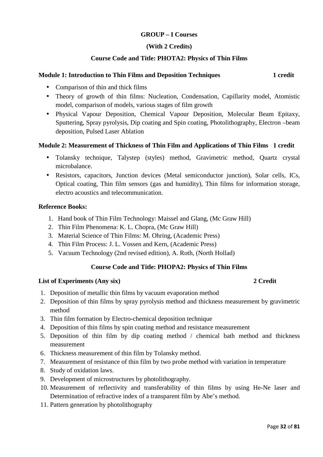### **GROUP – I Courses**

#### **(With 2 Credits)**

### **Course Code and Title: PHOTA2: Physics of Thin Films**

### **Module 1: Introduction to Thin Films and Deposition Techniques 1 credit 1 credit**

- Comparison of thin and thick films
- Theory of growth of thin films: Nucleation, Condensation, Capillarity model, Atomistic model, comparison of models, various stages of film growth
- Physical Vapour Deposition, Chemical Vapour Deposition, Molecular Beam Epitaxy, Sputtering, Spray pyrolysis, Dip coating and Spin coating, Photolithography, Electron –beam deposition, Pulsed Laser Ablation

#### **Module 2: Measurement of Thickness of Thin Film and Applications of Thin Films 1 credit**

- Tolansky technique, Talystep (styles) method, Gravimetric method, Quartz crystal microbalance.
- Resistors, capacitors, Junction devices (Metal semiconductor junction), Solar cells, ICs, Optical coating, Thin film sensors (gas and humidity), Thin films for information storage, electro acoustics and telecommunication.

#### **Reference Books:**

- 1. Hand book of Thin Film Technology: Maissel and Glang, (Mc Graw Hill)
- 2. Thin Film Phenomena: K. L. Chopra, (Mc Graw Hill)
- 3. Material Science of Thin Films: M. Ohring, (Academic Press)
- 4. Thin Film Process: J. L. Vossen and Kern, (Academic Press)
- 5. Vacuum Technology (2nd revised edition), A. Roth, (North Hollad)

### **Course Code and Title: PHOPA2: Physics of Thin Films**

#### **List of Experiments (Any six) 2 Credit**

- 1. Deposition of metallic thin films by vacuum evaporation method
- 2. Deposition of thin films by spray pyrolysis method and thickness measurement by gravimetric method
- 3. Thin film formation by Electro-chemical deposition technique
- 4. Deposition of thin films by spin coating method and resistance measurement
- 5. Deposition of thin film by dip coating method / chemical bath method and thickness measurement
- 6. Thickness measurement of thin film by Tolansky method.
- 7. Measurement of resistance of thin film by two probe method with variation in temperature
- 8. Study of oxidation laws.
- 9. Development of microstructures by photolithography.
- 10. Measurement of reflectivity and transferability of thin films by using He-Ne laser and Determination of refractive index of a transparent film by Abe's method.
- 11. Pattern generation by photolithography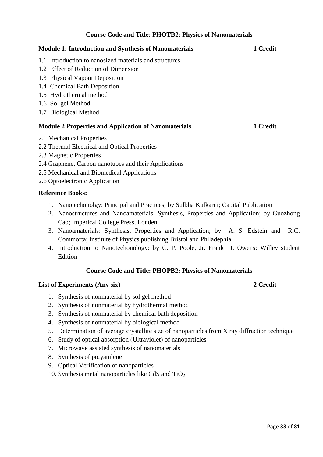### **Course Code and Title: PHOTB2: Physics of Nanomaterials**

| <b>Module 1: Introduction and Synthesis of Nanomaterials</b> | 1 Credit |
|--------------------------------------------------------------|----------|
| 1.1 Introduction to nanosized materials and structures       |          |
| 1.2 Effect of Reduction of Dimension                         |          |
| 1.3 Physical Vapour Deposition                               |          |
| 1.4 Chemical Bath Deposition                                 |          |
| 1.5 Hydrothermal method                                      |          |
| 1.6 Sol gel Method                                           |          |
| 1.7 Biological Method                                        |          |
| <b>Module 2 Properties and Application of Nanomaterials</b>  | 1 Credit |
| 2.1 Mechanical Properties                                    |          |
| 2.2 Thermal Electrical and Optical Properties                |          |
| 2.3 Magnetic Properties                                      |          |
| 2.4 Graphene, Carbon nanotubes and their Applications        |          |

- 2.5 Mechanical and Biomedical Applications
- 2.6 Optoelectronic Application

# **Reference Books:**

- 1. Nanotechonolgy: Principal and Practices; by Sulbha Kulkarni; Capital Publication
- 2. Nanostructures and Nanoamaterials: Synthesis, Properties and Application; by Guozhong Cao; Imperical College Press, Londen
- 3. Nanoamaterials: Synthesis, Properties and Application; by A. S. Edstein and R.C. Commorta; Institute of Physics publishing Bristol and Philadephia
- 4. Introduction to Nanotechonology: by C. P. Poole, Jr. Frank J. Owens: Willey student Edition

# **Course Code and Title: PHOPB2: Physics of Nanomaterials**

# **List of Experiments (Any six) 2 Credit**

- 1. Synthesis of nonmaterial by sol gel method
- 2. Synthesis of nonmaterial by hydrothermal method
- 3. Synthesis of nonmaterial by chemical bath deposition
- 4. Synthesis of nonmaterial by biological method
- 5. Determination of average crystallite size of nanoparticles from X ray diffraction technique
- 6. Study of optical absorption (Ultraviolet) of nanoparticles
- 7. Microwave assisted synthesis of nanomaterials
- 8. Synthesis of po;yanilene
- 9. Optical Verification of nanoparticles
- 10. Synthesis metal nanoparticles like CdS and  $TiO<sub>2</sub>$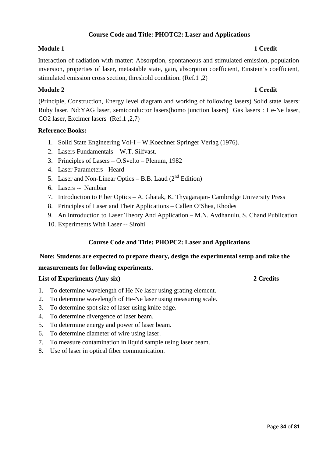### **Course Code and Title: PHOTC2: Laser and Applications**

### **Module 1** 1 Credit

# Interaction of radiation with matter: Absorption, spontaneous and stimulated emission, population inversion, properties of laser, metastable state, gain, absorption coefficient, Einstein's coefficient, stimulated emission cross section, threshold condition. (Ref.1 ,2)

### **Module 2** 1 Credit

(Principle, Construction, Energy level diagram and working of following lasers) Solid state lasers: Ruby laser, Nd:YAG laser, semiconductor lasers(homo junction lasers) Gas lasers : He-Ne laser, CO2 laser, Excimer lasers (Ref.1 ,2,7)

### **Reference Books:**

- 1. Solid State Engineering Vol-I W.Koechner Springer Verlag (1976).
- 2. Lasers Fundamentals W.T. Silfvast.
- 3. Principles of Lasers O.Svelto Plenum, 1982
- 4. Laser Parameters Heard
- 5. Laser and Non-Linear Optics B.B. Laud  $(2^{nd}$  Edition)
- 6. Lasers -- Nambiar
- 7. Introduction to Fiber Optics A. Ghatak, K. Thyagarajan- Cambridge University Press
- 8. Principles of Laser and Their Applications Callen O'Shea, Rhodes
- 9. An Introduction to Laser Theory And Application M.N. Avdhanulu, S. Chand Publication
- 10. Experiments With Laser -- Sirohi

### **Course Code and Title: PHOPC2: Laser and Applications**

#### **Note: Students are expected to prepare theory, design the experimental setup and take the**

#### **measurements for following experiments.**

#### **List of Experiments (Any six) 2 Credits**

- 1. To determine wavelength of He-Ne laser using grating element.
- 2. To determine wavelength of He-Ne laser using measuring scale.
- 3. To determine spot size of laser using knife edge.
- 4. To determine divergence of laser beam.
- 5. To determine energy and power of laser beam.
- 6. To determine diameter of wire using laser.
- 7. To measure contamination in liquid sample using laser beam.
- 8. Use of laser in optical fiber communication.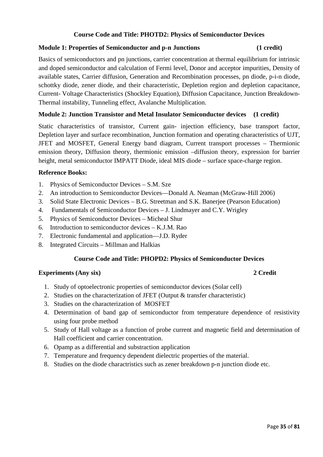### **Course Code and Title: PHOTD2: Physics of Semiconductor Devices**

### **Module 1: Properties of Semiconductor and p-n Junctions (1 credit)**

Basics of semiconductors and pn junctions, carrier concentration at thermal equilibrium for intrinsic and doped semiconductor and calculation of Fermi level, Donor and acceptor impurities, Density of available states, Carrier diffusion, Generation and Recombination processes, pn diode, p-i-n diode, schottky diode, zener diode, and their characteristic, Depletion region and depletion capacitance, Current- Voltage Characteristics (Shockley Equation), Diffusion Capacitance, Junction Breakdown-Thermal instability, Tunneling effect, Avalanche Multiplication.

### **Module 2: Junction Transistor and Metal Insulator Semiconductor devices (1 credit)**

Static characteristics of transistor, Current gain- injection efficiency, base transport factor, Depletion layer and surface recombination, Junction formation and operating characteristics of UJT, JFET and MOSFET, General Energy band diagram, Current transport processes – Thermionic emission theory, Diffusion theory, thermionic emission –diffusion theory, expression for barrier height, metal semiconductor IMPATT Diode, ideal MIS diode – surface space-charge region.

#### **Reference Books:**

- 1. Physics of Semiconductor Devices S.M. Sze
- 2. An introduction to Semiconductor Devices—Donald A. Neaman (McGraw-Hill 2006)
- 3. Solid State Electronic Devices B.G. Streetman and S.K. Banerjee (Pearson Education)
- 4. Fundamentals of Semiconductor Devices J. Lindmayer and C.Y. Wrigley
- 5. Physics of Semiconductor Devices Micheal Shur
- 6. Introduction to semiconductor devices K.J.M. Rao
- 7. Electronic fundamental and application—J.D. Ryder
- 8. Integrated Circuits Millman and Halkias

#### **Course Code and Title: PHOPD2: Physics of Semiconductor Devices**

#### **Experiments (Any six) 2 Credit**

- 1. Study of optoelectronic properties of semiconductor devices (Solar cell)
- 2. Studies on the characterization of JFET (Output & transfer characteristic)
- 3. Studies on the characterization of MOSFET
- 4. Determination of band gap of semiconductor from temperature dependence of resistivity using four probe method
- 5. Study of Hall voltage as a function of probe current and magnetic field and determination of Hall coefficient and carrier concentration.
- 6. Opamp as a differential and substraction application
- 7. Temperature and frequency dependent dielectric properties of the material.
- 8. Studies on the diode charactristics such as zener breakdown p-n junction diode etc.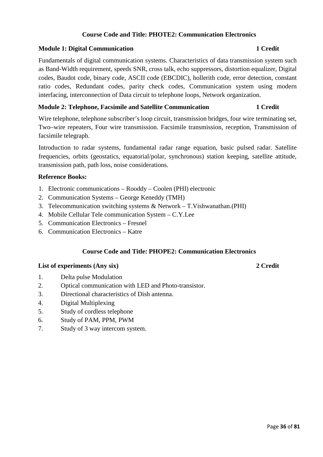### **Course Code and Title: PHOTE2: Communication Electronics**

#### **Module 1: Digital Communication 1 Credit 1 Credit 1 Credit**

# Fundamentals of digital communication systems. Characteristics of data transmission system such as Band-Width requirement, speeds SNR, cross talk, echo suppressors, distortion equalizer, Digital codes, Baudot code, binary code, ASCII code (EBCDIC), hollerith code, error detection, constant ratio codes, Redundant codes, parity check codes, Communication system using modern interfacing, interconnection of Data circuit to telephone loops, Network organization.

### **Module 2: Telephone, Facsimile and Satellite Communication 1 Credit**

Wire telephone, telephone subscriber's loop circuit, transmission bridges, four wire terminating set, Two–wire repeaters, Four wire transmission. Facsimile transmission, reception, Transmission of facsimile telegraph.

Introduction to radar systems, fundamental radar range equation, basic pulsed radar. Satellite frequencies, orbits (geostatics, equatorial/polar, synchronous) station keeping, satellite attitude, transmission path, path loss, noise considerations.

#### **Reference Books:**

- 1. Electronic communications Rooddy Coolen (PHI) electronic
- 2. Communication Systems George Keneddy (TMH)
- 3. Telecommunication switching systems & Network T.Vishwanathan.(PHI)
- 4. Mobile Cellular Tele communication System C.Y.Lee
- 5. Communication Electronics Fresnel
- 6. Communication Electronics Katre

#### **Course Code and Title: PHOPE2: Communication Electronics**

#### **List of experiments (Any six) 2 Credit**

- 1. Delta pulse Modulation
- 2. Optical communication with LED and Photo-transistor.
- 3. Directional characteristics of Dish antenna.
- 4. Digital Multiplexing
- 5. Study of cordless telephone
- 6. Study of PAM, PPM, PWM
- 7. Study of 3 way intercom system.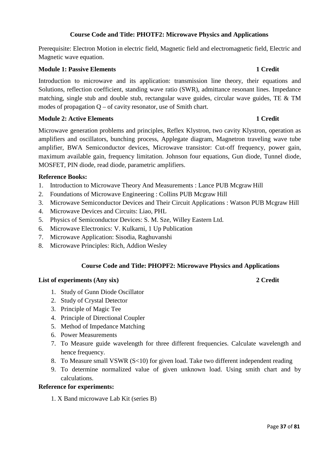# **Course Code and Title: PHOTF2: Microwave Physics and Applications**

Prerequisite: Electron Motion in electric field, Magnetic field and electromagnetic field, Electric and Magnetic wave equation.

# **Module 1: Passive Elements** 1 Credit **1**

Introduction to microwave and its application: transmission line theory, their equations and Solutions, reflection coefficient, standing wave ratio (SWR), admittance resonant lines. Impedance matching, single stub and double stub, rectangular wave guides, circular wave guides, TE & TM modes of propagation  $Q - of$  cavity resonator, use of Smith chart.

### **Module 2: Active Elements 1 Credit**

Microwave generation problems and principles, Reflex Klystron, two cavity Klystron, operation as amplifiers and oscillators, bunching process, Applegate diagram, Magnetron traveling wave tube amplifier, BWA Semiconductor devices, Microwave transistor: Cut-off frequency, power gain, maximum available gain, frequency limitation. Johnson four equations, Gun diode, Tunnel diode, MOSFET, PIN diode, read diode, parametric amplifiers.

# **Reference Books:**

- 1. Introduction to Microwave Theory And Measurements : Lance PUB Mcgraw Hill
- 2. Foundations of Microwave Engineering : Collins PUB Mcgraw Hill
- 3. Microwave Semiconductor Devices and Their Circuit Applications : Watson PUB Mcgraw Hill
- 4. Microwave Devices and Circuits: Liao, PHL
- 5. Physics of Semiconductor Devices: S. M. Sze, Willey Eastern Ltd.
- 6. Microwave Electronics: V. Kulkarni, 1 Up Publication
- 7. Microwave Application: Sisodia, Raghuvanshi
- 8. Microwave Principles: Rich, Addion Wesley

# **Course Code and Title: PHOPF2: Microwave Physics and Applications**

# **List of experiments (Any six) 2 Credit**

- 1. Study of Gunn Diode Oscillator
- 2. Study of Crystal Detector
- 3. Principle of Magic Tee
- 4. Principle of Directional Coupler
- 5. Method of Impedance Matching
- 6. Power Measurements
- 7. To Measure guide wavelength for three different frequencies. Calculate wavelength and hence frequency.
- 8. To Measure small VSWR (S<10) for given load. Take two different independent reading
- 9. To determine normalized value of given unknown load. Using smith chart and by calculations.

# **Reference for experiments:**

1. X Band microwave Lab Kit (series B)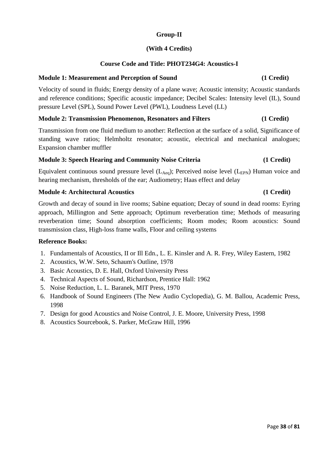# **Group-II**

# **(With 4 Credits)**

# **Course Code and Title: PHOT234G4: Acoustics-I**

# **Module 1: Measurement and Perception of Sound (1 Credit)**

Velocity of sound in fluids; Energy density of a plane wave; Acoustic intensity; Acoustic standards and reference conditions; Specific acoustic impedance; Decibel Scales: Intensity level (IL), Sound pressure Level (SPL), Sound Power Level (PWL), Loudness Level (LL)

# **Module 2: Transmission Phenomenon, Resonators and Filters (1 Credit)**

Transmission from one fluid medium to another: Reflection at the surface of a solid, Significance of standing wave ratios; Helmholtz resonator; acoustic, electrical and mechanical analogues; Expansion chamber muffler

### **Module 3: Speech Hearing and Community Noise Criteria (1 Credit)**

Equivalent continuous sound pressure level  $(L_{Aeq})$ ; Perceived noise level  $(L_{EPN})$  Human voice and hearing mechanism, thresholds of the ear; Audiometry; Haas effect and delay

# **Module 4: Architectural Acoustics (1 Credit)**

Growth and decay of sound in live rooms; Sabine equation; Decay of sound in dead rooms: Eyring approach, Millington and Sette approach; Optimum reverberation time; Methods of measuring reverberation time; Sound absorption coefficients; Room modes; Room acoustics: Sound transmission class, High-loss frame walls, Floor and ceiling systems

- 1. Fundamentals of Acoustics, II or Ill Edn., L. E. Kinsler and A. R. Frey, Wiley Eastern, 1982
- 2. Acoustics, W.W. Seto, Schaum's Outline, 1978
- 3. Basic Acoustics, D. E. Hall, Oxford University Press
- 4. Technical Aspects of Sound, Richardson, Prentice Hall: 1962
- 5. Noise Reduction, L. L. Baranek, MIT Press, 1970
- 6. Handbook of Sound Engineers (The New Audio Cyclopedia), G. M. Ballou, Academic Press, 1998
- 7. Design for good Acoustics and Noise Control, J. E. Moore, University Press, 1998
- 8. Acoustics Sourcebook, S. Parker, McGraw Hill, 1996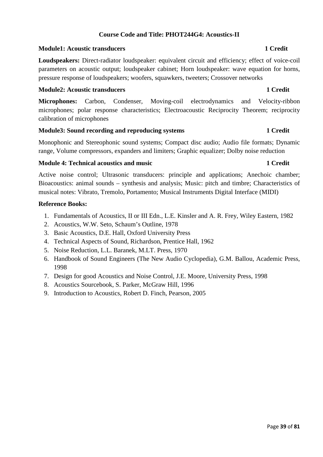# **Course Code and Title: PHOT244G4: Acoustics-II**

### **Module1: Acoustic transducers 1 Credit**

**Loudspeakers:** Direct-radiator loudspeaker: equivalent circuit and efficiency; effect of voice-coil parameters on acoustic output; loudspeaker cabinet; Horn loudspeaker: wave equation for horns, pressure response of loudspeakers; woofers, squawkers, tweeters; Crossover networks

# **Module2: Acoustic transducers 1 Credit**

**Microphones:** Carbon, Condenser, Moving-coil electrodynamics and Velocity-ribbon microphones; polar response characteristics; Electroacoustic Reciprocity Theorem; reciprocity calibration of microphones

### **Module3: Sound recording and reproducing systems 1 Credit 1 Credit**

Monophonic and Stereophonic sound systems; Compact disc audio; Audio file formats; Dynamic range, Volume compressors, expanders and limiters; Graphic equalizer; Dolby noise reduction

### **Module 4: Technical acoustics and music 1 Credit 1 Credit 1 Credit 1 Credit 1 Credit 1 Credit 1 Credit 1 Credit**

Active noise control; Ultrasonic transducers: principle and applications; Anechoic chamber; Bioacoustics: animal sounds – synthesis and analysis; Music: pitch and timbre; Characteristics of musical notes: Vibrato, Tremolo, Portamento; Musical Instruments Digital Interface (MIDI)

- 1. Fundamentals of Acoustics, II or III Edn., L.E. Kinsler and A. R. Frey, Wiley Eastern, 1982
- 2. Acoustics, W.W. Seto, Schaum's Outline, 1978
- 3. Basic Acoustics, D.E. Hall, Oxford University Press
- 4. Technical Aspects of Sound, Richardson, Prentice Hall, 1962
- 5. Noise Reduction, L.L. Baranek, M.LT. Press, 1970
- 6. Handbook of Sound Engineers (The New Audio Cyclopedia), G.M. Ballou, Academic Press, 1998
- 7. Design for good Acoustics and Noise Control, J.E. Moore, University Press, 1998
- 8. Acoustics Sourcebook, S. Parker, McGraw Hill, 1996
- 9. Introduction to Acoustics, Robert D. Finch, Pearson, 2005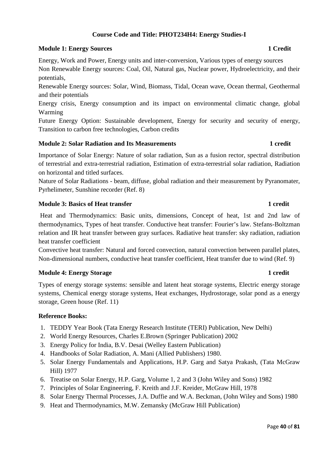# **Course Code and Title: PHOT234H4: Energy Studies-I**

# **Module 1: Energy Sources 1 Credit**

Energy, Work and Power, Energy units and inter-conversion, Various types of energy sources Non Renewable Energy sources: Coal, Oil, Natural gas, Nuclear power, Hydroelectricity, and their potentials,

Renewable Energy sources: Solar, Wind, Biomass, Tidal, Ocean wave, Ocean thermal, Geothermal and their potentials

Energy crisis, Energy consumption and its impact on environmental climatic change, global Warming

Future Energy Option: Sustainable development, Energy for security and security of energy, Transition to carbon free technologies, Carbon credits

# **Module 2: Solar Radiation and Its Measurements 1 credit**

Importance of Solar Energy: Nature of solar radiation, Sun as a fusion rector, spectral distribution of terrestrial and extra-terrestrial radiation, Estimation of extra-terrestrial solar radiation, Radiation on horizontal and titled surfaces.

Nature of Solar Radiations - beam, diffuse, global radiation and their measurement by Pyranomater, Pyrhelimeter, Sunshine recorder (Ref. 8)

# **Module 3: Basics of Heat transfer 1 credit**

 Heat and Thermodynamics: Basic units, dimensions, Concept of heat, 1st and 2nd law of thermodynamics, Types of heat transfer. Conductive heat transfer: Fourier's law. Stefans-Boltzman relation and IR heat transfer between gray surfaces. Radiative heat transfer: sky radiation, radiation heat transfer coefficient

Convective heat transfer: Natural and forced convection, natural convection between parallel plates, Non-dimensional numbers, conductive heat transfer coefficient, Heat transfer due to wind (Ref. 9)

### **Module 4: Energy Storage 1 credit**

Types of energy storage systems: sensible and latent heat storage systems, Electric energy storage systems, Chemical energy storage systems, Heat exchanges, Hydrostorage, solar pond as a energy storage, Green house (Ref. 11)

- 1. TEDDY Year Book (Tata Energy Research Institute (TERI) Publication, New Delhi)
- 2. World Energy Resources, Charles E.Brown (Springer Publication) 2002
- 3. Energy Policy for India, B.V. Desai (Welley Eastern Publication)
- 4. Handbooks of Solar Radiation, A. Mani (Allied Publishers) 1980.
- 5. Solar Energy Fundamentals and Applications, H.P. Garg and Satya Prakash, (Tata McGraw Hill) 1977
- 6. Treatise on Solar Energy, H.P. Garg, Volume 1, 2 and 3 (John Wiley and Sons) 1982
- 7. Principles of Solar Engineering, F. Kreith and J.F. Kreider, McGraw Hill, 1978
- 8. Solar Energy Thermal Processes, J.A. Duffie and W.A. Beckman, (John Wiley and Sons) 1980
- 9. Heat and Thermodynamics, M.W. Zemansky (McGraw Hill Publication)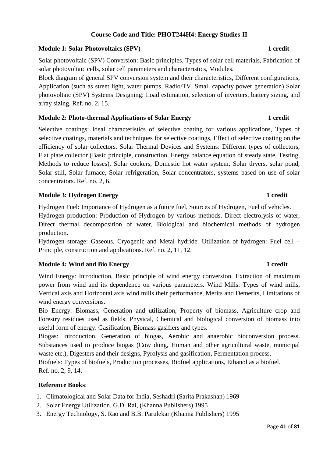# **Course Code and Title: PHOT244H4: Energy Studies-II**

# **Module 1: Solar Photovoltaics (SPV)** 1 credit

Solar photovoltaic (SPV) Conversion: Basic principles, Types of solar cell materials, Fabrication of solar photovoltaic cells, solar cell parameters and characteristics, Modules.

Block diagram of general SPV conversion system and their characteristics, Different configurations, Application (such as street light, water pumps, Radio/TV, Small capacity power generation) Solar photovoltaic (SPV) Systems Designing: Load estimation, selection of inverters, battery sizing, and array sizing. Ref. no. 2, 15.

# **Module 2: Photo-thermal Applications of Solar Energy 1 credit**

Selective coatings: Ideal characteristics of selective coating for various applications, Types of selective coatings, materials and techniques for selective coatings, Effect of selective coating on the efficiency of solar collectors. Solar Thermal Devices and Systems: Different types of collectors, Flat plate collector (Basic principle, construction, Energy balance equation of steady state, Testing, Methods to reduce losses), Solar cookers, Domestic hot water system, Solar dryers, solar pond, Solar still, Solar furnace, Solar refrigeration, Solar concentrators, systems based on use of solar concentrators. Ref. no. 2, 6.

# **Module 3: Hydrogen Energy 1 credit 1 credit 1 credit 1 credit 1 credit 1 credit 1 credit 1 credit 1 credit 1 credit 1 credit 1 credit 1 credit 1 credit 1 credit 1 credit 1 credit 1 credit 1 credit 1 credit 1 credit 1 cred**

Hydrogen Fuel: Importance of Hydrogen as a future fuel, Sources of Hydrogen, Fuel of vehicles. Hydrogen production: Production of Hydrogen by various methods, Direct electrolysis of water, Direct thermal decomposition of water, Biological and biochemical methods of hydrogen production.

Hydrogen storage: Gaseous, Cryogenic and Metal hydride. Utilization of hydrogen: Fuel cell – Principle, construction and applications. Ref. no. 2, 11, 12.

# **Module 4: Wind and Bio Energy 1 credit 2.1 credit 1 credit 1 credit 1 credit 1 credit 1 credit 1 credit 1 credit 1 credit 1 credit 1 credit 1 credit 1 credit 1 credit 1 credit 1 credit 1 credit 1 credit 1 credit 1 credit**

Wind Energy: Introduction, Basic principle of wind energy conversion, Extraction of maximum power from wind and its dependence on various parameters. Wind Mills: Types of wind mills, Vertical axis and Horizontal axis wind mills their performance, Merits and Demerits, Limitations of wind energy conversions.

Bio Energy: Biomass, Generation and utilization, Property of biomass, Agriculture crop and Forestry residues used as fields. Physical, Chemical and biological conversion of biomass into useful form of energy. Gasification, Biomass gasifiers and types.

Biogas: Introduction, Generation of biogas, Aerobic and anaerobic bioconversion process. Substances used to produce biogas (Cow dung, Human and other agricultural waste, municipal waste etc.), Digesters and their designs, Pyrolysis and gasification, Fermentation process.

Biofuels: Types of biofuels, Production processes, Biofuel applications, Ethanol as a biofuel. Ref. no. 2, 9, 14**.** 

# **Reference Books**:

- 1. Climatological and Solar Data for India, Seshadri (Sarita Prakashan) 1969
- 2. Solar Energy Utilization, G.D. Rai, (Khanna Publishers) 1995
- 3. Energy Technology, S. Rao and B.B. Parulekar (Khanna Publishers) 1995

# Page **41** of **81**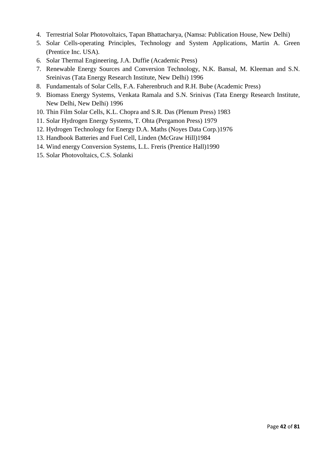- 4. Terrestrial Solar Photovoltaics, Tapan Bhattacharya, (Namsa: Publication House, New Delhi)
- 5. Solar Cells-operating Principles, Technology and System Applications, Martin A. Green (Prentice Inc. USA).
- 6. Solar Thermal Engineering, J.A. Duffie (Academic Press)
- 7. Renewable Energy Sources and Conversion Technology, N.K. Bansal, M. Kleeman and S.N. Sreinivas (Tata Energy Research Institute, New Delhi) 1996
- 8. Fundamentals of Solar Cells, F.A. Faherenbruch and R.H. Bube (Academic Press)
- 9. Biomass Energy Systems, Venkata Ramala and S.N. Srinivas (Tata Energy Research Institute, New Delhi, New Delhi) 1996
- 10. Thin Film Solar Cells, K.L. Chopra and S.R. Das (Plenum Press) 1983
- 11. Solar Hydrogen Energy Systems, T. Ohta (Pergamon Press) 1979
- 12. Hydrogen Technology for Energy D.A. Maths (Noyes Data Corp.)1976
- 13. Handbook Batteries and Fuel Cell, Linden (McGraw Hill)1984
- 14. Wind energy Conversion Systems, L.L. Freris (Prentice Hall)1990
- 15. Solar Photovoltaics, C.S. Solanki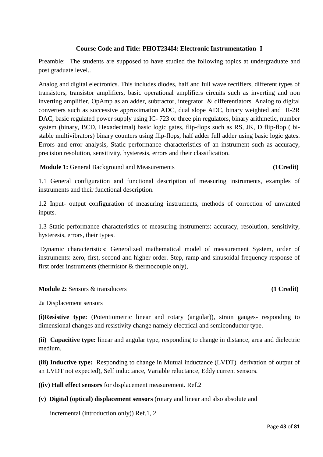# **Course Code and Title: PHOT234I4: Electronic Instrumentation- I**

Preamble: The students are supposed to have studied the following topics at undergraduate and post graduate level..

Analog and digital electronics. This includes diodes, half and full wave rectifiers, different types of transistors, transistor amplifiers, basic operational amplifiers circuits such as inverting and non inverting amplifier, OpAmp as an adder, subtractor, integrator & differentiators. Analog to digital converters such as successive approximation ADC, dual slope ADC, binary weighted and R-2R DAC, basic regulated power supply using IC-723 or three pin regulators, binary arithmetic, number system (binary, BCD, Hexadecimal) basic logic gates, flip-flops such as RS, JK, D flip-flop ( bistable multivibrators) binary counters using flip-flops, half adder full adder using basic logic gates. Errors and error analysis, Static performance characteristics of an instrument such as accuracy, precision resolution, sensitivity, hysteresis, errors and their classification.

**Module 1:** General Background and Measurements **(1Credit)**

1.1 General configuration and functional description of measuring instruments, examples of instruments and their functional description.

1.2 Input- output configuration of measuring instruments, methods of correction of unwanted inputs.

1.3 Static performance characteristics of measuring instruments: accuracy, resolution, sensitivity, hysteresis, errors, their types.

 Dynamic characteristics: Generalized mathematical model of measurement System, order of instruments: zero, first, second and higher order. Step, ramp and sinusoidal frequency response of first order instruments (thermistor & thermocouple only),

# **Module 2:** Sensors & transducers **(1 Credit)**

2a Displacement sensors

**(i)Resistive type:** (Potentiometric linear and rotary (angular)), strain gauges- responding to dimensional changes and resistivity change namely electrical and semiconductor type.

**(ii) Capacitive type:** linear and angular type, responding to change in distance, area and dielectric medium.

**(iii) Inductive type:** Responding to change in Mutual inductance (LVDT) derivation of output of an LVDT not expected), Self inductance, Variable reluctance, Eddy current sensors.

**((iv) Hall effect sensors** for displacement measurement. Ref.2

# **(v) Digital (optical) displacement sensors** (rotary and linear and also absolute and

incremental (introduction only)) Ref.1, 2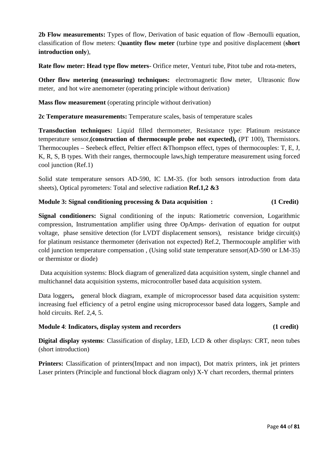**2b Flow measurements:** Types of flow, Derivation of basic equation of flow -Bernoulli equation, classification of flow meters: Q**uantity flow meter** (turbine type and positive displacement (**short introduction only**),

**Rate flow meter: Head type flow meters**- Orifice meter, Venturi tube, Pitot tube and rota-meters,

**Other flow metering (measuring) techniques:** electromagnetic flow meter, Ultrasonic flow meter, and hot wire anemometer (operating principle without derivation)

**Mass flow measurement** (operating principle without derivation)

**2c Temperature measurements:** Temperature scales, basis of temperature scales

**Transduction techniques:** Liquid filled thermometer, Resistance type: Platinum resistance temperature sensor,**(construction of thermocouple probe not expected),** (PT 100), Thermistors. Thermocouples – Seebeck effect, Peltier effect &Thompson effect, types of thermocouples: T, E, J, K, R, S, B types. With their ranges, thermocouple laws,high temperature measurement using forced cool junction (Ref.1)

Solid state temperature sensors AD-590, IC LM-35. (for both sensors introduction from data sheets), Optical pyrometers: Total and selective radiation **Ref.1,2 &3**

# **Module 3: Signal conditioning processing & Data acquisition : (1 Credit)**

**Signal conditioners:** Signal conditioning of the inputs: Ratiometric conversion, Logarithmic compression, Instrumentation amplifier using three OpAmps- derivation of equation for output voltage, phase sensitive detection (for LVDT displacement sensors), resistance bridge circuit(s) for platinum resistance thermometer (derivation not expected) Ref.2, Thermocouple amplifier with cold junction temperature compensation , (Using solid state temperature sensor(AD-590 or LM-35) or thermistor or diode)

Data acquisition systems: Block diagram of generalized data acquisition system, single channel and multichannel data acquisition systems, microcontroller based data acquisition system.

Data loggers**,** general block diagram, example of microprocessor based data acquisition system: increasing fuel efficiency of a petrol engine using microprocessor based data loggers, Sample and hold circuits. Ref. 2,4, 5.

# **Module 4**: **Indicators, display system and recorders (1 credit)**

**Digital display systems**: Classification of display, LED, LCD & other displays: CRT, neon tubes (short introduction)

**Printers:** Classification of printers(Impact and non impact), Dot matrix printers, ink jet printers Laser printers (Principle and functional block diagram only) X-Y chart recorders, thermal printers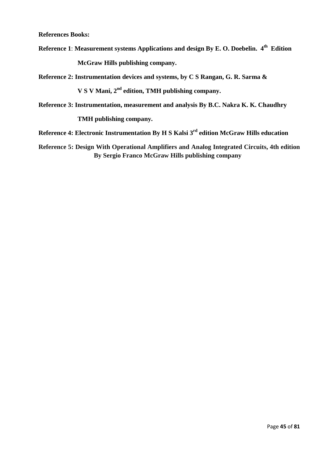**References Books:**

**Reference 1**: **Measurement systems Applications and design By E. O. Doebelin. 4th Edition**

 **McGraw Hills publishing company.**

**Reference 2: Instrumentation devices and systems, by C S Rangan, G. R. Sarma &**

 **V S V Mani, 2nd edition, TMH publishing company.**

**Reference 3: Instrumentation, measurement and analysis By B.C. Nakra K. K. Chaudhry**

 **TMH publishing company.**

**Reference 4: Electronic Instrumentation By H S Kalsi 3rd edition McGraw Hills education**

**Reference 5: Design With Operational Amplifiers and Analog Integrated Circuits, 4th edition By Sergio Franco McGraw Hills publishing company**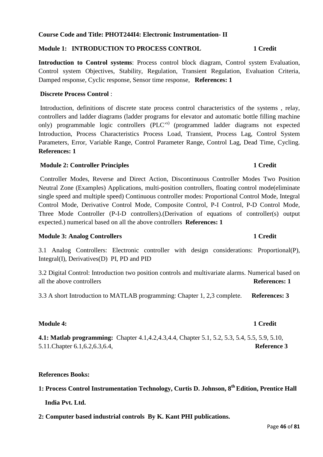# **Course Code and Title: PHOT244I4: Electronic Instrumentation- II**

# **Module 1: INTRODUCTION TO PROCESS CONTROL 1 Credit**

**Introduction to Control systems**: Process control block diagram, Control system Evaluation, Control system Objectives, Stability, Regulation, Transient Regulation, Evaluation Criteria, Damped response, Cyclic response, Sensor time response, **References: 1** 

### **Discrete Process Control** :

 Introduction, definitions of discrete state process control characteristics of the systems , relay, controllers and ladder diagrams (ladder programs for elevator and automatic bottle filling machine only) programmable logic controllers (PLC'<sup>s)</sup> (programmed ladder diagrams not expected Introduction, Process Characteristics Process Load, Transient, Process Lag, Control System Parameters, Error, Variable Range, Control Parameter Range, Control Lag, Dead Time, Cycling. **References: 1**

# **Module 2: Controller Principles 1 Credit**

 Controller Modes, Reverse and Direct Action, Discontinuous Controller Modes Two Position Neutral Zone (Examples) Applications, multi-position controllers, floating control mode(eliminate single speed and multiple speed) Continuous controller modes: Proportional Control Mode, Integral Control Mode, Derivative Control Mode, Composite Control, P-I Control, P-D Control Mode, Three Mode Controller (P-I-D controllers).(Derivation of equations of controller(s) output expected.) numerical based on all the above controllers **References: 1**

# **Module 3: Analog Controllers 1 Credit**

3.1 Analog Controllers: Electronic controller with design considerations: Proportional(P), Integral(I), Derivatives(D) PI, PD and PID

3.2 Digital Control: Introduction two position controls and multivariate alarms. Numerical based on all the above controllers **References: 1**

3.3 A short Introduction to MATLAB programming: Chapter 1, 2,3 complete. **References: 3**

# **Module 4: 1 Credit**

**4.1: Matlab programming:** Chapter 4.1,4.2,4.3,4.4, Chapter 5.1, 5.2, 5.3, 5.4, 5.5, 5.9, 5.10, 5.11.Chapter 6.1,6.2,6.3,6.4, **Reference 3**

# **References Books:**

**1: Process Control Instrumentation Technology, Curtis D. Johnson, 8th Edition, Prentice Hall** 

 **India Pvt. Ltd.** 

**2: Computer based industrial controls By K. Kant PHI publications.**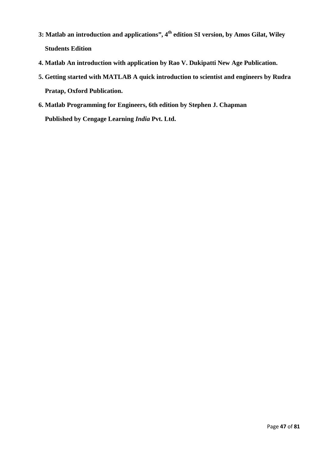- **3: Matlab an introduction and applications", 4th edition SI version, by Amos Gilat, Wiley Students Edition**
- **4. Matlab An introduction with application by Rao V. Dukipatti New Age Publication.**
- **5. Getting started with MATLAB A quick introduction to scientist and engineers by Rudra Pratap, Oxford Publication.**
- **6. Matlab Programming for Engineers, 6th edition by Stephen J. Chapman Published by Cengage Learning** *India* **Pvt. Ltd.**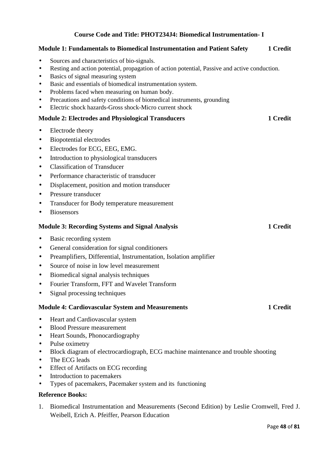# **Course Code and Title: PHOT234J4: Biomedical Instrumentation- I**

# **Module 1: Fundamentals to Biomedical Instrumentation and Patient Safety 1 Credit**  • Sources and characteristics of bio-signals. • Resting and action potential, propagation of action potential, Passive and active conduction. • Basics of signal measuring system • Basic and essentials of biomedical instrumentation system. • Problems faced when measuring on human body. • Precautions and safety conditions of biomedical instruments, grounding • Electric shock hazards-Gross shock-Micro current shock **Module 2: Electrodes and Physiological Transducers 1 Credit 1 Credit** • Electrode theory • Biopotential electrodes • Electrodes for ECG, EEG, EMG. • Introduction to physiological transducers • Classification of Transducer • Performance characteristic of transducer • Displacement, position and motion transducer • Pressure transducer • Transducer for Body temperature measurement • Biosensors **Module 3: Recording Systems and Signal Analysis 1 Credit 1 Credit** • Basic recording system • General consideration for signal conditioners • Preamplifiers, Differential, Instrumentation, Isolation amplifier • Source of noise in low level measurement • Biomedical signal analysis techniques • Fourier Transform, FFT and Wavelet Transform • Signal processing techniques **Module 4: Cardiovascular System and Measurements 1 Credit 1 Credit** • Heart and Cardiovascular system • Blood Pressure measurement • Heart Sounds, Phonocardiography • Pulse oximetry • Block diagram of electrocardiograph, ECG machine maintenance and trouble shooting • The ECG leads • Effect of Artifacts on ECG recording • Introduction to pacemakers • Types of pacemakers, Pacemaker system and its functioning **Reference Books:**

1. Biomedical Instrumentation and Measurements (Second Edition) by Leslie Cromwell, Fred J. Weibell, Erich A. Pfeiffer, Pearson Education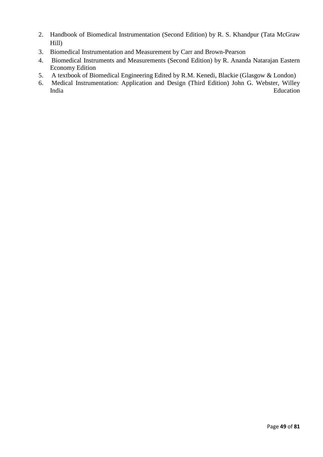- 2. Handbook of Biomedical Instrumentation (Second Edition) by R. S. Khandpur (Tata McGraw Hill)
- 3. Biomedical Instrumentation and Measurement by Carr and Brown-Pearson
- 4. Biomedical Instruments and Measurements (Second Edition) by R. Ananda Natarajan Eastern Economy Edition
- 5. A textbook of Biomedical Engineering Edited by R.M. Kenedi, Blackie (Glasgow & London)
- 6. Medical Instrumentation: Application and Design (Third Edition) John G. Webster, Willey India Education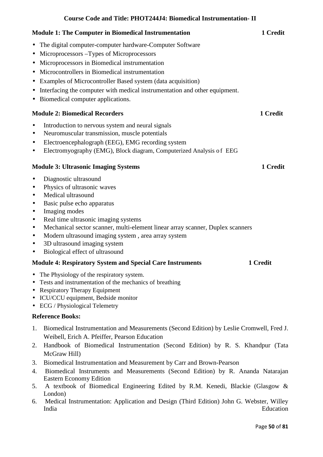# **Course Code and Title: PHOT244J4: Biomedical Instrumentation- II**

| <b>Module 1: The Computer in Biomedical Instrumentation</b>                                                                                                                                                                                                                                                                                                                                                                                                                                                                    | 1 Credit |
|--------------------------------------------------------------------------------------------------------------------------------------------------------------------------------------------------------------------------------------------------------------------------------------------------------------------------------------------------------------------------------------------------------------------------------------------------------------------------------------------------------------------------------|----------|
| The digital computer-computer hardware-Computer Software<br>$\bullet$<br>Microprocessors –Types of Microprocessors<br>$\bullet$<br>Microprocessors in Biomedical instrumentation<br>$\bullet$<br>Microcontrollers in Biomedical instrumentation<br>$\bullet$<br>Examples of Microcontroller Based system (data acquisition)<br>$\bullet$<br>Interfacing the computer with medical instrumentation and other equipment.<br>$\bullet$<br>Biomedical computer applications.<br>$\bullet$<br><b>Module 2: Biomedical Recorders</b> | 1 Credit |
| Introduction to nervous system and neural signals<br>٠<br>Neuromuscular transmission, muscle potentials<br>$\bullet$<br>Electroencephalograph (EEG), EMG recording system<br>$\bullet$<br>Electromyography (EMG), Block diagram, Computerized Analysis of EEG<br>٠                                                                                                                                                                                                                                                             |          |
| <b>Module 3: Ultrasonic Imaging Systems</b>                                                                                                                                                                                                                                                                                                                                                                                                                                                                                    | 1 Credit |
| Diagnostic ultrasound<br>$\bullet$<br>Physics of ultrasonic waves<br>$\bullet$<br>Medical ultrasound<br>$\bullet$<br>Basic pulse echo apparatus<br>$\bullet$<br>Imaging modes<br>$\bullet$<br>Real time ultrasonic imaging systems<br>$\bullet$<br>Mechanical sector scanner, multi-element linear array scanner, Duplex scanners<br>$\bullet$<br>Modern ultrasound imaging system, area array system<br>$\bullet$<br>3D ultrasound imaging system<br>$\bullet$<br>Biological effect of ultrasound<br>$\bullet$                |          |
| <b>Module 4: Respiratory System and Special Care Instruments</b>                                                                                                                                                                                                                                                                                                                                                                                                                                                               | 1 Credit |
| The Physiology of the respiratory system.<br>$\bullet$<br>Tests and instrumentation of the mechanics of breathing<br>$\bullet$<br><b>Respiratory Therapy Equipment</b><br>$\bullet$<br>ICU/CCU equipment, Bedside monitor<br><b>ECG</b> / Physiological Telemetry<br>٠                                                                                                                                                                                                                                                         |          |
| <b>Reference Books:</b>                                                                                                                                                                                                                                                                                                                                                                                                                                                                                                        |          |

- 1. Biomedical Instrumentation and Measurements (Second Edition) by Leslie Cromwell, Fred J. Weibell, Erich A. Pfeiffer, Pearson Education
- 2. Handbook of Biomedical Instrumentation (Second Edition) by R. S. Khandpur (Tata McGraw Hill)
- 3. Biomedical Instrumentation and Measurement by Carr and Brown-Pearson
- 4. Biomedical Instruments and Measurements (Second Edition) by R. Ananda Natarajan Eastern Economy Edition
- 5. A textbook of Biomedical Engineering Edited by R.M. Kenedi, Blackie (Glasgow & London)
- 6. Medical Instrumentation: Application and Design (Third Edition) John G. Webster, Willey India Education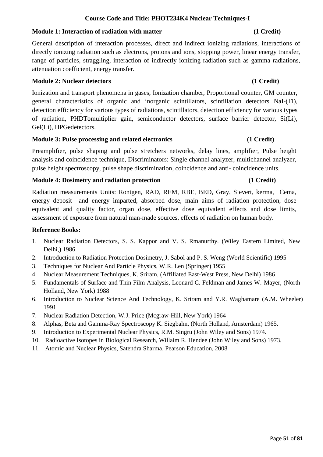# **Course Code and Title: PHOT234K4 Nuclear Techniques-I**

# **Module 1: Interaction of radiation with matter (1 Credit)**  $(1 \text{ Credit})$

General description of interaction processes, direct and indirect ionizing radiations, interactions of directly ionizing radiation such as electrons, protons and ions, stopping power, linear energy transfer, range of particles, straggling, interaction of indirectly ionizing radiation such as gamma radiations, attenuation coefficient, energy transfer.

# **Module 2: Nuclear detectors** (1 Credit)

Ionization and transport phenomena in gases, Ionization chamber, Proportional counter, GM counter, general characteristics of organic and inorganic scintillators, scintillation detectors NaI-(Tl), detection efficiency for various types of radiations, scintillators, detection efficiency for various types of radiation, PHDTomultiplier gain, semiconductor detectors, surface barrier detector, Si(Li), Gel(Li), HPGedetectors.

### **Module 3: Pulse processing and related electronics (1 Credit)**

Preamplifier, pulse shaping and pulse stretchers networks, delay lines, amplifier, Pulse height analysis and coincidence technique, Discriminators: Single channel analyzer, multichannel analyzer, pulse height spectroscopy, pulse shape discrimination, coincidence and anti- coincidence units.

# **Module 4: Dosimetry and radiation protection (1 Credit)**

Radiation measurements Units: Rontgen, RAD, REM, RBE, BED, Gray, Sievert, kerma, Cema, energy deposit and energy imparted, absorbed dose, main aims of radiation protection, dose equivalent and quality factor, organ dose, effective dose equivalent effects and dose limits, assessment of exposure from natural man-made sources, effects of radiation on human body.

- 1. Nuclear Radiation Detectors, S. S. Kappor and V. S. Rmanurthy. (Wiley Eastern Limited, New Delhi,) 1986
- 2. Introduction to Radiation Protection Dosimetry, J. Sabol and P. S. Weng (World Scientific) 1995
- 3. Techniques for Nuclear And Particle Physics, W.R. Len (Springer) 1955
- 4. Nuclear Measurement Techniques, K. Sriram, (Affiliated East-West Press, New Delhi) 1986
- 5. Fundamentals of Surface and Thin Film Analysis, Leonard C. Feldman and James W. Mayer, (North Holland, New York) 1988
- 6. Introduction to Nuclear Science And Technology, K. Sriram and Y.R. Waghamare (A.M. Wheeler) 1991
- 7. Nuclear Radiation Detection, W.J. Price (Mcgraw-Hill, New York) 1964
- 8. Alphas, Beta and Gamma-Ray Spectroscopy K. Siegbahn, (North Holland, Amsterdam) 1965.
- 9. Introduction to Experimental Nuclear Physics, R.M. Singru (John Wiley and Sons) 1974.
- 10. Radioactive Isotopes in Biological Research, Willaim R. Hendee (John Wiley and Sons) 1973.
- 11. Atomic and Nuclear Physics, Satendra Sharma, Pearson Education, 2008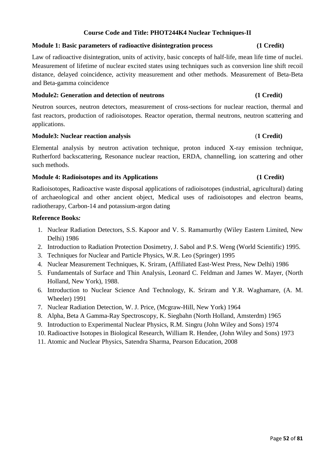# **Course Code and Title: PHOT244K4 Nuclear Techniques-II**

### **Module 1: Basic parameters of radioactive disintegration process (1 Credit)**

Law of radioactive disintegration, units of activity, basic concepts of half-life, mean life time of nuclei. Measurement of lifetime of nuclear excited states using techniques such as conversion line shift recoil distance, delayed coincidence, activity measurement and other methods. Measurement of Beta-Beta and Beta-gamma coincidence

### **Module2: Generation and detection of neutrons (1 Credit)**

Neutron sources, neutron detectors, measurement of cross-sections for nuclear reaction, thermal and fast reactors, production of radioisotopes. Reactor operation, thermal neutrons, neutron scattering and applications.

# **Module3: Nuclear reaction analysis** (**1 Credit)**

Elemental analysis by neutron activation technique, proton induced X-ray emission technique, Rutherford backscattering, Resonance nuclear reaction, ERDA, channelling, ion scattering and other such methods.

# **Module 4: Radioisotopes and its Applications (1 Credit)**

Radioisotopes, Radioactive waste disposal applications of radioisotopes (industrial, agricultural) dating of archaeological and other ancient object, Medical uses of radioisotopes and electron beams, radiotherapy, Carbon-14 and potassium-argon dating

- 1. Nuclear Radiation Detectors, S.S. Kapoor and V. S. Ramamurthy (Wiley Eastern Limited, New Delhi) 1986
- 2. Introduction to Radiation Protection Dosimetry, J. Sabol and P.S. Weng (World Scientific) 1995.
- 3. Techniques for Nuclear and Particle Physics, W.R. Leo (Springer) 1995
- 4. Nuclear Measurement Techniques, K. Sriram, (Affiliated East-West Press, New Delhi) 1986
- 5. Fundamentals of Surface and Thin Analysis, Leonard C. Feldman and James W. Mayer, (North Holland, New York), 1988.
- 6. Introduction to Nuclear Science And Technology, K. Sriram and Y.R. Waghamare, (A. M. Wheeler) 1991
- 7. Nuclear Radiation Detection, W. J. Price, (Mcgraw-Hill, New York) 1964
- 8. Alpha, Beta A Gamma-Ray Spectroscopy, K. Siegbahn (North Holland, Amsterdm) 1965
- 9. Introduction to Experimental Nuclear Physics, R.M. Singru (John Wiley and Sons) 1974
- 10. Radioactive Isotopes in Biological Research, William R. Hendee, (John Wiley and Sons) 1973
- 11. Atomic and Nuclear Physics, Satendra Sharma, Pearson Education, 2008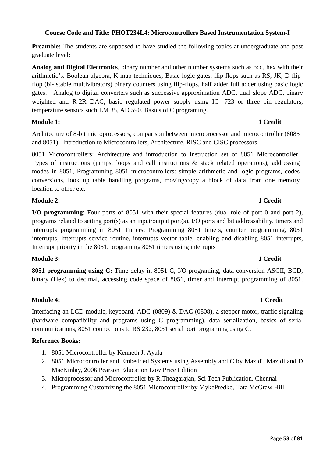# **Course Code and Title: PHOT234L4: Microcontrollers Based Instrumentation System-I**

**Preamble:** The students are supposed to have studied the following topics at undergraduate and post graduate level:

**Analog and Digital Electronics**, binary number and other number systems such as bcd, hex with their arithmetic's. Boolean algebra, K map techniques, Basic logic gates, flip-flops such as RS, JK, D flipflop (bi- stable multivibrators) binary counters using flip-flops, half adder full adder using basic logic gates. Analog to digital converters such as successive approximation ADC, dual slope ADC, binary weighted and R-2R DAC, basic regulated power supply using IC- 723 or three pin regulators, temperature sensors such LM 35, AD 590. Basics of C programing.

# **Module 1:** 1 Credit

Architecture of 8-bit microprocessors, comparison between microprocessor and microcontroller (8085 and 8051). Introduction to Microcontrollers, Architecture, RISC and CISC processors

8051 Microcontrollers: Architecture and introduction to Instruction set of 8051 Microcontroller. Types of instructions (jumps, loops and call instructions & stack related operations), addressing modes in 8051, Programming 8051 microcontrollers: simple arithmetic and logic programs, codes conversions, look up table handling programs, moving/copy a block of data from one memory location to other etc.

# **Module 2: 1 Credit**

**I/O programming**: Four ports of 8051 with their special features (dual role of port 0 and port 2), programs related to setting port(s) as an input/output port(s), I/O ports and bit addressability, timers and interrupts programming in 8051 Timers: Programming 8051 timers, counter programming, 8051 interrupts, interrupts service routine, interrupts vector table, enabling and disabling 8051 interrupts, Interrupt priority in the 8051, programing 8051 timers using interrupts

# **Module 3: 1 Credit**

**8051 programming using C:** Time delay in 8051 C, I/O programing, data conversion ASCII, BCD, binary (Hex) to decimal, accessing code space of 8051, timer and interrupt programming of 8051.

# **Module 4: 1 Credit**

Interfacing an LCD module, keyboard, ADC (0809) & DAC (0808), a stepper motor, traffic signaling (hardware compatibility and programs using C programming), data serialization, basics of serial communications, 8051 connections to RS 232, 8051 serial port programing using C.

- 1. 8051 Microcontroller by Kenneth J. Ayala
- 2. 8051 Microcontroller and Embedded Systems using Assembly and C by Mazidi, Mazidi and D MacKinlay, 2006 Pearson Education Low Price Edition
- 3. Microprocessor and Microcontroller by R.Theagarajan, Sci Tech Publication, Chennai
- 4. Programming Customizing the 8051 Microcontroller by MykePredko, Tata McGraw Hill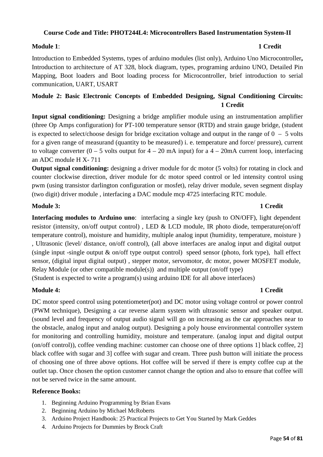# **Course Code and Title: PHOT244L4: Microcontrollers Based Instrumentation System-II**

### **Module 1**: **1 Credit**

# Introduction to Embedded Systems, types of arduino modules (list only), Arduino Uno Microcontroller**,**  Introduction to architecture of AT 328, block diagram, types, programing arduino UNO, Detailed Pin Mapping, Boot loaders and Boot loading process for Microcontroller, brief introduction to serial communication, UART, USART

# **Module 2: Basic Electronic Concepts of Embedded Designing, Signal Conditioning Circuits: 1 Credit**

**Input signal conditioning:** Designing a bridge amplifier module using an instrumentation amplifier (three Op Amps configuration) for PT-100 temperature sensor (RTD) and strain gauge bridge, (student is expected to select/choose design for bridge excitation voltage and output in the range of  $0 - 5$  volts for a given range of measurand (quantity to be measured) i. e. temperature and force/ pressure), current to voltage converter  $(0 - 5$  volts output for  $4 - 20$  mA input) for a  $4 - 20$  mA current loop, interfacing an ADC module H X- 711

**Output signal conditioning:** designing a driver module for dc motor (5 volts) for rotating in clock and counter clockwise direction, driver module for dc motor speed control or led intensity control using pwm (using transistor darlington configuration or mosfet), relay driver module, seven segment display (two digit) driver module , interfacing a DAC module mcp 4725 interfacing RTC module.

# **Module 3: 1 Credit**

**Interfacing modules to Arduino uno**: interfacing a single key (push to ON/OFF), light dependent resistor (intensity, on/off output control) , LED & LCD module, IR photo diode, temperature(on/off temperature control), moisture and humidity, multiple analog input (humidity, temperature, moisture ) , Ultrasonic (level/ distance, on/off control), (all above interfaces are analog input and digital output (single input -single output  $\&$  on/off type output control) speed sensor (photo, fork type), hall effect sensor, (digital input digital output) , stepper motor, servomotor, dc motor, power MOSFET module, Relay Module (or other compatible module(s)) and multiple output (on/off type) (Student is expected to write a program(s) using arduino IDE for all above interfaces)

# **Module 4: 1 Credit**

DC motor speed control using potentiometer(pot) and DC motor using voltage control or power control (PWM technique), Designing a car reverse alarm system with ultrasonic sensor and speaker output. (sound level and frequency of output audio signal will go on increasing as the car approaches near to the obstacle, analog input and analog output). Designing a poly house environmental controller system for monitoring and controlling humidity, moisture and temperature. (analog input and digital output (on/off control)), coffee vending machine: customer can choose one of three options 1] black coffee, 2] black coffee with sugar and 3] coffee with sugar and cream. Three push button will initiate the process of choosing one of three above options. Hot coffee will be served if there is empty coffee cup at the outlet tap. Once chosen the option customer cannot change the option and also to ensure that coffee will not be served twice in the same amount.

- 1. Beginning Arduino Programming by Brian Evans
- 2. Beginning Arduino by Michael McRoberts
- 3. Arduino Project Handbook: 25 Practical Projects to Get You Started by Mark Geddes
- 4. Arduino Projects for Dummies by Brock Craft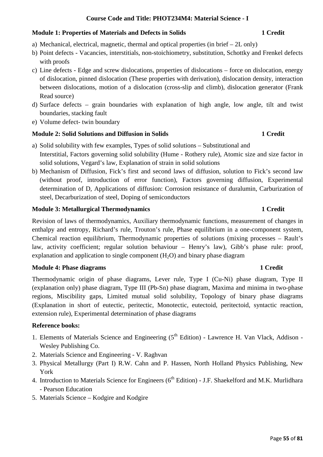# **Course Code and Title: PHOT234M4: Material Science - I**

# **Module 1: Properties of Materials and Defects in Solids 1 Credit 1 Credit**

- a) Mechanical, electrical, magnetic, thermal and optical properties (in brief 2L only)
- b) Point defects Vacancies, interstitials, non-stoichiometry, substitution, Schottky and Frenkel defects with proofs
- c) Line defects Edge and screw dislocations, properties of dislocations force on dislocation, energy of dislocation, pinned dislocation (These properties with derivation), dislocation density, interaction between dislocations, motion of a dislocation (cross-slip and climb), dislocation generator (Frank Read source)
- d) Surface defects grain boundaries with explanation of high angle, low angle, tilt and twist boundaries, stacking fault
- e) Volume defect- twin boundary

# **Module 2: Solid Solutions and Diffusion in Solids 1 Credit 1 Credit**

- a) Solid solubility with few examples, Types of solid solutions Substitutional and Interstitial, Factors governing solid solubility (Hume - Rothery rule), Atomic size and size factor in solid solutions, Vegard's law, Explanation of strain in solid solutions
- b) Mechanism of Diffusion, Fick's first and second laws of diffusion, solution to Fick's second law (without proof, introduction of error function), Factors governing diffusion, Experimental determination of D, Applications of diffusion: Corrosion resistance of duralumin, Carburization of steel, Decarburization of steel, Doping of semiconductors

# **Module 3: Metallurgical Thermodynamics** 1 Credit

Revision of laws of thermodynamics, Auxiliary thermodynamic functions, measurement of changes in enthalpy and entropy, Richard's rule, Trouton's rule, Phase equilibrium in a one-component system, Chemical reaction equilibrium, Thermodynamic properties of solutions (mixing processes – Rault's law, activity coefficient; regular solution behaviour – Henry's law), Gibb's phase rule: proof, explanation and application to single component  $(H<sub>2</sub>O)$  and binary phase diagram

# **Module 4: Phase diagrams 1 Credit 1 Credit 1 Credit 1 Credit 1 Credit 1 Credit 1 Credit 1 Credit 1 Credit 1 Credit 1 Credit 1 Credit 1 Credit 1 Credit 1 Credit 1 Credit 1 Credit 1 Credit 1 Credit 1 Credit 1 Credit 1 Credi**

Thermodynamic origin of phase diagrams, Lever rule, Type I (Cu-Ni) phase diagram, Type II (explanation only) phase diagram, Type III (Pb-Sn) phase diagram, Maxima and minima in two-phase regions, Miscibility gaps, Limited mutual solid solubility, Topology of binary phase diagrams (Explanation in short of eutectic, peritectic, Monotectic, eutectoid, peritectoid, syntactic reaction, extension rule), Experimental determination of phase diagrams

- 1. Elements of Materials Science and Engineering  $(5<sup>th</sup> Edition)$  Lawrence H. Van Vlack, Addison -Wesley Publishing Co.
- 2. Materials Science and Engineering V. Raghvan
- 3. Physical Metallurgy (Part I) R.W. Cahn and P. Hassen, North Holland Physics Publishing, New York
- 4. Introduction to Materials Science for Engineers (6<sup>th</sup> Edition) J.F. Shaekelford and M.K. Murlidhara - Pearson Education
- 5. Materials Science Kodgire and Kodgire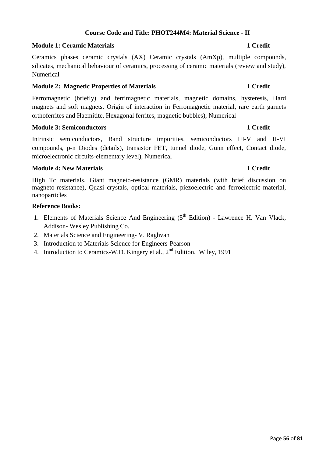### Page **56** of **81**

# **Course Code and Title: PHOT244M4: Material Science - II**

### **Module 1: Ceramic Materials 1 Credit**

Ceramics phases ceramic crystals (AX) Ceramic crystals (AmXp), multiple compounds, silicates, mechanical behaviour of ceramics, processing of ceramic materials (review and study), Numerical

### **Module 2: Magnetic Properties of Materials 1 Credit 1 Credit 1 Credit**

Ferromagnetic (briefly) and ferrimagnetic materials, magnetic domains, hysteresis, Hard magnets and soft magnets, Origin of interaction in Ferromagnetic material, rare earth garnets orthoferrites and Haemitite, Hexagonal ferrites, magnetic bubbles), Numerical

### **Module 3: Semiconductors 1 Credit**

Intrinsic semiconductors, Band structure impurities, semiconductors III-V and II-VI compounds, p-n Diodes (details), transistor FET, tunnel diode, Gunn effect, Contact diode, microelectronic circuits-elementary level), Numerical

### **Module 4: New Materials 1 Credit**

High Tc materials, Giant magneto-resistance (GMR) materials (with brief discussion on magneto-resistance), Quasi crystals, optical materials, piezoelectric and ferroelectric material, nanoparticles

- 1. Elements of Materials Science And Engineering  $(5<sup>th</sup> Edition)$  Lawrence H. Van Vlack, Addison- Wesley Publishing Co.
- 2. Materials Science and Engineering- V. Raghvan
- 3. Introduction to Materials Science for Engineers-Pearson
- 4. Introduction to Ceramics-W.D. Kingery et al., 2<sup>nd</sup> Edition, Wiley, 1991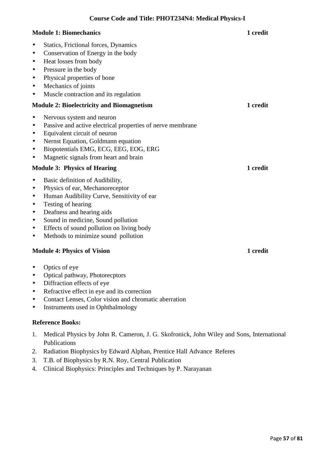### **Module 1: Biomechanics** 1 **credit 1 1 integral 1 integral 1 integral 1 integral 1**

- Statics, Frictional forces, Dynamics
- Conservation of Energy in the body
- Heat losses from body
- Pressure in the body
- Physical properties of bone
- Mechanics of joints
- Muscle contraction and its regulation

### **Module 2: Bioelectricity and Biomagnetism 1 credit**

- Nervous system and neuron
- Passive and active electrical properties of nerve membrane
- Equivalent circuit of neuron
- Nernst Equation, Goldmann equation
- Biopotentials EMG, ECG, EEG, EOG, ERG
- Magnetic signals from heart and brain

# **Module 3: Physics of Hearing 1 credit 1 credit 1 credit 1 credit 1 credit 1 credit 1 credit 1 credit 1 credit 1 credit 1 credit 1 credit 1 credit 1 credit 1 credit 1 credit 1 credit 1 credit 1 credit 1 credit 1 credit 1 c**

- Basic definition of Audibility,
- Physics of ear, Mechanoreceptor
- Human Audibility Curve, Sensitivity of ear
- Testing of hearing
- Deafness and hearing aids
- Sound in medicine, Sound pollution
- Effects of sound pollution on living body
- Methods to minimize sound pollution

### **Module 4: Physics of Vision 1 credit 1 credit 1 credit 1 credit 1 credit 1 credit 1 credit 1 credit 1 credit 1 credit 1 credit 1 credit 1 credit 1 credit 1 credit 1 credit 1 credit 1 credit 1 credit 1 credit 1 credit 1 cr**

- Optics of eye
- Optical pathway, Photorecptors
- Diffraction effects of eye
- Refractive effect in eye and its correction
- Contact Lenses, Color vision and chromatic aberration
- Instruments used in Ophthalmology

- 1. Medical Physics by John R. Cameron, J. G. Skofronick, John Wiley and Sons, International Publications
- 2. Radiation Biophysics by Edward Alphan, Prentice Hall Advance Referes
- 3. T.B. of Biophysics by R.N. Roy, Central Publication
- 4. Clinical Biophysics: Principles and Techniques by P. Narayanan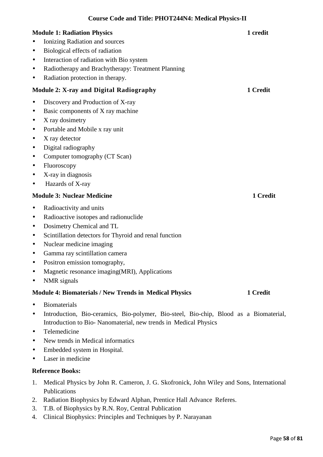**Course Code and Title: PHOT244N4: Medical Physics-II** 

- Ionizing Radiation and sources
- Biological effects of radiation
- Interaction of radiation with Bio system
- Radiotherapy and Brachytherapy: Treatment Planning
- Radiation protection in therapy.

# **Module 2: X-ray and Digital Radiography 1 Credit**

- Discovery and Production of X-ray
- Basic components of X ray machine
- X ray dosimetry
- Portable and Mobile x ray unit
- X ray detector
- Digital radiography
- Computer tomography (CT Scan)
- Fluoroscopy
- X-ray in diagnosis
- Hazards of X-ray

# **Module 3: Nuclear Medicine 1 Credit 1 Credit 1 Credit 1 Credit**

- Radioactivity and units
- Radioactive isotopes and radionuclide
- Dosimetry Chemical and TL
- Scintillation detectors for Thyroid and renal function
- Nuclear medicine imaging
- Gamma ray scintillation camera
- Positron emission tomography,
- Magnetic resonance imaging(MRI), Applications
- NMR signals

# **Module 4: Biomaterials / New Trends in Medical Physics 1 Credit**

- Biomaterials
- Introduction, Bio-ceramics, Bio-polymer, Bio-steel, Bio-chip, Blood as a Biomaterial, Introduction to Bio- Nanomaterial, new trends in Medical Physics
- Telemedicine
- New trends in Medical informatics
- Embedded system in Hospital.
- Laser in medicine

- 1. Medical Physics by John R. Cameron, J. G. Skofronick, John Wiley and Sons, International Publications
- 2. Radiation Biophysics by Edward Alphan, Prentice Hall Advance Referes.
- 3. T.B. of Biophysics by R.N. Roy, Central Publication
- 4. Clinical Biophysics: Principles and Techniques by P. Narayanan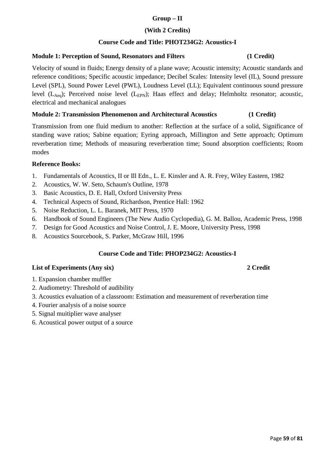# **Group – II**

# **(With 2 Credits)**

# **Course Code and Title: PHOT234G2: Acoustics-I**

# **Module 1: Perception of Sound, Resonators and Filters (1 Credit)**

Velocity of sound in fluids; Energy density of a plane wave; Acoustic intensity; Acoustic standards and reference conditions; Specific acoustic impedance; Decibel Scales: Intensity level (IL), Sound pressure Level (SPL), Sound Power Level (PWL), Loudness Level (LL); Equivalent continuous sound pressure level  $(L_{Aeq})$ ; Perceived noise level  $(L_{EPN})$ ; Haas effect and delay; Helmholtz resonator; acoustic, electrical and mechanical analogues

# **Module 2: Transmission Phenomenon and Architectural Acoustics (1 Credit)**

Transmission from one fluid medium to another: Reflection at the surface of a solid, Significance of standing wave ratios; Sabine equation; Eyring approach, Millington and Sette approach; Optimum reverberation time; Methods of measuring reverberation time; Sound absorption coefficients; Room modes

# **Reference Books:**

- 1. Fundamentals of Acoustics, II or Ill Edn., L. E. Kinsler and A. R. Frey, Wiley Eastern, 1982
- 2. Acoustics, W. W. Seto, Schaum's Outline, 1978
- 3. Basic Acoustics, D. E. Hall, Oxford University Press
- 4. Technical Aspects of Sound, Richardson, Prentice Hall: 1962
- 5. Noise Reduction, L. L. Baranek, MIT Press, 1970
- 6. Handbook of Sound Engineers (The New Audio Cyclopedia), G. M. Ballou, Academic Press, 1998
- 7. Design for Good Acoustics and Noise Control, J. E. Moore, University Press, 1998
- 8. Acoustics Sourcebook, S. Parker, McGraw Hill, 1996

# **Course Code and Title: PHOP234G2: Acoustics-I**

# **List of Experiments (Any six) 2 Credit**

# 1. Expansion chamber muffler

- 2. Audiometry: Threshold of audibility
- 3. Acoustics evaluation of a classroom: Estimation and measurement of reverberation time
- 4. Fourier analysis of a noise source
- 5. Signal muitiplier wave analyser
- 6. Acoustical power output of a source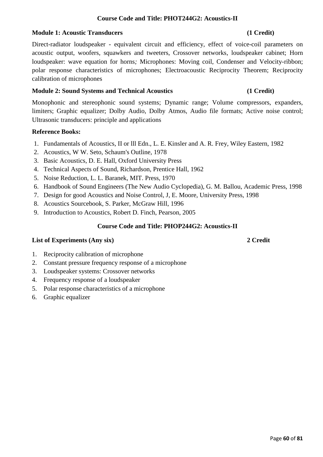# **Course Code and Title: PHOT244G2: Acoustics-II**

## **Module 1: Acoustic Transducers** (1 Credit)

Direct-radiator loudspeaker - equivalent circuit and efficiency, effect of voice-coil parameters on acoustic output, woofers, squawkers and tweeters, Crossover networks, loudspeaker cabinet; Horn loudspeaker: wave equation for horns*;* Microphones: Moving coil, Condenser and Velocity-ribbon; polar response characteristics of microphones; Electroacoustic Reciprocity Theorem; Reciprocity calibration of microphones

# **Module 2: Sound Systems and Technical Acoustics (1 Credit)**

Monophonic and stereophonic sound systems; Dynamic range; Volume compressors, expanders, limiters; Graphic equalizer; Dolby Audio, Dolby Atmos, Audio file formats; Active noise control; Ultrasonic transducers: principle and applications

# **Reference Books:**

- 1. Fundamentals of Acoustics, II or lll Edn., L. E. Kinsler and A. R. Frey, Wiley Eastern, 1982
- 2. Acoustics, W W. Seto, Schaum's Outline, 1978
- 3. Basic Acoustics, D. E. Hall, Oxford University Press
- 4. Technical Aspects of Sound, Richardson, Prentice Hall, 1962
- 5. Noise Reduction, L. L. Baranek, MIT. Press, 1970
- 6. Handbook of Sound Engineers (The New Audio Cyclopedia), G. M. Ballou, Academic Press, 1998
- 7. Design for good Acoustics and Noise Control, J, E. Moore, University Press, 1998
- 8. Acoustics Sourcebook, S. Parker, McGraw Hill, 1996
- 9. Introduction to Acoustics, Robert D. Finch, Pearson, 2005

# **Course Code and Title: PHOP244G2: Acoustics-II**

### **List of Experiments (Any six) 2 Credit**

### 1. Reciprocity calibration of microphone

- 2. Constant pressure frequency response of a microphone
- 3. Loudspeaker systems: Crossover networks
- 4. Frequency response of a loudspeaker
- 5. Polar response characteristics of a microphone
- 6. Graphic equalizer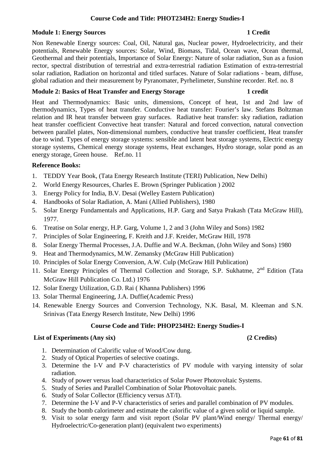# **Course Code and Title: PHOT234H2: Energy Studies-I**

### **Module 1: Energy Sources 1 Credit**

Non Renewable Energy sources: Coal, Oil, Natural gas, Nuclear power, Hydroelectricity, and their potentials, Renewable Energy sources: Solar, Wind, Biomass, Tidal, Ocean wave, Ocean thermal, Geothermal and their potentials, Importance of Solar Energy: Nature of solar radiation, Sun as a fusion rector, spectral distribution of terrestrial and extra-terrestrial radiation Estimation of extra-terrestrial solar radiation, Radiation on horizontal and titled surfaces. Nature of Solar radiations - beam, diffuse, global radiation and their measurement by Pyranomater, Pyrhelimeter, Sunshine recorder. Ref. no. 8

### **Module 2: Basics of Heat Transfer and Energy Storage 1 credit 1 credit**

Heat and Thermodynamics: Basic units, dimensions, Concept of heat, 1st and 2nd law of thermodynamics, Types of heat transfer. Conductive heat transfer: Fourier's law. Stefans Boltzman relation and IR heat transfer between gray surfaces. Radiative heat transfer: sky radiation, radiation heat transfer coefficient Convective heat transfer: Natural and forced convection, natural convection between parallel plates, Non-dimensional numbers, conductive heat transfer coefficient, Heat transfer due to wind. Types of energy storage systems: sensible and latent heat storage systems, Electric energy storage systems, Chemical energy storage systems, Heat exchanges, Hydro storage, solar pond as an energy storage, Green house. Ref.no. 11

# **Reference Books:**

- 1. TEDDY Year Book, (Tata Energy Research Institute (TERI) Publication, New Delhi)
- 2. World Energy Resources, Charles E. Brown (Springer Publication ) 2002
- 3. Energy Policy for India, B.V. Desai (Welley Eastern Publication)
- 4. Handbooks of Solar Radiation, A. Mani (Allied Publishers), 1980
- 5. Solar Energy Fundamentals and Applications, H.P. Garg and Satya Prakash (Tata McGraw Hill), 1977.
- 6. Treatise on Solar energy, H.P. Garg, Volume 1, 2 and 3 (John Wiley and Sons) 1982
- 7. Principles of Solar Engineering, F. Kreith and J.F. Kreider, McGraw Hill, 1978
- 8. Solar Energy Thermal Processes, J.A. Duffie and W.A. Beckman, (John Wiley and Sons) 1980
- 9. Heat and Thermodynamics, M.W. Zemansky (McGraw Hill Publication)
- 10. Principles of Solar Energy Conversion, A.W. Culp (McGraw Hill Publication)
- 11. Solar Energy Principles of Thermal Collection and Storage, S.P. Sukhatme, 2<sup>nd</sup> Edition (Tata McGraw Hill Publication Co. Ltd.) 1976
- 12. Solar Energy Utilization, G.D. Rai ( Khanna Publishers) 1996
- 13. Solar Thermal Engineering, J.A. Duffie(Academic Press)
- 14. Renewable Energy Sources and Conversion Technology, N.K. Basal, M. Kleeman and S.N. Srinivas (Tata Energy Reserch Institute, New Delhi) 1996

### **Course Code and Title: PHOP234H2: Energy Studies-I**

### **List of Experiments (Any six) (2 Credits)**

- 1. Determination of Calorific value of Wood/Cow dung.
- 2. Study of Optical Properties of selective coatings.
- 3. Determine the I-V and P-V characteristics of PV module with varying intensity of solar radiation.
- 4. Study of power versus load characteristics of Solar Power Photovoltaic Systems.
- 5. Study of Series and Parallel Combination of Solar Photovoltaic panels.
- 6. Study of Solar Collector (Efficiency versus ∆T/I).
- 7. Determine the I-V and P-V characteristics of series and parallel combination of PV modules.
- 8. Study the bomb calorimeter and estimate the calorific value of a given solid or liquid sample.
- 9. Visit to solar energy farm and visit report (Solar PV plant/Wind energy/ Thermal energy/ Hydroelectric/Co-generation plant) (equivalent two experiments)

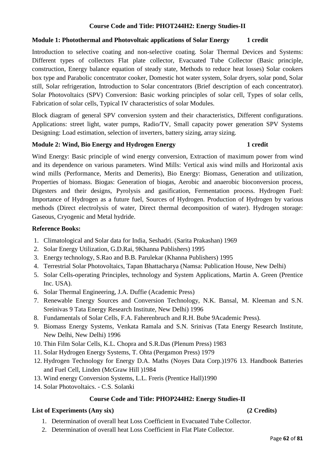# **Course Code and Title: PHOT244H2: Energy Studies-II**

# **Module 1: Photothermal and Photovoltaic applications of Solar Energy 1 credit**

Introduction to selective coating and non-selective coating. Solar Thermal Devices and Systems: Different types of collectors Flat plate collector, Evacuated Tube Collector (Basic principle, construction, Energy balance equation of steady state, Methods to reduce heat losses) Solar cookers box type and Parabolic concentrator cooker, Domestic hot water system, Solar dryers, solar pond, Solar still, Solar refrigeration, Introduction to Solar concentrators (Brief description of each concentrator). Solar Photovoltaics (SPV) Conversion: Basic working principles of solar cell, Types of solar cells, Fabrication of solar cells, Typical IV characteristics of solar Modules.

Block diagram of general SPV conversion system and their characteristics, Different configurations. Applications: street light, water pumps, Radio/TV, Small capacity power generation SPV Systems Designing: Load estimation, selection of inverters, battery sizing, array sizing.

# **Module 2: Wind, Bio Energy and Hydrogen Energy 1 credit 1 credit**

Wind Energy: Basic principle of wind energy conversion, Extraction of maximum power from wind and its dependence on various parameters. Wind Mills: Vertical axis wind mills and Horizontal axis wind mills (Performance, Merits and Demerits), Bio Energy: Biomass, Generation and utilization, Properties of biomass. Biogas: Generation of biogas, Aerobic and anaerobic bioconversion process, Digesters and their designs, Pyrolysis and gasification, Fermentation process. Hydrogen Fuel: Importance of Hydrogen as a future fuel, Sources of Hydrogen. Production of Hydrogen by various methods (Direct electrolysis of water, Direct thermal decomposition of water). Hydrogen storage: Gaseous, Cryogenic and Metal hydride.

# **Reference Books:**

- 1. Climatological and Solar data for India, Seshadri. (Sarita Prakashan) 1969
- 2. Solar Energy Utilization, G.D.Rai, 9Khanna Publishers) 1995
- 3. Energy technology, S.Rao and B.B. Parulekar (Khanna Publishers) 1995
- 4. Terrestrial Solar Photovoltaics, Tapan Bhattacharya (Namsa: Publication House, New Delhi)
- 5. Solar Cells-operating Principles, technology and System Applications, Martin A. Green (Prentice Inc. USA).
- 6. Solar Thermal Engineering, J.A. Duffie (Academic Press)
- 7. Renewable Energy Sources and Conversion Technology, N.K. Bansal, M. Kleeman and S.N. Sreinivas 9 Tata Energy Research Institute, New Delhi) 1996
- 8. Fundamentals of Solar Cells, F.A. Faherenbruch and R.H. Bube 9Academic Press).
- 9. Biomass Energy Systems, Venkata Ramala and S.N. Srinivas (Tata Energy Research Institute, New Delhi, New Delhi) 1996
- 10. Thin Film Solar Cells, K.L. Chopra and S.R.Das (Plenum Press) 1983
- 11. Solar Hydrogen Energy Systems, T. Ohta (Pergamon Press) 1979
- 12. Hydrogen Technology for Energy D.A. Maths (Noyes Data Corp.)1976 13. Handbook Batteries and Fuel Cell, Linden (McGraw Hill )1984
- 13. Wind energy Conversion Systems, L.L. Freris (Prentice Hall)1990
- 14. Solar Photovoltaics. C.S. Solanki

# **Course Code and Title: PHOP244H2: Energy Studies-II**

# **List of Experiments (Any six) (2 Credits)**

- 1. Determination of overall heat Loss Coefficient in Evacuated Tube Collector.
- 2. Determination of overall heat Loss Coefficient in Flat Plate Collector.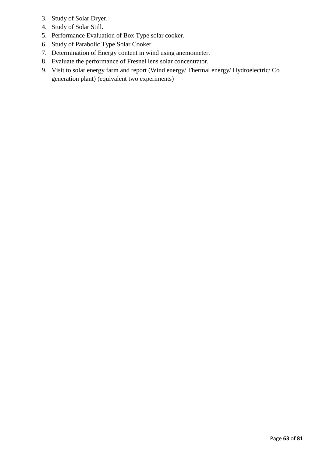- 3. Study of Solar Dryer.
- 4. Study of Solar Still.
- 5. Performance Evaluation of Box Type solar cooker.
- 6. Study of Parabolic Type Solar Cooker.
- 7. Determination of Energy content in wind using anemometer.
- 8. Evaluate the performance of Fresnel lens solar concentrator.
- 9. Visit to solar energy farm and report (Wind energy/ Thermal energy/ Hydroelectric/ Co generation plant) (equivalent two experiments)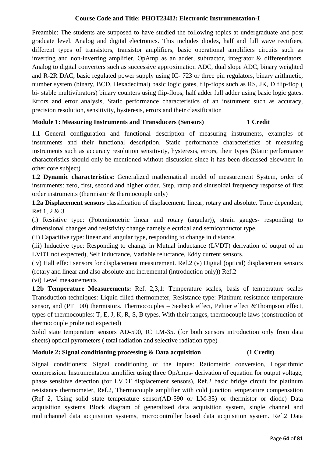# **Course Code and Title: PHOT234I2: Electronic Instrumentation-I**

Preamble: The students are supposed to have studied the following topics at undergraduate and post graduate level. Analog and digital electronics. This includes diodes, half and full wave rectifiers, different types of transistors, transistor amplifiers, basic operational amplifiers circuits such as inverting and non-inverting amplifier, OpAmp as an adder, subtractor, integrator & differentiators. Analog to digital converters such as successive approximation ADC, dual slope ADC, binary weighted and R-2R DAC, basic regulated power supply using IC- 723 or three pin regulators, binary arithmetic, number system (binary, BCD, Hexadecimal) basic logic gates, flip-flops such as RS, JK, D flip-flop ( bi- stable multivibrators) binary counters using flip-flops, half adder full adder using basic logic gates. Errors and error analysis, Static performance characteristics of an instrument such as accuracy, precision resolution, sensitivity, hysteresis, errors and their classification

# **Module 1: Measuring Instruments and Transducers (Sensors) 1 Credit**

**1.1** General configuration and functional description of measuring instruments, examples of instruments and their functional description. Static performance characteristics of measuring instruments such as accuracy resolution sensitivity, hysteresis, errors, their types (Static performance characteristics should only be mentioned without discussion since it has been discussed elsewhere in other core subject)

**1.2 Dynamic characteristics:** Generalized mathematical model of measurement System, order of instruments: zero, first, second and higher order. Step, ramp and sinusoidal frequency response of first order instruments (thermistor & thermocouple only)

**1.2a Displacement sensors** classification of displacement: linear, rotary and absolute. Time dependent, Ref.1, 2 & 3.

(i) Resistive type: (Potentiometric linear and rotary (angular)), strain gauges- responding to dimensional changes and resistivity change namely electrical and semiconductor type.

(ii) Capacitive type: linear and angular type, responding to change in distance,

(iii) Inductive type: Responding to change in Mutual inductance (LVDT) derivation of output of an LVDT not expected), Self inductance, Variable reluctance, Eddy current sensors.

(iv) Hall effect sensors for displacement measurement. Ref.2 (v) Digital (optical) displacement sensors (rotary and linear and also absolute and incremental (introduction only)) Ref.2

(vi) Level measurements

**1.2b Temperature Measurements:** Ref. 2,3,1: Temperature scales, basis of temperature scales Transduction techniques: Liquid filled thermometer, Resistance type: Platinum resistance temperature sensor, and (PT 100) thermistors. Thermocouples – Seebeck effect, Peltier effect &Thompson effect, types of thermocouples: T, E, J, K, R, S, B types. With their ranges, thermocouple laws (construction of thermocouple probe not expected)

Solid state temperature sensors AD-590, IC LM-35. (for both sensors introduction only from data sheets) optical pyrometers ( total radiation and selective radiation type)

# **Module 2: Signal conditioning processing & Data acquisition (1 Credit)**

Signal conditioners: Signal conditioning of the inputs: Ratiometric conversion, Logarithmic compression. Instrumentation amplifier using three OpAmps- derivation of equation for output voltage, phase sensitive detection (for LVDT displacement sensors), Ref.2 basic bridge circuit for platinum resistance thermometer, Ref.2, Thermocouple amplifier with cold junction temperature compensation (Ref 2, Using solid state temperature sensor(AD-590 or LM-35) or thermistor or diode) Data acquisition systems Block diagram of generalized data acquisition system, single channel and multichannel data acquisition systems, microcontroller based data acquisition system. Ref.2 Data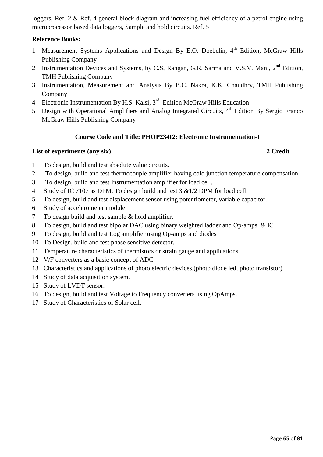loggers, Ref. 2 & Ref. 4 general block diagram and increasing fuel efficiency of a petrol engine using microprocessor based data loggers, Sample and hold circuits. Ref. 5

# **Reference Books:**

- 1 Measurement Systems Applications and Design By E.O. Doebelin, 4<sup>th</sup> Edition, McGraw Hills Publishing Company
- 2 Instrumentation Devices and Systems, by C.S, Rangan, G.R. Sarma and V.S.V. Mani, 2<sup>nd</sup> Edition, TMH Publishing Company
- 3 Instrumentation, Measurement and Analysis By B.C. Nakra, K.K. Chaudhry, TMH Publishing Company
- 4 Electronic Instrumentation By H.S. Kalsi, 3rd Edition McGraw Hills Education
- 5 Design with Operational Amplifiers and Analog Integrated Circuits, 4<sup>th</sup> Edition By Sergio Franco McGraw Hills Publishing Company

# **Course Code and Title: PHOP234I2: Electronic Instrumentation-I**

# **List of experiments (any six) 2 Credit**

- 1 To design, build and test absolute value circuits.
- 2 To design, build and test thermocouple amplifier having cold junction temperature compensation.
- 3 To design, build and test Instrumentation amplifier for load cell.
- 4 Study of IC 7107 as DPM. To design build and test 3 & 1/2 DPM for load cell.
- 5 To design, build and test displacement sensor using potentiometer, variable capacitor.
- 6 Study of accelerometer module.
- 7 To design build and test sample & hold amplifier.
- 8 To design, build and test bipolar DAC using binary weighted ladder and Op-amps. & IC
- 9 To design, build and test Log amplifier using Op-amps and diodes
- 10 To Design, build and test phase sensitive detector.
- 11 Temperature characteristics of thermistors or strain gauge and applications
- 12 V/F converters as a basic concept of ADC
- 13 Characteristics and applications of photo electric devices.(photo diode led, photo transistor)
- 14 Study of data acquisition system.
- 15 Study of LVDT sensor.
- 16 To design, build and test Voltage to Frequency converters using OpAmps.
- 17 Study of Characteristics of Solar cell.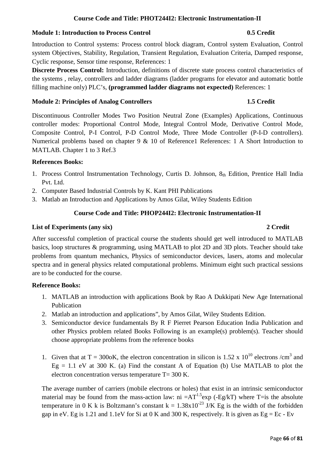# **Course Code and Title: PHOT244I2: Electronic Instrumentation-II**

### **Module 1: Introduction to Process Control 0.5 Credit** 0.5 Credit

Introduction to Control systems: Process control block diagram, Control system Evaluation, Control system Objectives, Stability, Regulation, Transient Regulation, Evaluation Criteria, Damped response, Cyclic response, Sensor time response, References: 1

**Discrete Process Control:** Introduction, definitions of discrete state process control characteristics of the systems , relay, controllers and ladder diagrams (ladder programs for elevator and automatic bottle filling machine only) PLC's, **(programmed ladder diagrams not expected)** References: 1

### **Module 2: Principles of Analog Controllers 1.5 Credit**

Discontinuous Controller Modes Two Position Neutral Zone (Examples) Applications, Continuous controller modes: Proportional Control Mode, Integral Control Mode, Derivative Control Mode, Composite Control, P-I Control, P-D Control Mode, Three Mode Controller (P-I-D controllers). Numerical problems based on chapter 9 & 10 of Reference1 References: 1 A Short Introduction to MATLAB. Chapter 1 to 3 Ref.3

# **References Books:**

- 1. Process Control Instrumentation Technology, Curtis D. Johnson, 8th Edition, Prentice Hall India Pvt. Ltd.
- 2. Computer Based Industrial Controls by K. Kant PHI Publications
- 3. Matlab an Introduction and Applications by Amos Gilat, Wiley Students Edition

# **Course Code and Title: PHOP244I2: Electronic Instrumentation-II**

# **List of Experiments (any six) 2 Credit**

# After successful completion of practical course the students should get well introduced to MATLAB basics, loop structures & programming, using MATLAB to plot 2D and 3D plots. Teacher should take problems from quantum mechanics, Physics of semiconductor devices, lasers, atoms and molecular spectra and in general physics related computational problems. Minimum eight such practical sessions are to be conducted for the course.

# **Reference Books:**

- 1. MATLAB an introduction with applications Book by Rao A Dukkipati New Age International Publication
- 2. Matlab an introduction and applications", by Amos Gilat, Wiley Students Edition.
- 3. Semiconductor device fundamentals By R F Pierret Pearson Education India Publication and other Physics problem related Books Following is an example(s) problem(s). Teacher should choose appropriate problems from the reference books
- 1. Given that at T = 300oK, the electron concentration in silicon is 1.52 x  $10^{10}$  electrons /cm<sup>3</sup> and  $Eg = 1.1$  eV at 300 K. (a) Find the constant A of Equation (b) Use MATLAB to plot the electron concentration versus temperature T= 300 K.

The average number of carriers (mobile electrons or holes) that exist in an intrinsic semiconductor material may be found from the mass-action law:  $ni = AT^{1.5}exp(-Eg/kT)$  where T=is the absolute temperature in 0 K k is Boltzmann's constant  $k = 1.38x10^{-23}$  J/K Eg is the width of the forbidden gap in eV. Eg is 1.21 and 1.1eV for Si at 0 K and 300 K, respectively. It is given as  $Eg = Ec - Ev$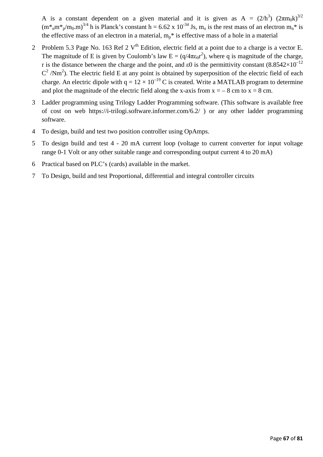A is a constant dependent on a given material and it is given as  $A = (2/h^3) (2\pi m_0 k)^{3/2}$  $(m^*_{n}m^*_{n}/m_0.m)^{3/4}$  h is Planck's constant h = 6.62 x 10<sup>-34</sup> Js, m<sub>o</sub> is the rest mass of an electron m<sub>n</sub><sup>\*</sup> is the effective mass of an electron in a material,  $m_p$ <sup>\*</sup> is effective mass of a hole in a material

- 2 Problem 5.3 Page No. 163 Ref 2  $V<sup>th</sup>$  Edition, electric field at a point due to a charge is a vector E. The magnitude of E is given by Coulomb's law  $E = (q/4\pi\epsilon_0 r^2)$ , where q is magnitude of the charge, r is the distance between the charge and the point, and  $\varepsilon$ 0 is the permittivity constant (8.8542×10<sup>-12</sup>)  $C^2/Nm^2$ ). The electric field E at any point is obtained by superposition of the electric field of each charge. An electric dipole with  $q = 12 \times 10^{-19}$  C is created. Write a MATLAB program to determine and plot the magnitude of the electric field along the x-axis from  $x = -8$  cm to  $x = 8$  cm.
- 3 Ladder programming using Trilogy Ladder Programming software. (This software is available free of cost on web https://i-trilogi.software.informer.com/6.2/ ) or any other ladder programming software.
- 4 To design, build and test two position controller using OpAmps.
- 5 To design build and test 4 20 mA current loop (voltage to current converter for input voltage range 0-1 Volt or any other suitable range and corresponding output current 4 to 20 mA)
- 6 Practical based on PLC's (cards) available in the market.
- 7 To Design, build and test Proportional, differential and integral controller circuits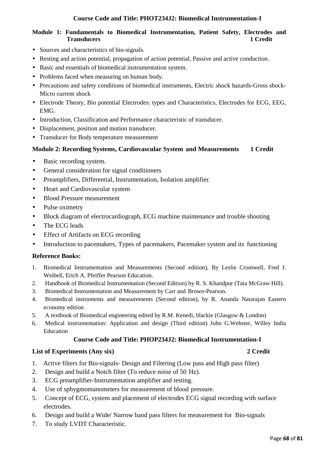# **Course Code and Title: PHOT234J2: Biomedical Instrumentation-I**

# **Module 1: Fundamentals to Biomedical Instrumentation, Patient Safety, Electrodes and Transducers 1 Credit**

- Sources and characteristics of bio-signals.
- Resting and action potential, propagation of action potential, Passive and active conduction.
- Basic and essentials of biomedical instrumentation system.
- Problems faced when measuring on human body.
- Precautions and safety conditions of biomedical instruments, Electric shock hazards-Gross shock-Micro current shock
- Electrode Theory, Bio potential Electrodes: types and Characteristics, Electrodes for ECG, EEG, EMG.
- Introduction, Classification and Performance characteristic of transducer.
- Displacement, position and motion transducer.
- Transducer for Body temperature measurement

# **Module 2: Recording Systems, Cardiovascular System and Measurements 1 Credit**

- Basic recording system.
- General consideration for signal conditioners
- Preamplifiers, Differential, Instrumentation, Isolation amplifier.
- Heart and Cardiovascular system
- Blood Pressure measurement
- Pulse oximetry
- Block diagram of electrocardiograph, ECG machine maintenance and trouble shooting
- The ECG leads
- Effect of Artifacts on ECG recording
- Introduction to pacemakers, Types of pacemakers, Pacemaker system and its functioning

### **Reference Books:**

- 1. Biomedical Instrumentation and Measurements (Second edition), By Leslie Cromwell, Fred J. Weibell, Erich A. Pfeiffer Pearson Education.
- 2. Handbook of Biomedical Instrumentation (Second Edition) by R. S. Khandpur (Tata McGraw Hill).
- 3. Biomedical Instrumentation and Measurement by Carr and Brown-Pearson.
- 4. Biomedical instruments and measurements (Second edition), by R. Ananda Natarajan Eastern economy edition
- 5. A textbook of Biomedical engineering edited by R.M. Kenedi, blackie (Glasgow & London)
- 6. Medical instrumentation: Application and design (Third edition) John G.Webster, Willey India Education

### **Course Code and Title: PHOP234J2: Biomedical Instrumentation-I**

### **List of Experiments (Any six) 2 Credit**

- 1. Active filters for Bio-signals- Design and Filtering (Low pass and High pass filter)
- 2. Design and build a Notch filter (To reduce noise of 50 Hz).
- 3. ECG preamplifier-Instrumentation amplifier and testing.
- 4. Use of sphygmomanometers for measurement of blood pressure.
- 5. Concept of ECG, system and placement of electrodes ECG signal recording with surface electrodes.
- 6. Design and build a Wide/ Narrow band pass filters for measurement for Bio-signals
- 7. To study LVDT Characteristic.

### Page **68** of **81**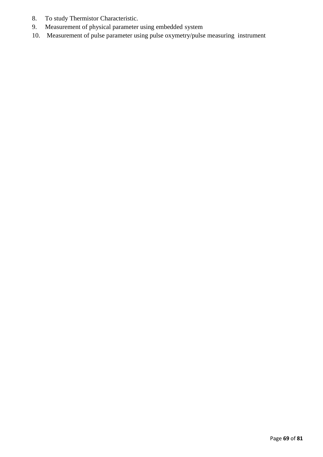- 8. To study Thermistor Characteristic.
- 9. Measurement of physical parameter using embedded system
- 10. Measurement of pulse parameter using pulse oxymetry/pulse measuring instrument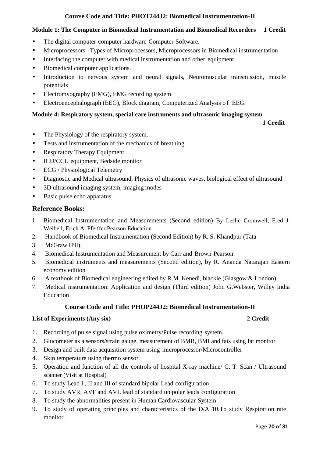# **Course Code and Title: PHOT244J2: Biomedical Instrumentation-II**

# **Module 1: The Computer in Biomedical Instrumentation and Biomedical Recorders 1 Credit**

- The digital computer-computer hardware-Computer Software.
- Microprocessors –Types of Microprocessors, Microprocessors in Biomedical instrumentation
- Interfacing the computer with medical instrumentation and other equipment.
- Biomedical computer applications.
- Introduction to nervous system and neural signals, Neuromuscular transmission, muscle potentials
- Electromyography (EMG), EMG recording system
- Electroencephalograph (EEG), Block diagram, Computerized Analysis of EEG.

# **Module 4: Respiratory system, special care instruments and ultrasonic imaging system**

 **1 Credit** 

- The Physiology of the respiratory system.
- Tests and instrumentation of the mechanics of breathing
- Respiratory Therapy Equipment
- ICU/CCU equipment, Bedside monitor
- ECG / Physiological Telemetry
- Diagnostic and Medical ultrasound, Physics of ultrasonic waves, biological effect of ultrasound
- 3D ultrasound imaging system, imaging modes
- Basic pulse echo apparatus

# **Reference Books:**

- 1. Biomedical Instrumentation and Measurements (Second edition) By Leslie Cromwell, Fred J. Weibell, Erich A. Pfeiffer Pearson Education
- 2. Handbook of Biomedical Instrumentation (Second Edition) by R. S. Khandpur (Tata
- 3. McGraw Hill).
- 4. Biomedical Instrumentation and Measurement by Carr and Brown-Pearson.
- 5. Biomedical instruments and measurements (Second edition), by R. Ananda Natarajan Eastern economy edition
- 6. A textbook of Biomedical engineering edited by R.M. Kenedi, blackie (Glasgow & London)
- 7. Medical instrumentation: Application and design (Third edition) John G.Webster, Willey India Education

# **Course Code and Title: PHOP244J2: Biomedical Instrumentation-II**

# **List of Experiments (Any six) 2 Credit**

- 1. Recording of pulse signal using pulse oximetry/Pulse recording system.
- 2. Glucometer as a sensors/strain gauge, measurement of BMR, BMI and fats using fat monitor
- 3. Design and built data acquisition system using microprocessor/Microcontroller
- 4. Skin temperature using thermo sensor
- 5. Operation and function of all the controls of hospital X-ray machine/ C. T. Scan / Ultrasound scanner (Visit at Hospital)
- 6. To study Lead I , II and III of standard bipolar Lead configuration
- 7. To study AVR, AVF and AVL lead of standard unipolar leads configuration
- 8. To study the abnormalities present in Human Cardiovascular System
- 9. To study of operating principles and characteristics of the D/A 10.To study Respiration rate monitor.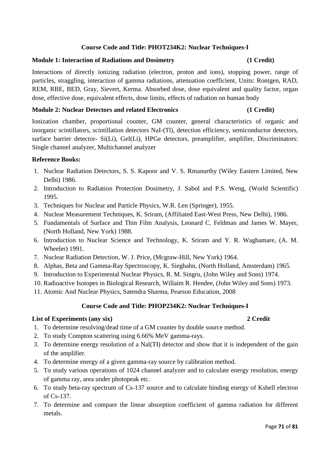# **Course Code and Title: PHOT234K2: Nuclear Techniques-I**

# **Module 1: Interaction of Radiations and Dosimetry (1 Credit)**

Interactions of directly ionizing radiation (electron, proton and ions), stopping power, range of particles, straggling, interaction of gamma radiations, attenuation coefficient, Units: Rontgen, RAD, REM, RBE, BED, Gray, Sievert, Kerma. Absorbed dose, dose equivalent and quality factor, organ dose, effective dose, equivalent effects, dose limits, effects of radiation on human body

# **Module 2: Nuclear Detectors and related Electronics (1 Credit)**

Ionization chamber, proportional counter, GM counter, general characteristics of organic and inorganic scintillators, scintillation detectors NaI-(Tl), detection efficiency, semiconductor detectors, surface barrier detector- Si(Li), GeI(Li), HPGe detectors, preamplifier, amplifier, Discriminators: Single channel analyzer, Multichannel analyzer

# **Reference Books:**

- 1. Nuclear Radiation Detectors, S. S. Kapoor and V. S. Rmanurthy (Wiley Eastern Limited, New Delhi) 1986.
- 2. Introduction to Radiation Protection Dosimetry, J. Sabol and P.S. Weng, (World Scientific) 1995.
- 3. Techniques for Nuclear and Particle Physics, W.R. Len (Springer), 1955.
- 4. Nuclear Measurement Techniques, K. Sriram, (Affiliated East-West Press, New Delhi), 1986.
- 5. Fundamentals of Surface and Thin Film Analysis, Leonard C. Feldman and James W. Mayer, (North Holland, New York) 1988.
- 6. Introduction to Nuclear Science and Technology, K. Sriram and Y. R. Waghamare, (A. M. Wheeler) 1991.
- 7. Nuclear Radiation Detection, W. J. Price, (Mcgraw-Hill, New York) 1964.
- 8. Alphas, Beta and Gamma-Ray Spectroscopy, K. Siegbahn, (North Holland, Amsterdam) 1965.
- 9. Introduction to Experimental Nuclear Physics, R. M. Singru, (John Wiley and Sons) 1974.
- 10. Radioactive Isotopes in Biological Research, Willaim R. Hendee, (John Wiley and Sons) 1973.
- 11. Atomic And Nuclear Physics, Satendra Sharma, Pearson Education, 2008

### **Course Code and Title: PHOP234K2: Nuclear Techniques-I**

### **List of Experiments (any six) 2 Credit**

- 1. To determine resolving/dead time of a GM counter by double source method.
- 2. To study Compton scattering using 6.66% MeV gamma-rays.
- 3. To determine energy resolution of a Nal(TI) detector and show that it is independent of the gain of the amplifier.
- 4. To determine energy of a given gamma-ray source by calibration method.
- 5. To study various operations of 1024 channel analyzer and to calculate energy resolution, energy of gamma ray, area under photopeak etc.
- 6. To study beta-ray spectrum of Cs-137 source and to calculate binding energy of Kshell electron of Cs-137.
- 7. To determine and compare the linear absorption coefficient of gamma radiation for different metals.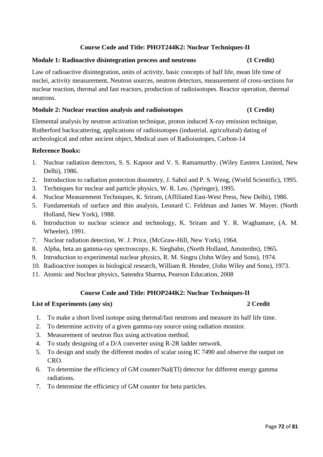# **Course Code and Title: PHOT244K2: Nuclear Techniques-II**

# **Module 1: Radioactive disintegration process and neutrons (1 Credit)**

Law of radioactive disintegration, units of activity, basic concepts of half life, mean life time of nuclei, activity measurement, Neutron sources, neutron detectors, measurement of cross-sections for nuclear reaction, thermal and fast reactors, production of radioisotopes. Reactor operation, thermal neutrons.

# **Module 2: Nuclear reaction analysis and radioisotopes (1 Credit)**

Elemental analysis by neutron activation technique, proton induced X-ray emission technique, Rutherford backscattering, applications of radioisotopes (industrial, agricultural) dating of archeological and other ancient object, Medical uses of Radioisotopes, Carbon-14

# **Reference Books:**

- 1. Nuclear radiation detectors, S. S. Kapoor and V. S. Ramamurthy. (Wiley Eastern Limited, New Delhi), 1986.
- 2. Introduction to radiation protection dosimetry, J. Sabol and P. S. Weng, (World Scientific), 1995.
- 3. Techniques for nuclear and particle physics, W. R. Leo. (Springer), 1995.
- 4. Nuclear Measurement Techniques, K. Sriram, (Affiliated East-West Press, New Delhi), 1986.
- 5. Fundamentals of surface and thin analysis, Leonard C. Feldman and James W. Mayer, (North Holland, New York), 1988.
- 6. Introduction to nuclear science and technology, K. Sriram and Y. R. Waghamare, (A. M. Wheeler), 1991.
- 7. Nuclear radiation detection, W. J. Price, (McGraw-Hill, New York), 1964.
- 8. Alpha, beta an gamma-ray spectroscopy, K. Siegbahn, (North Holland, Amsterdm), 1965.
- 9. Introduction to experimental nuclear physics, R. M. Singru (John Wiley and Sons), 1974.
- 10. Radioactive isotopes in biological research, William R. Hendee, (John Wiley and Sons), 1973.
- 11. Atomic and Nuclear physics, Satendra Sharma, Pearson Education, 2008

# **Course Code and Title: PHOP244K2: Nuclear Techniques-II**

### **List of Experiments (any six) 2 Credit**

# 1. To make a short lived isotope using thermal/fast neutrons and measure its half life time.

- 2. To determine activity of a given gamma-ray source using radiation monitor.
- 3. Measurement of neutron flux using activation method.
- 4. To study designing of a D/A converter using R-2R ladder network.
- 5. To design and study the different modes of scalar using IC 7490 and observe the output on CRO.
- 6. To determine the efficiency of GM counter/NaI(Tl) detector for different energy gamma radiations.
- 7. To determine the efficiency of GM counter for beta particles.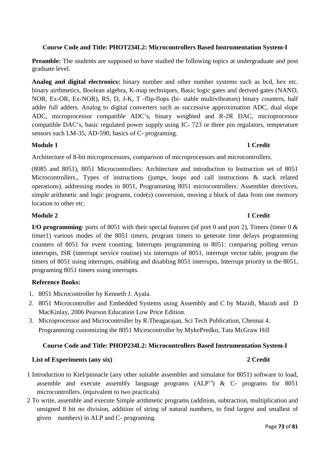# **Course Code and Title: PHOT234L2: Microcontrollers Based Instrumentation System-I**

**Preamble:** The students are supposed to have studied the following topics at undergraduate and post graduate level.

**Analog and digital electronics:** binary number and other number systems such as bcd, hex etc. binary airthmetics, Boolean algebra, K-map techniques, Basic logic gates and derived gates (NAND, NOR, Ex-OR, Ex-NOR), RS, D, J-K, T -flip-flops (bi- stable multivibrators) binary counters, half adder full adders. Analog to digital converters such as successive approximation ADC, dual slope ADC, microprocessor compatible ADC's, binary weighted and R-2R DAC, microprocessor compatible DAC's, basic regulated power supply using IC- 723 or three pin regulators, temperature sensors such LM-35, AD-590, basics of C- programing.

### **Module 1** 1 Credit

Architecture of 8-bit microprocessors, comparison of microprocessors and microcontrollers.

(8085 and 8051), 8051 Microcontrollers: Architecture and introduction to Instruction set of 8051 Microcontrollers., Types of instructions (jumps, loops and call instructions & stack related operations), addressing modes in 8051, Programming 8051 microcontrollers: Assembler directives, simple arithmetic and logic programs, code(s) conversion, moving a block of data from one memory location to other etc.

# **Module 2** 1 Credit

**I/O programming**: ports of 8051 with their special features (of port 0 and port 2), Timers (timer 0 & timer1) various modes of the 8051 timers, program timers to generate time delays programming counters of 8051 for event counting. Interrupts programming in 8051: comparing polling versus interrupts, ISR (interrupt service routine) six interrupts of 8051, interrupt vector table, program the timers of 8051 using interrupts, enabling and disabling 8051 interrupts, Interrupt priority in the 8051, programing 8051 timers using interrupts.

# **Reference Books:**

- 1. 8051 Microcontroller by Kenneth J. Ayala.
- 2. 8051 Microcontroller and Embedded Systems using Assembly and C by Mazidi, Mazidi and D MacKinlay, 2006 Pearson Education Low Price Edition.
- 3. Microprocessor and Microcontroller by R.Theagarajan, Sci Tech Publication, Chennai 4. Programming customizing the 8051 Microcontroller by MykePredko, Tata McGraw Hill

# **Course Code and Title: PHOP234L2: Microcontrollers Based Instrumentation System-I**

- 1 Introduction to Kiel/pinnacle (any other suitable assembler and simulator for 8051) software to load, assemble and execute assembly language programs  $(ALP^s)$  & C- programs for 8051 microcontrollers. (equivalent to two practicals)
- 2 To write, assemble and execute Simple arithmetic programs (addition, subtraction, multiplication and unsigned 8 bit no division, addition of string of natural numbers, to find largest and smallest of given numbers) in ALP and C- programing.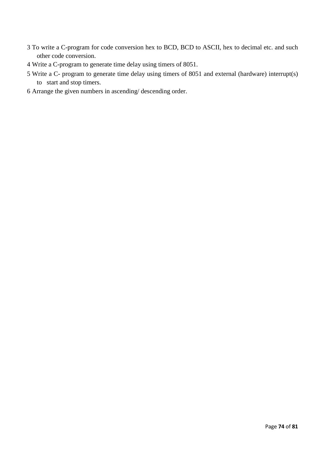- 3 To write a C-program for code conversion hex to BCD, BCD to ASCII, hex to decimal etc. and such other code conversion.
- 4 Write a C-program to generate time delay using timers of 8051.
- 5 Write a C- program to generate time delay using timers of 8051 and external (hardware) interrupt(s) to start and stop timers.
- 6 Arrange the given numbers in ascending/ descending order.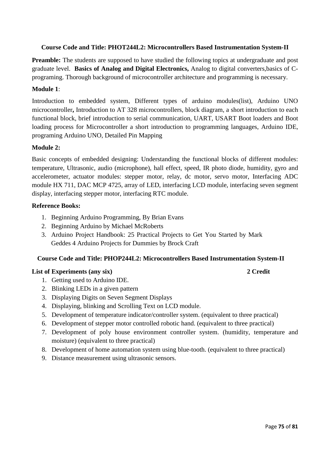### **Course Code and Title: PHOT244L2: Microcontrollers Based Instrumentation System-II**

**Preamble:** The students are supposed to have studied the following topics at undergraduate and post graduate level. **Basics of Analog and Digital Electronics,** Analog to digital converters,basics of Cprograming. Thorough background of microcontroller architecture and programming is necessary.

### **Module 1**:

Introduction to embedded system, Different types of arduino modules(list), Arduino UNO microcontroller**,** Introduction to AT 328 microcontrollers, block diagram, a short introduction to each functional block, brief introduction to serial communication, UART, USART Boot loaders and Boot loading process for Microcontroller a short introduction to programming languages, Arduino IDE, programing Arduino UNO, Detailed Pin Mapping

### **Module 2:**

Basic concepts of embedded designing: Understanding the functional blocks of different modules: temperature, Ultrasonic, audio (microphone), hall effect, speed, IR photo diode, humidity, gyro and accelerometer, actuator modules: stepper motor, relay, dc motor, servo motor, Interfacing ADC module HX 711, DAC MCP 4725, array of LED, interfacing LCD module, interfacing seven segment display, interfacing stepper motor, interfacing RTC module.

### **Reference Books:**

- 1. Beginning Arduino Programming, By Brian Evans
- 2. Beginning Arduino by Michael McRoberts
- 3. Arduino Project Handbook: 25 Practical Projects to Get You Started by Mark Geddes 4 Arduino Projects for Dummies by Brock Craft

### **Course Code and Title: PHOP244L2: Microcontrollers Based Instrumentation System-II**

- 1. Getting used to Arduino IDE.
- 2. Blinking LEDs in a given pattern
- 3. Displaying Digits on Seven Segment Displays
- 4. Displaying, blinking and Scrolling Text on LCD module.
- 5. Development of temperature indicator/controller system. (equivalent to three practical)
- 6. Development of stepper motor controlled robotic hand. (equivalent to three practical)
- 7. Development of poly house environment controller system. (humidity, temperature and moisture) (equivalent to three practical)
- 8. Development of home automation system using blue-tooth. (equivalent to three practical)
- 9. Distance measurement using ultrasonic sensors.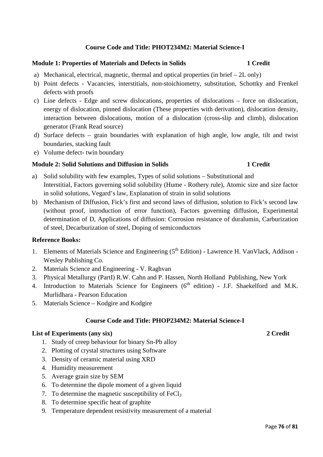# **Course Code and Title: PHOT234M2: Material Science-I**

#### **Module 1: Properties of Materials and Defects in Solids**  1 Credit

- a) Mechanical, electrical, magnetic, thermal and optical properties (in brief  $-2L$  only)
- b) Point defects Vacancies, interstitials, non-stoichiometry, substitution, Schottky and Frenkel defects with proofs
- c) Line defects Edge and screw dislocations, properties of dislocations force on dislocation, energy of dislocation, pinned dislocation (These properties with derivation), dislocation density, interaction between dislocations, motion of a dislocation (cross-slip and climb), dislocation generator (Frank Read source)
- d) Surface defects grain boundaries with explanation of high angle, low angle, tilt and twist boundaries, stacking fault
- e) Volume defect- twin boundary

# **Module 2: Solid Solutions and Diffusion in Solids 1 Credit 1 Credit**

- a) Solid solubility with few examples, Types of solid solutions Substitutional and Interstitial, Factors governing solid solubility (Hume - Rothery rule), Atomic size and size factor in solid solutions, Vegard's law, Explanation of strain in solid solutions
- b) Mechanism of Diffusion, Fick's first and second laws of diffusion, solution to Fick's second law (without proof, introduction of error function), Factors governing diffusion, Experimental determination of D, Applications of diffusion: Corrosion resistance of duralumin, Carburization of steel, Decarburization of steel, Doping of semiconductors

#### **Reference Books:**

- 1. Elements of Materials Science and Engineering (5<sup>th</sup> Edition) Lawrence H. VanVlack, Addison -Wesley Publishing Co.
- 2. Materials Science and Engineering V. Raghvan
- 3. Physical Metallurgy (PartI) R.W. Cahn and P. Hassen, North Holland Publishing, New York
- 4. Introduction to Materials Science for Engineers ( $6<sup>th</sup>$  edition) J.F. Shaekelford and M.K. Murlidhara - Pearson Education
- 5. Materials Science Kodgire and Kodgire

#### **Course Code and Title: PHOP234M2: Material Science-I**

- 1. Study of creep behaviour for binary Sn-Pb alloy
- 2. Plotting of crystal structures using Software
- 3. Density of ceramic material using XRD
- 4. Humidity measurement
- 5. Average grain size by SEM
- 6. To determine the dipole moment of a given liquid
- 7. To determine the magnetic susceptibility of  $FeCl<sub>3</sub>$
- 8. To determine specific heat of graphite
- 9. Temperature dependent resistivity measurement of a material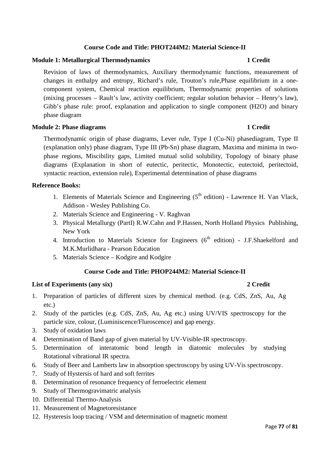# **Course Code and Title: PHOT244M2: Material Science-II**

# **Module 1: Metallurgical Thermodynamics** 1 Credit

Revision of laws of thermodynamics, Auxiliary thermodynamic functions, measurement of changes in enthalpy and entropy, Richard's rule, Trouton's rule,Phase equilibrium in a onecomponent system, Chemical reaction equilibrium, Thermodynamic properties of solutions (mixing processes – Rault's law, activity coefficient; regular solution behavior – Henry's law), Gibb's phase rule: proof, explanation and application to single component (H2O) and binary phase diagram

### **Module 2: Phase diagrams 1 Credit 1 Credit 1 Credit 1 Credit 1 Credit 1 Credit 1 Credit 1 Credit 1 Credit 1 Credit 1 Credit 1 Credit 1 Credit 1 Credit 1 Credit 1 Credit 1 Credit 1 Credit 1 Credit 1 Credit 1 Credit 1 Credi**

Thermodynamic origin of phase diagrams, Lever rule, Type I (Cu-Ni) phasediagram, Type II (explanation only) phase diagram, Type III (Pb-Sn) phase diagram, Maxima and minima in twophase regions, Miscibility gaps, Limited mutual solid solubility, Topology of binary phase diagrams (Explanation in short of eutectic, peritectic, Monotectic, eutectoid, peritectoid, syntactic reaction, extension rule), Experimental determination of phase diagrams

### **Reference Books:**

- 1. Elements of Materials Science and Engineering  $(5<sup>th</sup>$  edition) Lawrence H. Van Vlack, Addison - Wesley Publishing Co.
- 2. Materials Science and Engineering V. Raghvan
- 3. Physical Metallurgy (PartI) R.W.Cahn and P.Hassen, North Holland Physics Publishing, New York
- 4. Introduction to Materials Science for Engineers  $(6<sup>th</sup>$  edition) J.F.Shaekelford and M.K.Murlidhara - Pearson Education
- 5. Materials Science Kodgire and Kodgire

# **Course Code and Title: PHOP244M2: Material Science-II**

- 1. Preparation of particles of different sizes by chemical method. (e.g. CdS, ZnS, Au, Ag etc.)
- 2. Study of the particles (e.g. CdS, ZnS, Au, Ag etc.) using UV/VIS spectroscopy for the particle size, colour, (Luminiscence/Fluroscence) and gap energy.
- 3. Study of oxidation laws
- 4. Determination of Band gap of given material by UV-Visible-IR spectroscopy.
- 5. Determination of interatomic bond length in diatomic molecules by studying Rotational vibrational IR spectra.
- 6. Study of Beer and Lamberts law in absorption spectroscopy by using UV-Vis spectroscopy.
- 7. Study of Hystersis of hard and soft ferrites
- 8. Determination of resonance frequency of ferroelectric element
- 9. Study of Thermogravimatric analysis
- 10. Differential Thermo-Analysis
- 11. Measurement of Magnetoresistance
- 12. Hysteresis loop tracing / VSM and determination of magnetic moment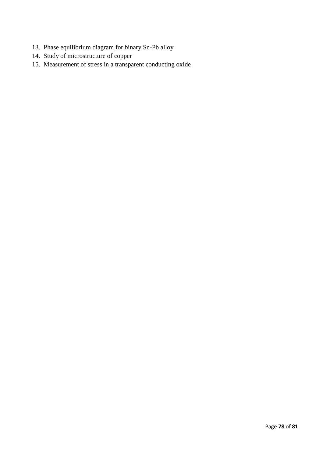- 13. Phase equilibrium diagram for binary Sn-Pb alloy
- 14. Study of microstructure of copper
- 15. Measurement of stress in a transparent conducting oxide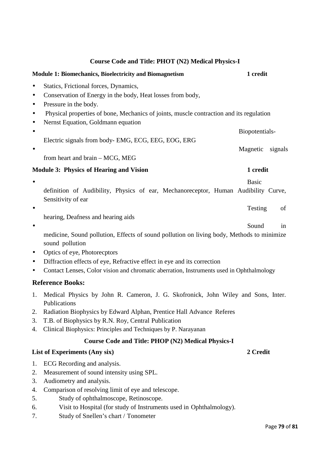# **Module 1: Biomechanics, Bioelectricity and Biomagnetism 1 credit**  • Statics, Frictional forces, Dynamics, • Conservation of Energy in the body, Heat losses from body, • Pressure in the body. • Physical properties of bone, Mechanics of joints, muscle contraction and its regulation • Nernst Equation, Goldmann equation • Biopotentials-Electric signals from body- EMG, ECG, EEG, EOG, ERG • Magnetic signals from heart and brain – MCG, MEG **Module 3: Physics of Hearing and Vision 1 credit 1 credit** • Basic Basic definition of Audibility, Physics of ear, Mechanoreceptor, Human Audibility Curve, Sensitivity of ear • Testing of hearing, Deafness and hearing aids • Sound in sound pollution • Optics of eye, Photorecptors • Diffraction effects of eye, Refractive effect in eye and its correction • Contact Lenses, Color vision and chromatic aberration, Instruments used in Ophthalmology **Reference Books:**  1. Medical Physics by John R. Cameron, J. G. Skofronick, John Wiley and Sons, Inter. Publications 2. Radiation Biophysics by Edward Alphan, Prentice Hall Advance Referes 3. T.B. of Biophysics by R.N. Roy, Central Publication

# **Course Code and Title: PHOP (N2) Medical Physics-I**

# **List of Experiments (Any six) 2 Credit**

- 1. ECG Recording and analysis.
- 2. Measurement of sound intensity using SPL.
- 3. Audiometry and analysis.
- 4. Comparison of resolving limit of eye and telescope.
- 5. Study of ophthalmoscope, Retinoscope.
- 6. Visit to Hospital (for study of Instruments used in Ophthalmology).
- 7. Study of Snellen's chart / Tonometer

# **Course Code and Title: PHOT (N2) Medical Physics-I**

medicine, Sound pollution, Effects of sound pollution on living body, Methods to minimize

- 
- 4. Clinical Biophysics: Principles and Techniques by P. Narayanan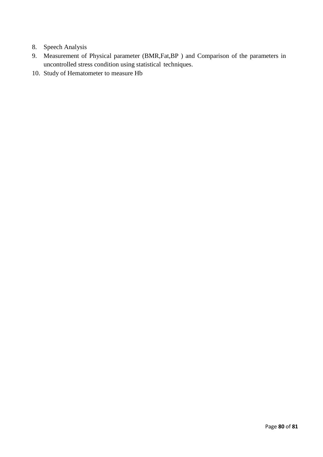- 8. Speech Analysis
- 9. Measurement of Physical parameter (BMR,Fat,BP ) and Comparison of the parameters in uncontrolled stress condition using statistical techniques.
- 10. Study of Hematometer to measure Hb